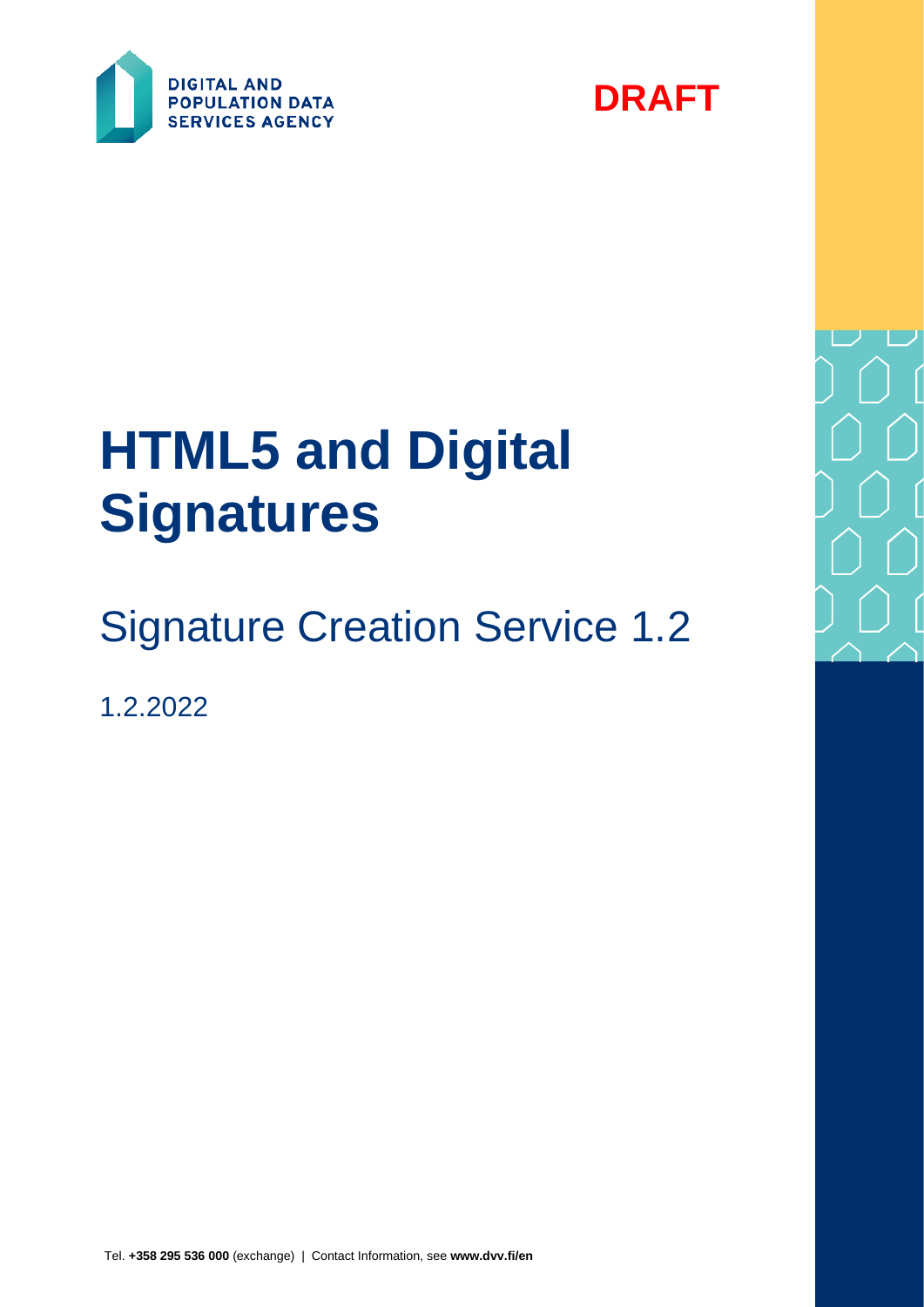



# **HTML5 and Digital Signatures**

# Signature Creation Service 1.2

1.2.2022

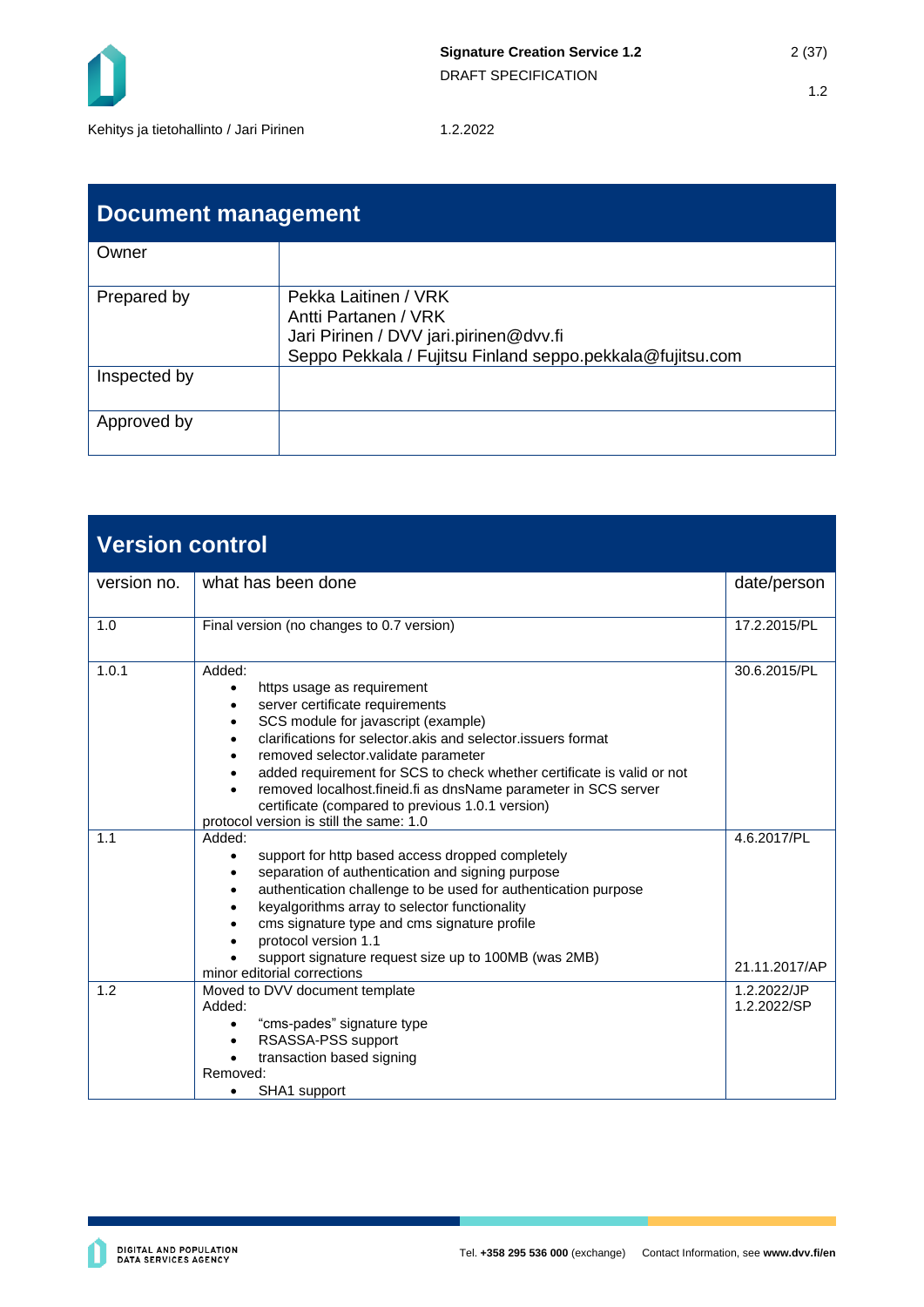

| <b>Document management</b> |                                                                                                                                                     |  |
|----------------------------|-----------------------------------------------------------------------------------------------------------------------------------------------------|--|
| Owner                      |                                                                                                                                                     |  |
| Prepared by                | Pekka Laitinen / VRK<br>Antti Partanen / VRK<br>Jari Pirinen / DVV jari.pirinen@dvv.fi<br>Seppo Pekkala / Fujitsu Finland seppo.pekkala@fujitsu.com |  |
| Inspected by               |                                                                                                                                                     |  |
| Approved by                |                                                                                                                                                     |  |

| <b>Version control</b> |                                                                                                                                                                                                                                                                                                                                                                                                                                                                               |                              |  |
|------------------------|-------------------------------------------------------------------------------------------------------------------------------------------------------------------------------------------------------------------------------------------------------------------------------------------------------------------------------------------------------------------------------------------------------------------------------------------------------------------------------|------------------------------|--|
| version no.            | what has been done                                                                                                                                                                                                                                                                                                                                                                                                                                                            | date/person                  |  |
| 1.0                    | Final version (no changes to 0.7 version)                                                                                                                                                                                                                                                                                                                                                                                                                                     | 17.2.2015/PL                 |  |
| 1.0.1                  | Added:<br>https usage as requirement<br>$\bullet$<br>server certificate requirements<br>SCS module for javascript (example)<br>clarifications for selector.akis and selector.issuers format<br>removed selector.validate parameter<br>added requirement for SCS to check whether certificate is valid or not<br>removed localhost.fineid.fi as dnsName parameter in SCS server<br>certificate (compared to previous 1.0.1 version)<br>protocol version is still the same: 1.0 | 30.6.2015/PL                 |  |
| 1.1                    | Added:<br>support for http based access dropped completely<br>$\bullet$<br>separation of authentication and signing purpose<br>authentication challenge to be used for authentication purpose<br>keyalgorithms array to selector functionality<br>cms signature type and cms signature profile<br>protocol version 1.1<br>support signature request size up to 100MB (was 2MB)<br>minor editorial corrections                                                                 | 4.6.2017/PL<br>21.11.2017/AP |  |
| 1.2                    | Moved to DVV document template<br>Added:<br>"cms-pades" signature type<br>$\bullet$<br>RSASSA-PSS support<br>transaction based signing<br>Removed:<br>SHA1 support<br>$\bullet$                                                                                                                                                                                                                                                                                               | 1.2.2022/JP<br>1.2.2022/SP   |  |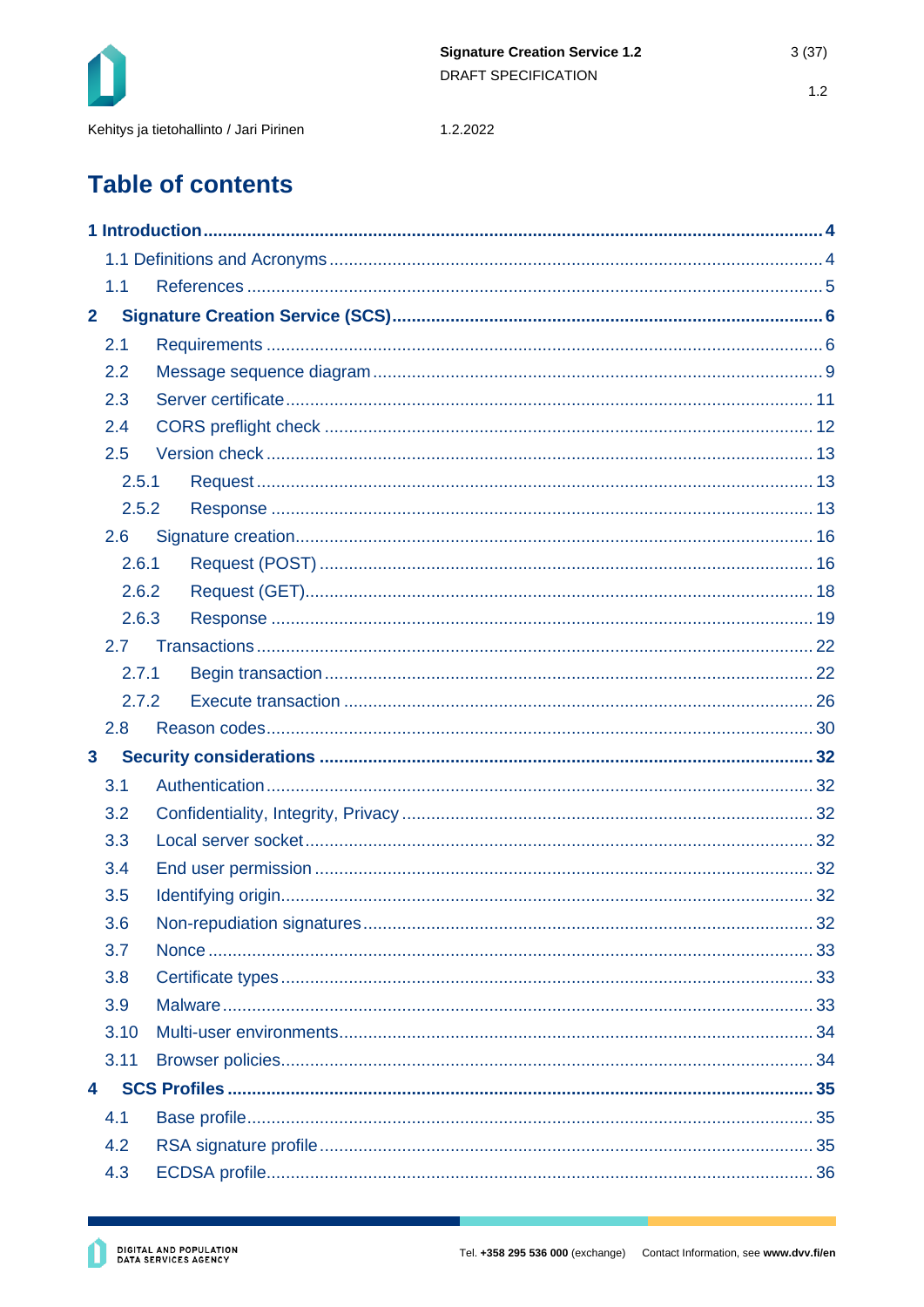

1.2.2022

# **Table of contents**

|                | 1.1   |  |  |
|----------------|-------|--|--|
| $\overline{2}$ |       |  |  |
|                | 2.1   |  |  |
|                | 2.2   |  |  |
|                | 2.3   |  |  |
|                | 2.4   |  |  |
|                | 2.5   |  |  |
|                | 2.5.1 |  |  |
|                | 2.5.2 |  |  |
|                | 2.6   |  |  |
|                | 2.6.1 |  |  |
|                | 2.6.2 |  |  |
|                | 2.6.3 |  |  |
|                | 2.7   |  |  |
|                | 2.7.1 |  |  |
|                | 2.7.2 |  |  |
|                | 2.8   |  |  |
| $\mathbf{3}$   |       |  |  |
|                | 3.1   |  |  |
|                | 3.2   |  |  |
|                | 3.3   |  |  |
|                | 3.4   |  |  |
|                | 3.5   |  |  |
|                | 3.6   |  |  |
|                | 3.7   |  |  |
|                | 3.8   |  |  |
|                | 3.9   |  |  |
|                | 3.10  |  |  |
|                | 3.11  |  |  |
| $\overline{4}$ |       |  |  |
|                | 4.1   |  |  |
|                | 4.2   |  |  |
|                | 4.3   |  |  |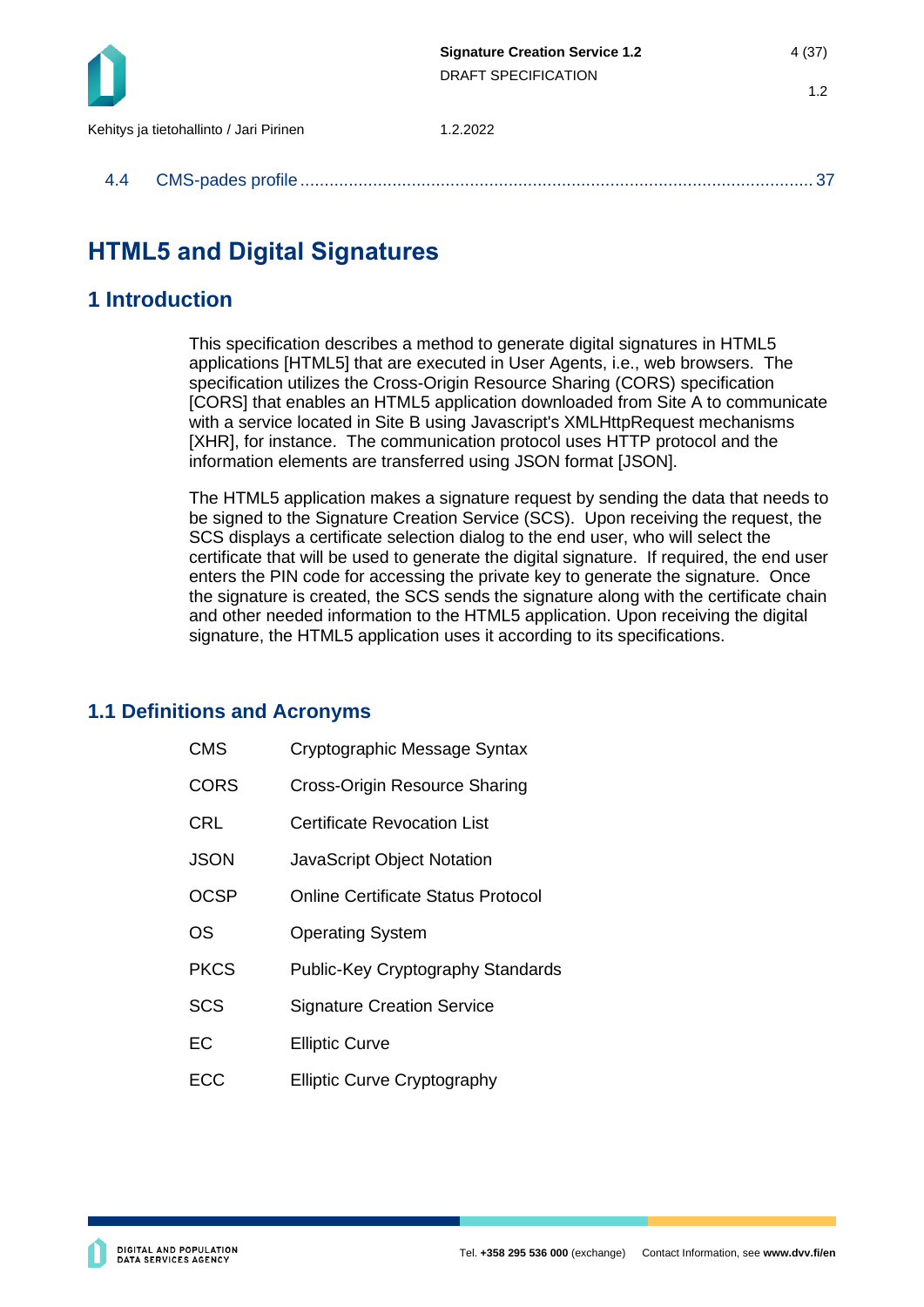

|--|--|--|

## **HTML5 and Digital Signatures**

## <span id="page-3-0"></span>**1 Introduction**

This specification describes a method to generate digital signatures in HTML5 applications [HTML5] that are executed in User Agents, i.e., web browsers. The specification utilizes the Cross-Origin Resource Sharing (CORS) specification [CORS] that enables an HTML5 application downloaded from Site A to communicate with a service located in Site B using Javascript's XMLHttpRequest mechanisms [XHR], for instance. The communication protocol uses HTTP protocol and the information elements are transferred using JSON format [JSON].

The HTML5 application makes a signature request by sending the data that needs to be signed to the Signature Creation Service (SCS). Upon receiving the request, the SCS displays a certificate selection dialog to the end user, who will select the certificate that will be used to generate the digital signature. If required, the end user enters the PIN code for accessing the private key to generate the signature. Once the signature is created, the SCS sends the signature along with the certificate chain and other needed information to the HTML5 application. Upon receiving the digital signature, the HTML5 application uses it according to its specifications.

## <span id="page-3-1"></span>**1.1 Definitions and Acronyms**

- CMS Cryptographic Message Syntax
- CORS Cross-Origin Resource Sharing
- CRL Certificate Revocation List
- JSON JavaScript Object Notation
- OCSP Online Certificate Status Protocol
- OS Operating System
- PKCS Public-Key Cryptography Standards
- SCS Signature Creation Service
- EC Elliptic Curve
- ECC Elliptic Curve Cryptography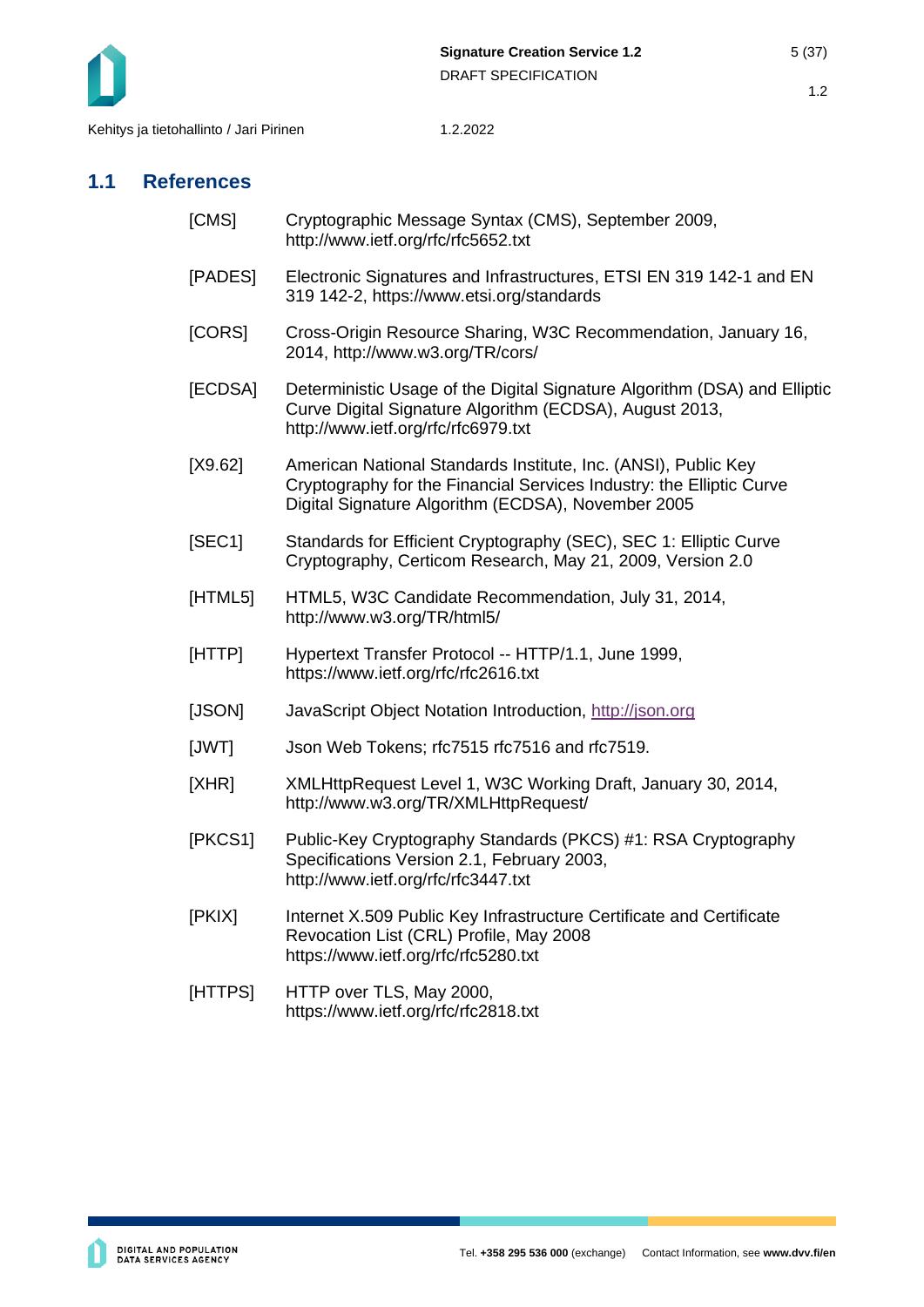

## <span id="page-4-0"></span>**1.1 References**

- [CMS] Cryptographic Message Syntax (CMS), September 2009, http://www.ietf.org/rfc/rfc5652.txt
- [PADES] Electronic Signatures and Infrastructures, ETSI EN 319 142-1 and EN 319 142-2, https://www.etsi.org/standards
- [CORS] Cross-Origin Resource Sharing, W3C Recommendation, January 16, 2014, http://www.w3.org/TR/cors/
- [ECDSA] Deterministic Usage of the Digital Signature Algorithm (DSA) and Elliptic Curve Digital Signature Algorithm (ECDSA), August 2013, http://www.ietf.org/rfc/rfc6979.txt
- [X9.62] American National Standards Institute, Inc. (ANSI), Public Key Cryptography for the Financial Services Industry: the Elliptic Curve Digital Signature Algorithm (ECDSA), November 2005
- [SEC1] Standards for Efficient Cryptography (SEC), SEC 1: Elliptic Curve Cryptography, Certicom Research, May 21, 2009, Version 2.0
- [HTML5] HTML5, W3C Candidate Recommendation, July 31, 2014, http://www.w3.org/TR/html5/
- [HTTP] Hypertext Transfer Protocol -- HTTP/1.1, June 1999, https://www.ietf.org/rfc/rfc2616.txt
- [JSON] JavaScript Object Notation Introduction, [http://json.org](http://json.org/)
- [JWT] Json Web Tokens; rfc7515 rfc7516 and rfc7519.
- [XHR] XMLHttpRequest Level 1, W3C Working Draft, January 30, 2014, http://www.w3.org/TR/XMLHttpRequest/
- [PKCS1] Public-Key Cryptography Standards (PKCS) #1: RSA Cryptography Specifications Version 2.1, February 2003, http://www.ietf.org/rfc/rfc3447.txt
- [PKIX] Internet X.509 Public Key Infrastructure Certificate and Certificate Revocation List (CRL) Profile, May 2008 https://www.ietf.org/rfc/rfc5280.txt
- [HTTPS] HTTP over TLS, May 2000, https://www.ietf.org/rfc/rfc2818.txt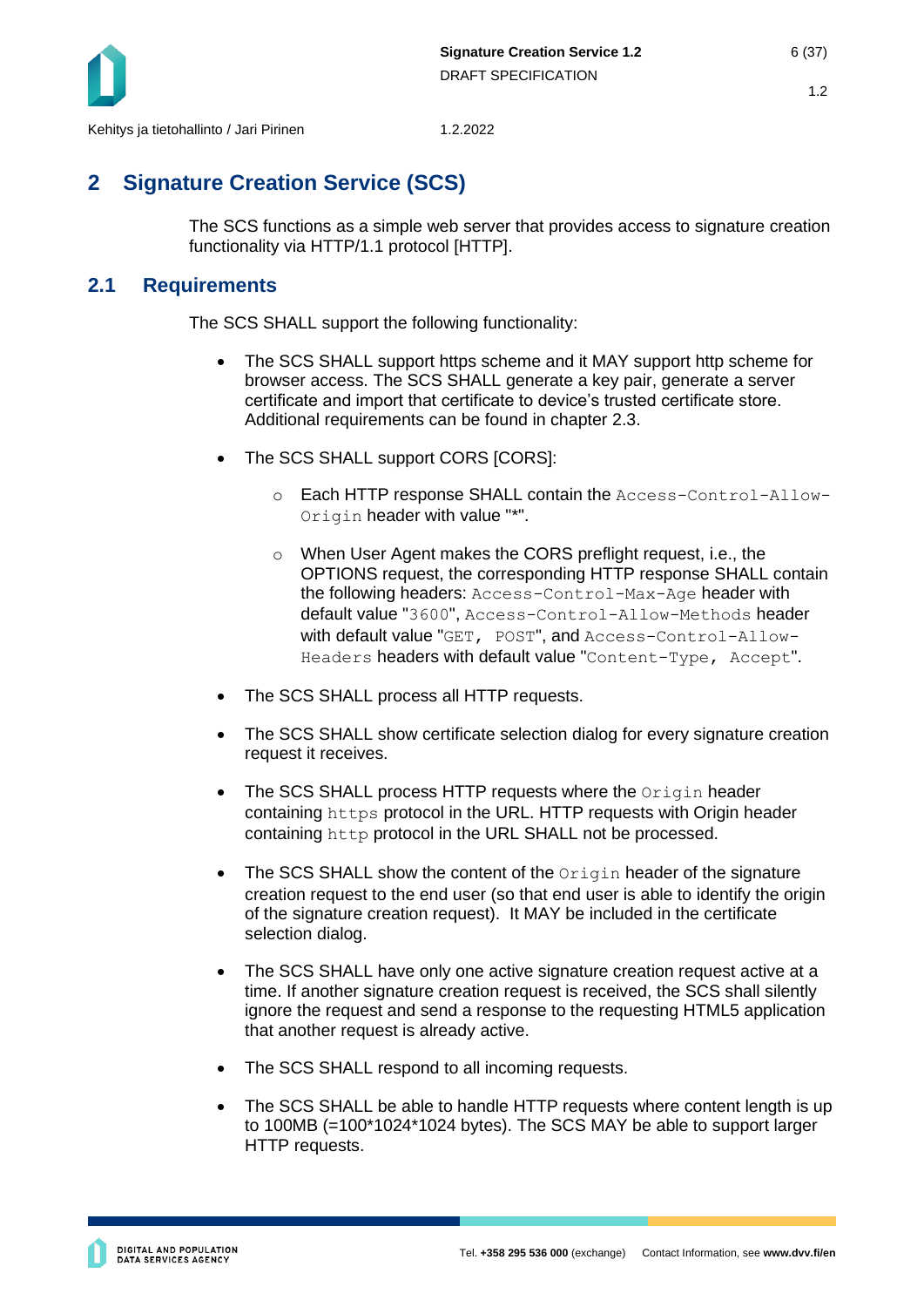

## <span id="page-5-0"></span>**2 Signature Creation Service (SCS)**

The SCS functions as a simple web server that provides access to signature creation functionality via HTTP/1.1 protocol [HTTP].

## <span id="page-5-1"></span>**2.1 Requirements**

The SCS SHALL support the following functionality:

- The SCS SHALL support https scheme and it MAY support http scheme for browser access. The SCS SHALL generate a key pair, generate a server certificate and import that certificate to device's trusted certificate store. Additional requirements can be found in chapter [2.3.](#page-10-0)
- The SCS SHALL support CORS [CORS]:
	- o Each HTTP response SHALL contain the Access-Control-Allow-Origin header with value "\*".
	- o When User Agent makes the CORS preflight request, i.e., the OPTIONS request, the corresponding HTTP response SHALL contain the following headers: Access-Control-Max-Age header with default value "3600", Access-Control-Allow-Methods header with default value "GET, POST", and Access-Control-Allow-Headers headers with default value "Content-Type, Accept".
- The SCS SHALL process all HTTP requests.
- The SCS SHALL show certificate selection dialog for every signature creation request it receives.
- The SCS SHALL process HTTP requests where the Origin header containing https protocol in the URL. HTTP requests with Origin header containing http protocol in the URL SHALL not be processed.
- The SCS SHALL show the content of the Origin header of the signature creation request to the end user (so that end user is able to identify the origin of the signature creation request). It MAY be included in the certificate selection dialog.
- The SCS SHALL have only one active signature creation request active at a time. If another signature creation request is received, the SCS shall silently ignore the request and send a response to the requesting HTML5 application that another request is already active.
- The SCS SHALL respond to all incoming requests.
- The SCS SHALL be able to handle HTTP requests where content length is up to 100MB (=100\*1024\*1024 bytes). The SCS MAY be able to support larger HTTP requests.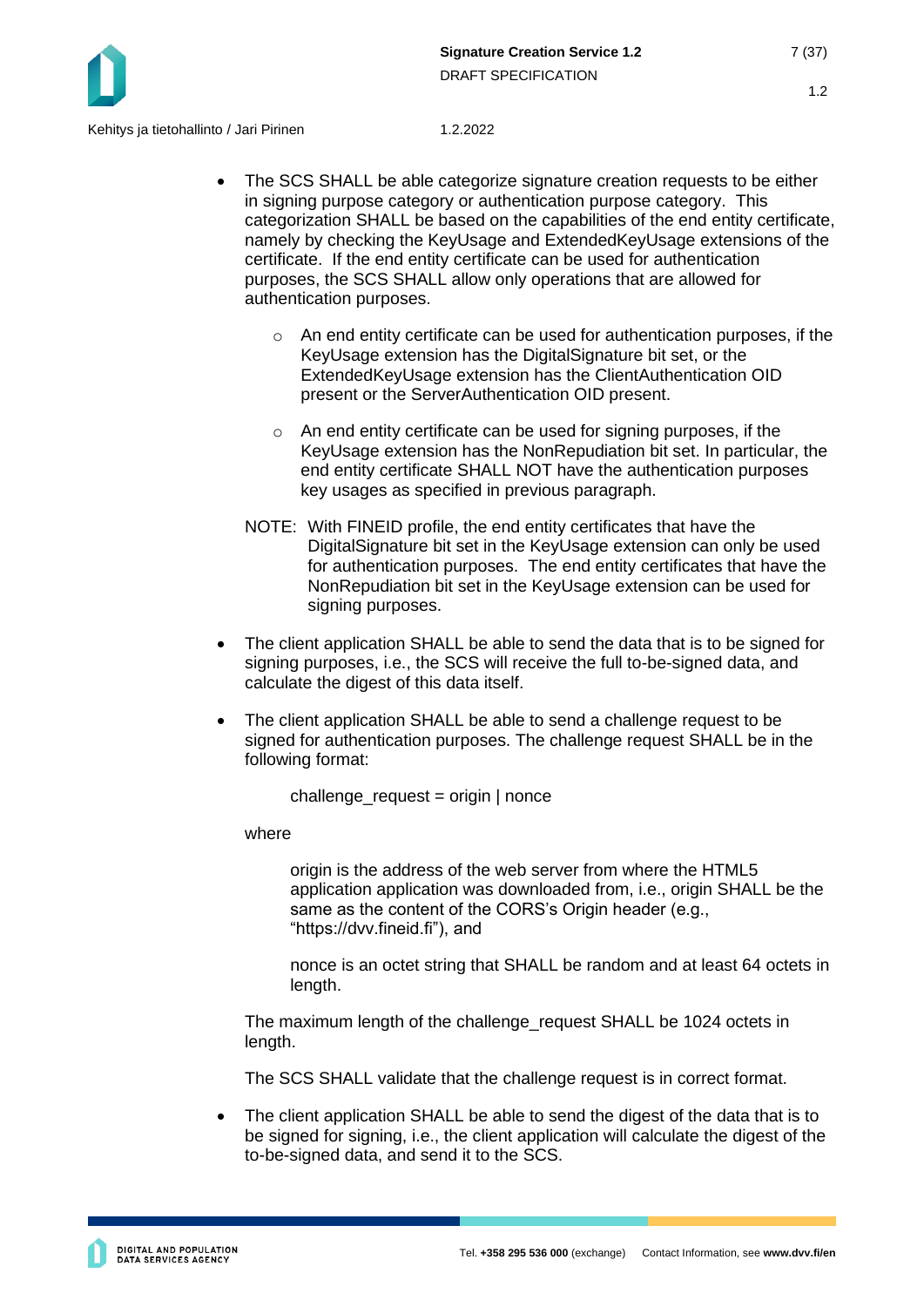

Kehitys ja tietohallinto / Jari Pirinen 1.2.2022

- The SCS SHALL be able categorize signature creation requests to be either in signing purpose category or authentication purpose category. This categorization SHALL be based on the capabilities of the end entity certificate, namely by checking the KeyUsage and ExtendedKeyUsage extensions of the certificate. If the end entity certificate can be used for authentication purposes, the SCS SHALL allow only operations that are allowed for authentication purposes.
	- $\circ$  An end entity certificate can be used for authentication purposes, if the KeyUsage extension has the DigitalSignature bit set, or the ExtendedKeyUsage extension has the ClientAuthentication OID present or the ServerAuthentication OID present.
	- o An end entity certificate can be used for signing purposes, if the KeyUsage extension has the NonRepudiation bit set. In particular, the end entity certificate SHALL NOT have the authentication purposes key usages as specified in previous paragraph.
	- NOTE: With FINEID profile, the end entity certificates that have the DigitalSignature bit set in the KeyUsage extension can only be used for authentication purposes. The end entity certificates that have the NonRepudiation bit set in the KeyUsage extension can be used for signing purposes.
- The client application SHALL be able to send the data that is to be signed for signing purposes, i.e., the SCS will receive the full to-be-signed data, and calculate the digest of this data itself.
- The client application SHALL be able to send a challenge request to be signed for authentication purposes. The challenge request SHALL be in the following format:

challenge  $request = origin | none$ 

where

origin is the address of the web server from where the HTML5 application application was downloaded from, i.e., origin SHALL be the same as the content of the CORS's Origin header (e.g., "https://dvv.fineid.fi"), and

nonce is an octet string that SHALL be random and at least 64 octets in length.

The maximum length of the challenge\_request SHALL be 1024 octets in length.

The SCS SHALL validate that the challenge request is in correct format.

The client application SHALL be able to send the digest of the data that is to be signed for signing, i.e., the client application will calculate the digest of the to-be-signed data, and send it to the SCS.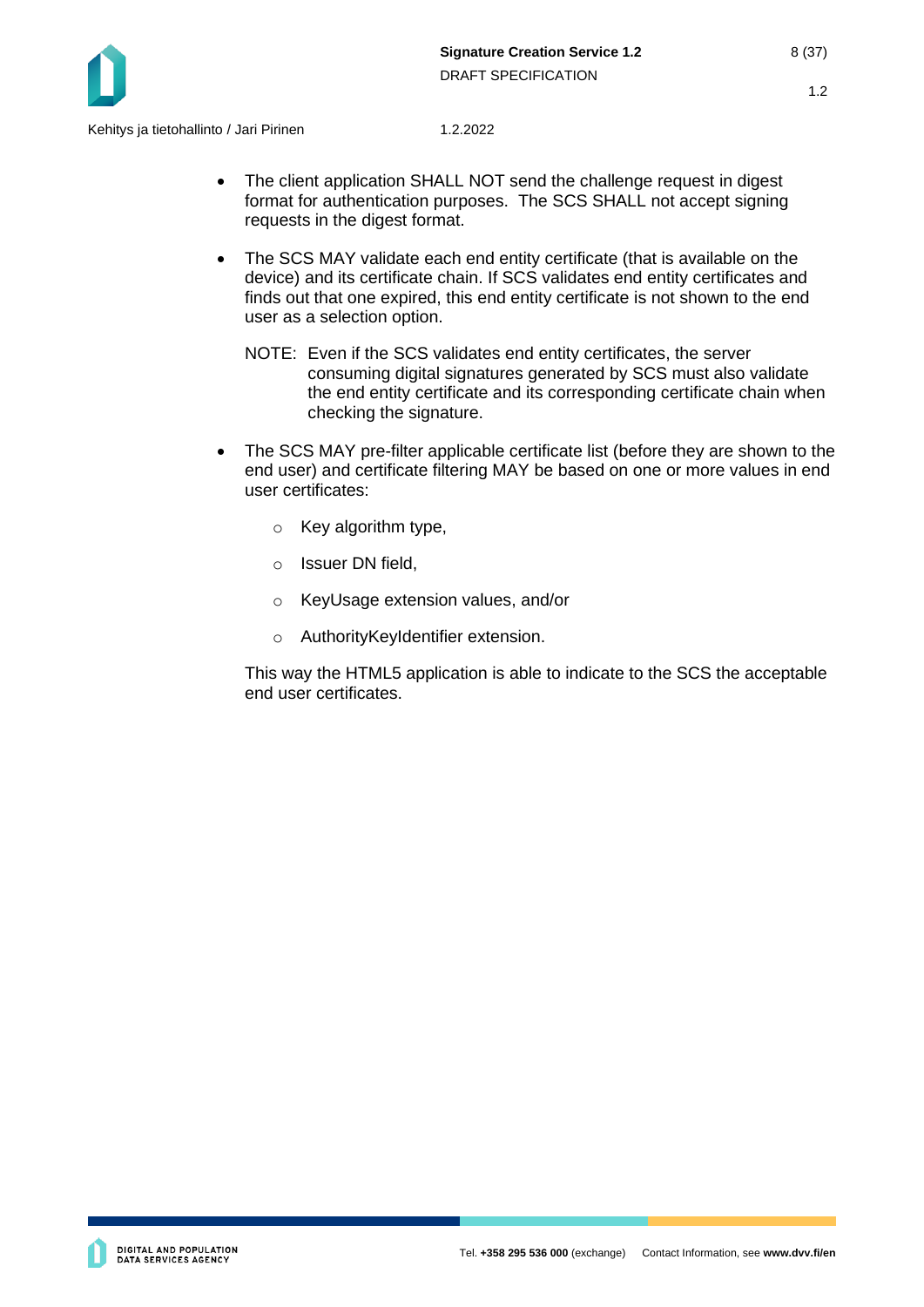

- The client application SHALL NOT send the challenge request in digest format for authentication purposes. The SCS SHALL not accept signing requests in the digest format.
- The SCS MAY validate each end entity certificate (that is available on the device) and its certificate chain. If SCS validates end entity certificates and finds out that one expired, this end entity certificate is not shown to the end user as a selection option.
	- NOTE: Even if the SCS validates end entity certificates, the server consuming digital signatures generated by SCS must also validate the end entity certificate and its corresponding certificate chain when checking the signature.
- The SCS MAY pre-filter applicable certificate list (before they are shown to the end user) and certificate filtering MAY be based on one or more values in end user certificates:
	- o Key algorithm type,
	- o Issuer DN field,
	- o KeyUsage extension values, and/or
	- o AuthorityKeyIdentifier extension.

This way the HTML5 application is able to indicate to the SCS the acceptable end user certificates.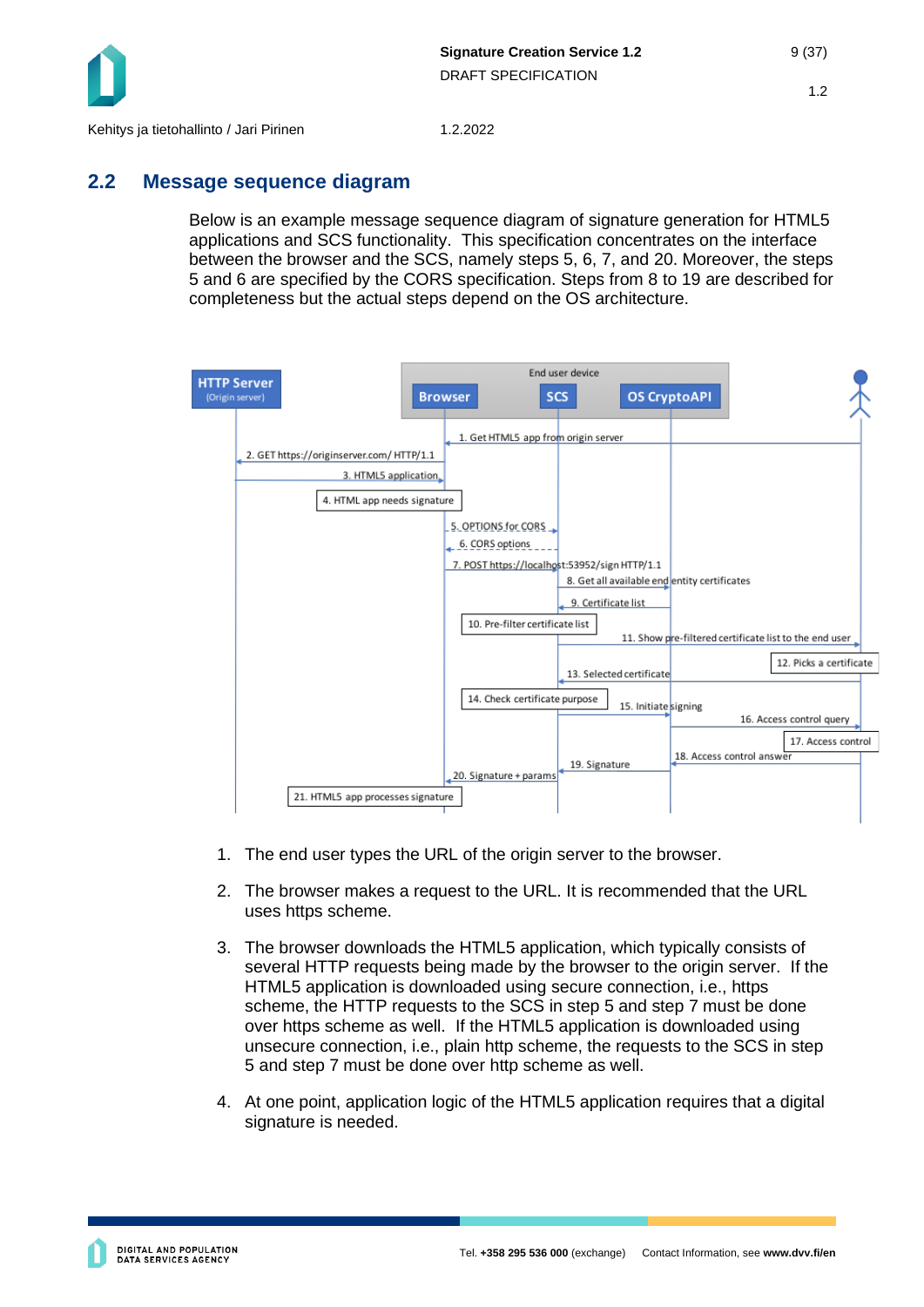

## <span id="page-8-0"></span>**2.2 Message sequence diagram**

Below is an example message sequence diagram of signature generation for HTML5 applications and SCS functionality. This specification concentrates on the interface between the browser and the SCS, namely steps 5, 6, 7, and 20. Moreover, the steps 5 and 6 are specified by the CORS specification. Steps from 8 to 19 are described for completeness but the actual steps depend on the OS architecture.



- 1. The end user types the URL of the origin server to the browser.
- 2. The browser makes a request to the URL. It is recommended that the URL uses https scheme.
- 3. The browser downloads the HTML5 application, which typically consists of several HTTP requests being made by the browser to the origin server. If the HTML5 application is downloaded using secure connection, i.e., https scheme, the HTTP requests to the SCS in step 5 and step 7 must be done over https scheme as well. If the HTML5 application is downloaded using unsecure connection, i.e., plain http scheme, the requests to the SCS in step 5 and step 7 must be done over http scheme as well.
- 4. At one point, application logic of the HTML5 application requires that a digital signature is needed.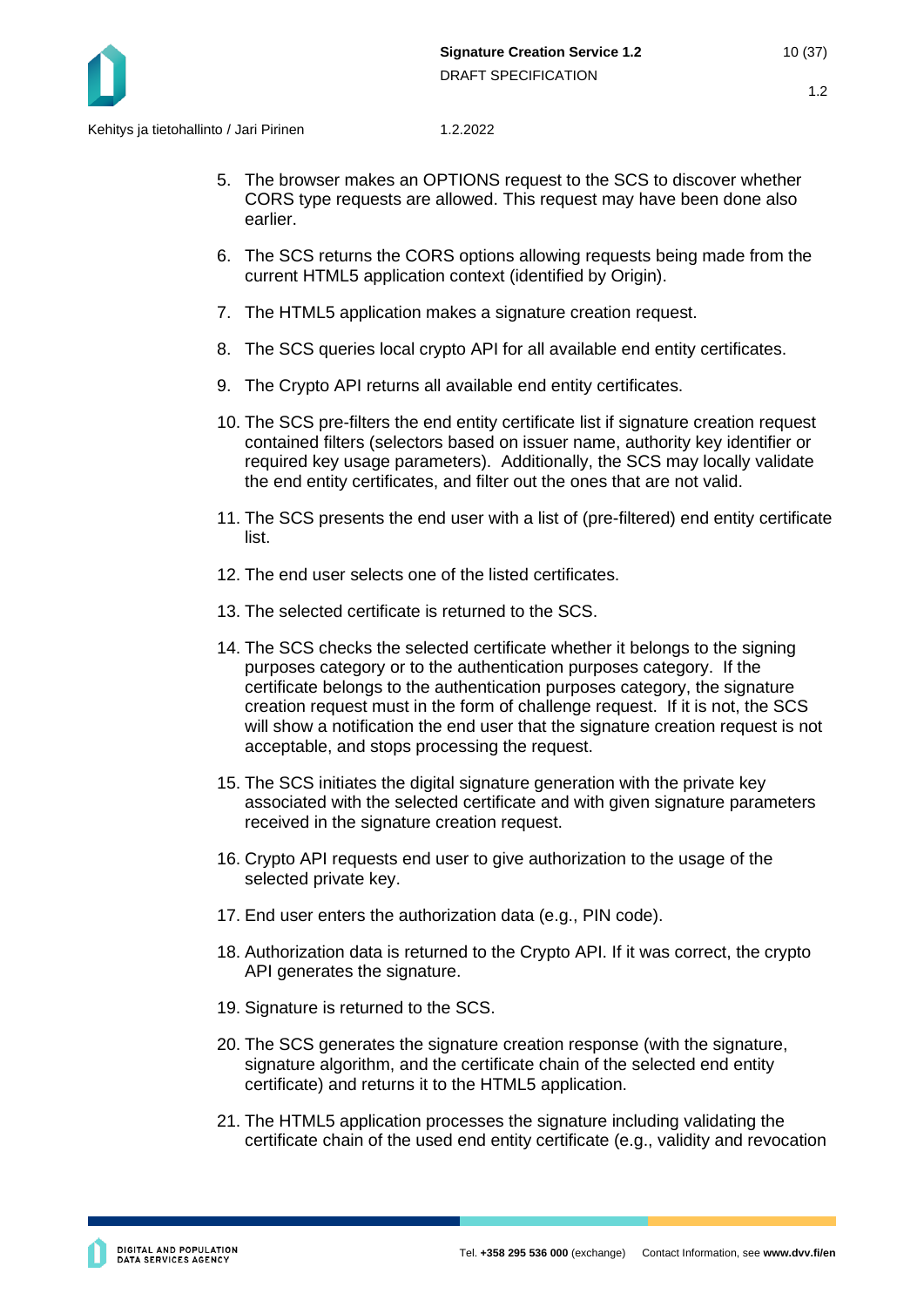

- 5. The browser makes an OPTIONS request to the SCS to discover whether CORS type requests are allowed. This request may have been done also earlier.
- 6. The SCS returns the CORS options allowing requests being made from the current HTML5 application context (identified by Origin).
- 7. The HTML5 application makes a signature creation request.
- 8. The SCS queries local crypto API for all available end entity certificates.
- 9. The Crypto API returns all available end entity certificates.
- 10. The SCS pre-filters the end entity certificate list if signature creation request contained filters (selectors based on issuer name, authority key identifier or required key usage parameters). Additionally, the SCS may locally validate the end entity certificates, and filter out the ones that are not valid.
- 11. The SCS presents the end user with a list of (pre-filtered) end entity certificate list.
- 12. The end user selects one of the listed certificates.
- 13. The selected certificate is returned to the SCS.
- 14. The SCS checks the selected certificate whether it belongs to the signing purposes category or to the authentication purposes category. If the certificate belongs to the authentication purposes category, the signature creation request must in the form of challenge request. If it is not, the SCS will show a notification the end user that the signature creation request is not acceptable, and stops processing the request.
- 15. The SCS initiates the digital signature generation with the private key associated with the selected certificate and with given signature parameters received in the signature creation request.
- 16. Crypto API requests end user to give authorization to the usage of the selected private key.
- 17. End user enters the authorization data (e.g., PIN code).
- 18. Authorization data is returned to the Crypto API. If it was correct, the crypto API generates the signature.
- 19. Signature is returned to the SCS.
- 20. The SCS generates the signature creation response (with the signature, signature algorithm, and the certificate chain of the selected end entity certificate) and returns it to the HTML5 application.
- 21. The HTML5 application processes the signature including validating the certificate chain of the used end entity certificate (e.g., validity and revocation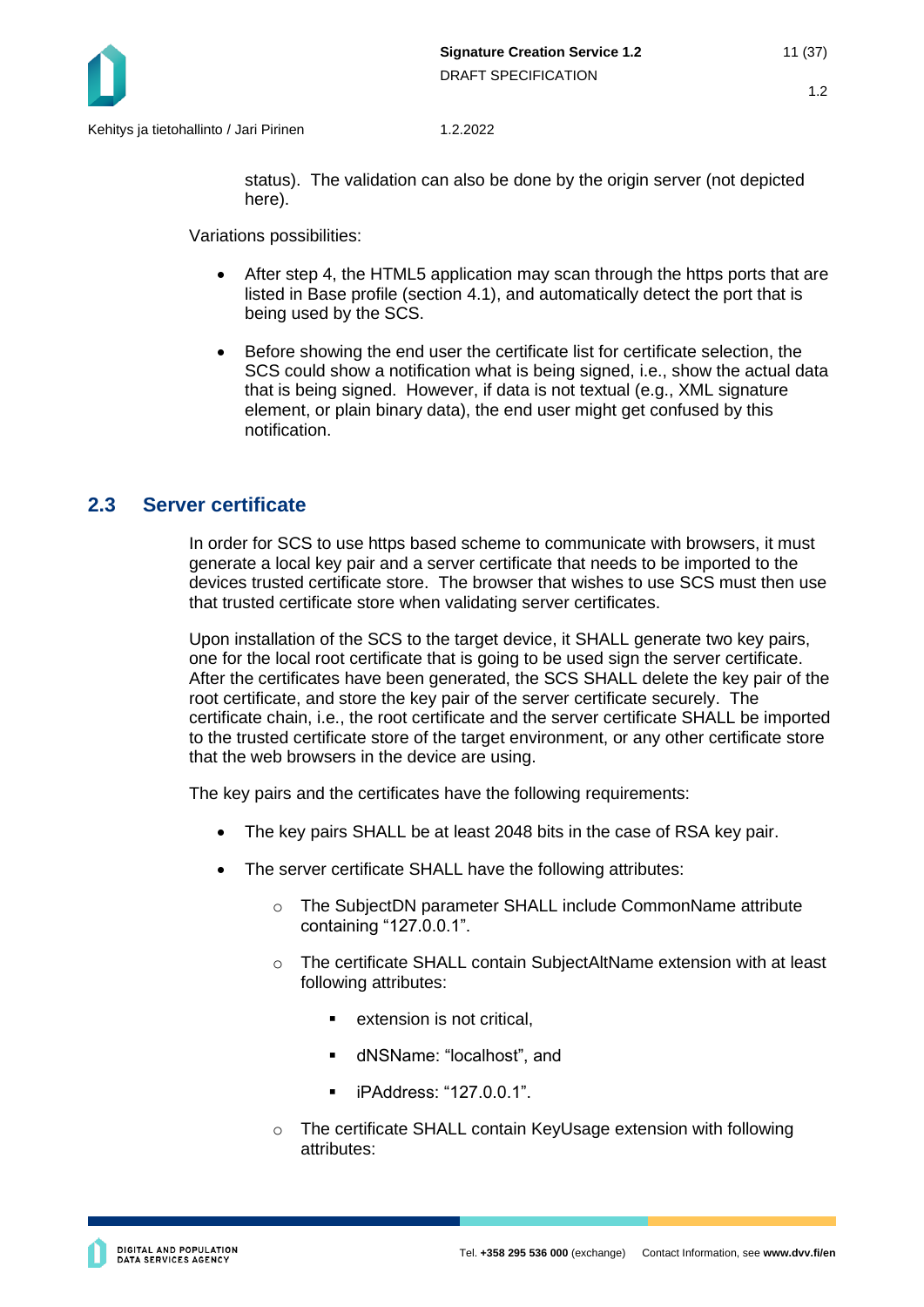

status). The validation can also be done by the origin server (not depicted here).

Variations possibilities:

- After step 4, the HTML5 application may scan through the https ports that are listed in Base profile (section [4.1\)](#page-34-1), and automatically detect the port that is being used by the SCS.
- Before showing the end user the certificate list for certificate selection, the SCS could show a notification what is being signed, i.e., show the actual data that is being signed. However, if data is not textual (e.g., XML signature element, or plain binary data), the end user might get confused by this notification.

## <span id="page-10-0"></span>**2.3 Server certificate**

In order for SCS to use https based scheme to communicate with browsers, it must generate a local key pair and a server certificate that needs to be imported to the devices trusted certificate store. The browser that wishes to use SCS must then use that trusted certificate store when validating server certificates.

Upon installation of the SCS to the target device, it SHALL generate two key pairs, one for the local root certificate that is going to be used sign the server certificate. After the certificates have been generated, the SCS SHALL delete the key pair of the root certificate, and store the key pair of the server certificate securely. The certificate chain, i.e., the root certificate and the server certificate SHALL be imported to the trusted certificate store of the target environment, or any other certificate store that the web browsers in the device are using.

The key pairs and the certificates have the following requirements:

- The key pairs SHALL be at least 2048 bits in the case of RSA key pair.
- The server certificate SHALL have the following attributes:
	- o The SubjectDN parameter SHALL include CommonName attribute containing "127.0.0.1".
	- o The certificate SHALL contain SubjectAltName extension with at least following attributes:
		- extension is not critical.
		- dNSName: "localhost", and
		- iPAddress: "127.0.0.1".
	- o The certificate SHALL contain KeyUsage extension with following attributes: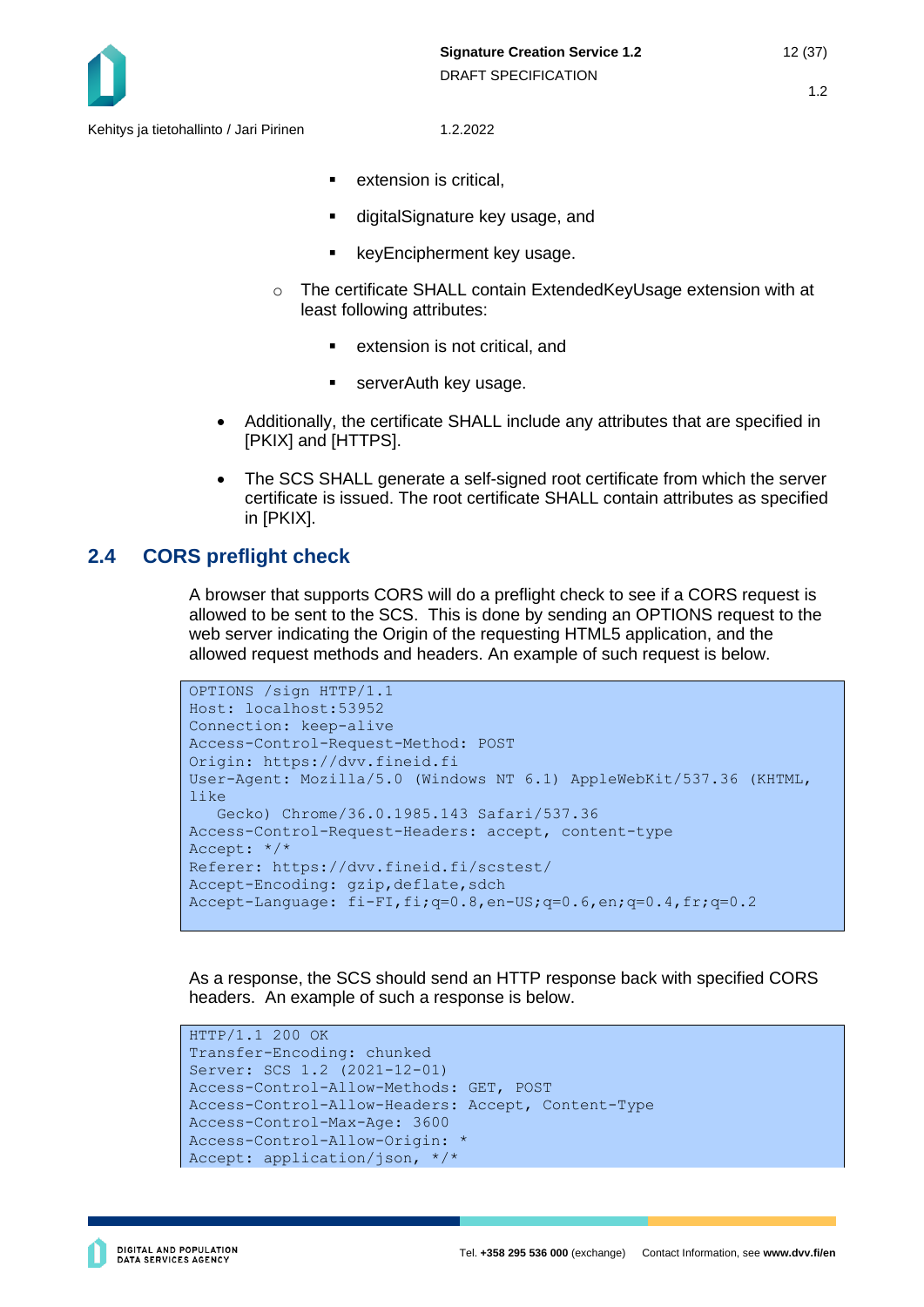

- extension is critical.
- digitalSignature key usage, and
- keyEncipherment key usage.
- o The certificate SHALL contain ExtendedKeyUsage extension with at least following attributes:
	- extension is not critical, and
	- **Exercicle** ServerAuth key usage.
- Additionally, the certificate SHALL include any attributes that are specified in [PKIX] and [HTTPS].
- The SCS SHALL generate a self-signed root certificate from which the server certificate is issued. The root certificate SHALL contain attributes as specified in [PKIX].

## <span id="page-11-0"></span>**2.4 CORS preflight check**

A browser that supports CORS will do a preflight check to see if a CORS request is allowed to be sent to the SCS. This is done by sending an OPTIONS request to the web server indicating the Origin of the requesting HTML5 application, and the allowed request methods and headers. An example of such request is below.

```
OPTIONS /sign HTTP/1.1
Host: localhost:53952
Connection: keep-alive
Access-Control-Request-Method: POST
Origin: https://dvv.fineid.fi
User-Agent: Mozilla/5.0 (Windows NT 6.1) AppleWebKit/537.36 (KHTML, 
like
    Gecko) Chrome/36.0.1985.143 Safari/537.36
Access-Control-Request-Headers: accept, content-type
Accept: */*
Referer: https://dvv.fineid.fi/scstest/
Accept-Encoding: gzip, deflate, sdch
Accept-Language: fi-FI,fi;q=0.8,en-US;q=0.6,en;q=0.4,fr;q=0.2
```
As a response, the SCS should send an HTTP response back with specified CORS headers. An example of such a response is below.

```
HTTP/1.1 200 OK
Transfer-Encoding: chunked
Server: SCS 1.2 (2021-12-01)
Access-Control-Allow-Methods: GET, POST
Access-Control-Allow-Headers: Accept, Content-Type
Access-Control-Max-Age: 3600
Access-Control-Allow-Origin: *
Accept: application/json, */*
```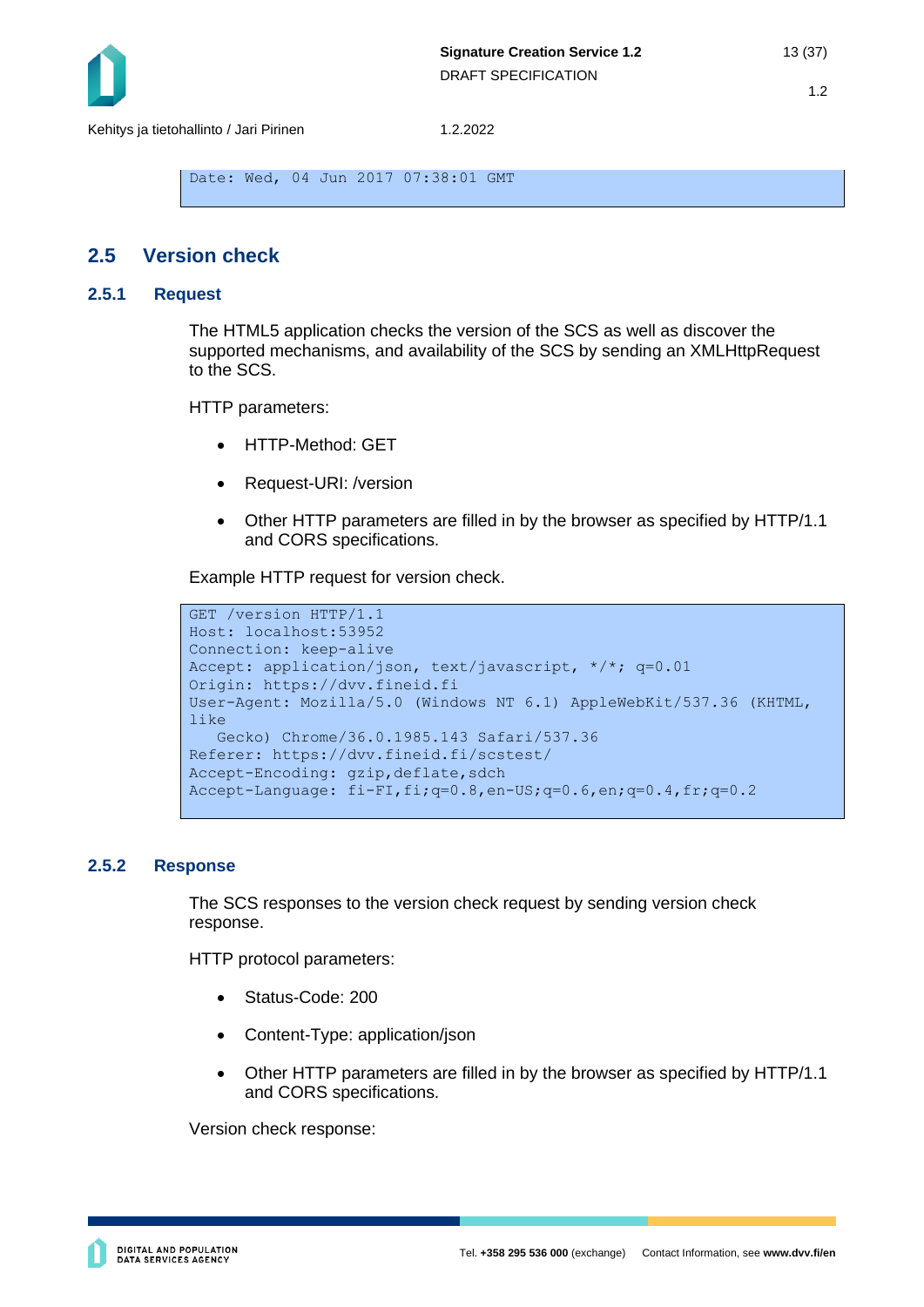

```
Date: Wed, 04 Jun 2017 07:38:01 GMT
```
#### <span id="page-12-0"></span>**2.5 Version check**

#### <span id="page-12-1"></span>**2.5.1 Request**

The HTML5 application checks the version of the SCS as well as discover the supported mechanisms, and availability of the SCS by sending an XMLHttpRequest to the SCS.

HTTP parameters:

- HTTP-Method: GET
- Request-URI: /version
- Other HTTP parameters are filled in by the browser as specified by HTTP/1.1 and CORS specifications.

Example HTTP request for version check.

```
GET /version HTTP/1.1
Host: localhost:53952
Connection: keep-alive
Accept: application/json, text/javascript, */*; q=0.01
Origin: https://dvv.fineid.fi
User-Agent: Mozilla/5.0 (Windows NT 6.1) AppleWebKit/537.36 (KHTML, 
like 
    Gecko) Chrome/36.0.1985.143 Safari/537.36
Referer: https://dvv.fineid.fi/scstest/
Accept-Encoding: gzip, deflate, sdch
Accept-Language: fi-FI,fi;q=0.8,en-US;q=0.6,en;q=0.4,fr;q=0.2
```
#### <span id="page-12-2"></span>**2.5.2 Response**

The SCS responses to the version check request by sending version check response.

HTTP protocol parameters:

- Status-Code: 200
- Content-Type: application/json
- Other HTTP parameters are filled in by the browser as specified by HTTP/1.1 and CORS specifications.

Version check response: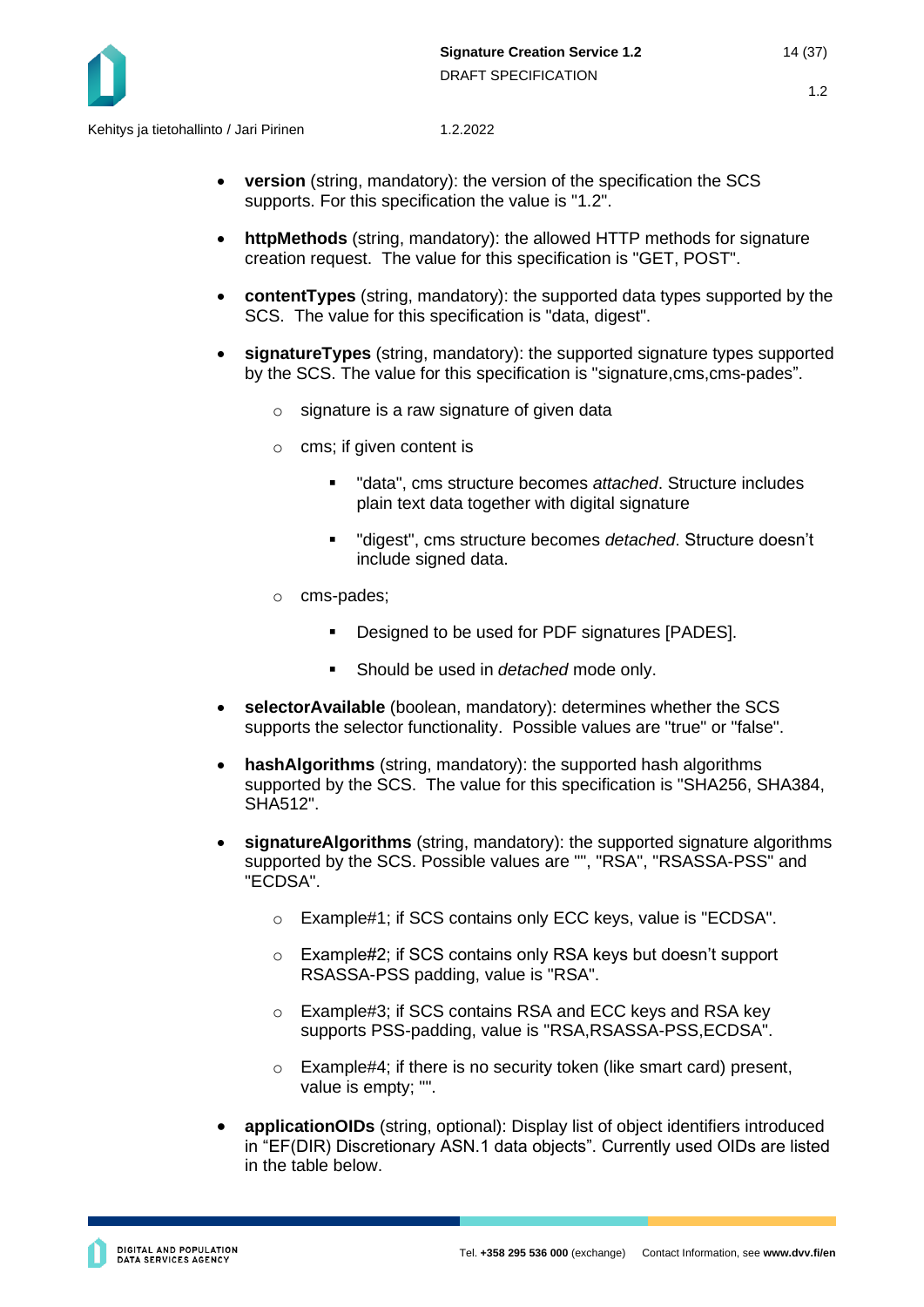- **version** (string, mandatory): the version of the specification the SCS supports. For this specification the value is "1.2".
- **httpMethods** (string, mandatory): the allowed HTTP methods for signature creation request. The value for this specification is "GET, POST".
- **contentTypes** (string, mandatory): the supported data types supported by the SCS. The value for this specification is "data, digest".
- **signatureTypes** (string, mandatory): the supported signature types supported by the SCS. The value for this specification is "signature,cms,cms-pades".
	- $\circ$  signature is a raw signature of given data
	- o cms; if given content is
		- "data", cms structure becomes *attached*. Structure includes plain text data together with digital signature
		- "digest", cms structure becomes *detached*. Structure doesn't include signed data.
	- o cms-pades;
		- Designed to be used for PDF signatures [PADES].
		- Should be used in *detached* mode only.
- **selectorAvailable** (boolean, mandatory): determines whether the SCS supports the selector functionality. Possible values are "true" or "false".
- **hashAlgorithms** (string, mandatory): the supported hash algorithms supported by the SCS. The value for this specification is "SHA256, SHA384, SHA512".
- **signatureAlgorithms** (string, mandatory): the supported signature algorithms supported by the SCS. Possible values are "", "RSA", "RSASSA-PSS" and "ECDSA".
	- o Example#1; if SCS contains only ECC keys, value is "ECDSA".
	- o Example#2; if SCS contains only RSA keys but doesn't support RSASSA-PSS padding, value is "RSA".
	- o Example#3; if SCS contains RSA and ECC keys and RSA key supports PSS-padding, value is "RSA,RSASSA-PSS,ECDSA".
	- o Example#4; if there is no security token (like smart card) present, value is empty; "".
- **applicationOIDs** (string, optional): Display list of object identifiers introduced in "EF(DIR) Discretionary ASN.1 data objects". Currently used OIDs are listed in the table below.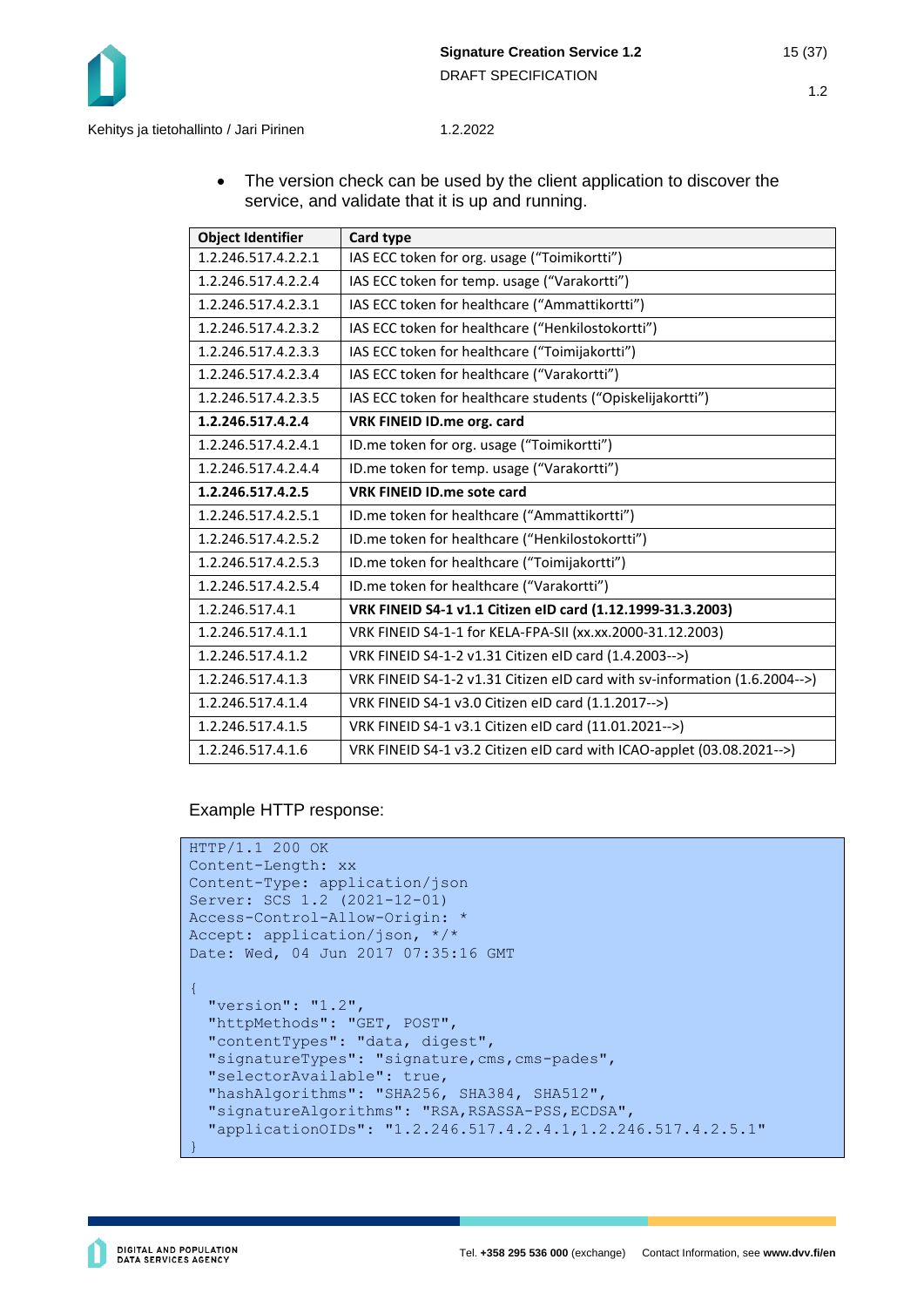

• The version check can be used by the client application to discover the service, and validate that it is up and running.

| <b>Object Identifier</b> | Card type                                                                  |  |
|--------------------------|----------------------------------------------------------------------------|--|
| 1.2.246.517.4.2.2.1      | IAS ECC token for org. usage ("Toimikortti")                               |  |
| 1.2.246.517.4.2.2.4      | IAS ECC token for temp. usage ("Varakortti")                               |  |
| 1.2.246.517.4.2.3.1      | IAS ECC token for healthcare ("Ammattikortti")                             |  |
| 1.2.246.517.4.2.3.2      | IAS ECC token for healthcare ("Henkilostokortti")                          |  |
| 1.2.246.517.4.2.3.3      | IAS ECC token for healthcare ("Toimijakortti")                             |  |
| 1.2.246.517.4.2.3.4      | IAS ECC token for healthcare ("Varakortti")                                |  |
| 1.2.246.517.4.2.3.5      | IAS ECC token for healthcare students ("Opiskelijakortti")                 |  |
| 1.2.246.517.4.2.4        | VRK FINEID ID.me org. card                                                 |  |
| 1.2.246.517.4.2.4.1      | ID.me token for org. usage ("Toimikortti")                                 |  |
| 1.2.246.517.4.2.4.4      | ID.me token for temp. usage ("Varakortti")                                 |  |
| 1.2.246.517.4.2.5        | <b>VRK FINEID ID.me sote card</b>                                          |  |
| 1.2.246.517.4.2.5.1      | ID.me token for healthcare ("Ammattikortti")                               |  |
| 1.2.246.517.4.2.5.2      | ID.me token for healthcare ("Henkilostokortti")                            |  |
| 1.2.246.517.4.2.5.3      | ID.me token for healthcare ("Toimijakortti")                               |  |
| 1.2.246.517.4.2.5.4      | ID.me token for healthcare ("Varakortti")                                  |  |
| 1.2.246.517.4.1          | VRK FINEID S4-1 v1.1 Citizen eID card (1.12.1999-31.3.2003)                |  |
| 1.2.246.517.4.1.1        | VRK FINEID S4-1-1 for KELA-FPA-SII (xx.xx.2000-31.12.2003)                 |  |
| 1.2.246.517.4.1.2        | VRK FINEID S4-1-2 v1.31 Citizen eID card (1.4.2003-->)                     |  |
| 1.2.246.517.4.1.3        | VRK FINEID S4-1-2 v1.31 Citizen eID card with sv-information (1.6.2004-->) |  |
| 1.2.246.517.4.1.4        | VRK FINEID S4-1 v3.0 Citizen eID card (1.1.2017-->)                        |  |
| 1.2.246.517.4.1.5        | VRK FINEID S4-1 v3.1 Citizen eID card (11.01.2021-->)                      |  |
| 1.2.246.517.4.1.6        | VRK FINEID S4-1 v3.2 Citizen eID card with ICAO-applet (03.08.2021-->)     |  |

Example HTTP response:

```
HTTP/1.1 200 OK
Content-Length: xx
Content-Type: application/json
Server: SCS 1.2 (2021-12-01)
Access-Control-Allow-Origin: *
Accept: application/json, */*
Date: Wed, 04 Jun 2017 07:35:16 GMT 
{ 
   "version": "1.2",
  "httpMethods": "GET, POST",
  "contentTypes": "data, digest",
   "signatureTypes": "signature,cms,cms-pades",
   "selectorAvailable": true,
  "hashAlgorithms": "SHA256, SHA384, SHA512",
   "signatureAlgorithms": "RSA,RSASSA-PSS,ECDSA",
   "applicationOIDs": "1.2.246.517.4.2.4.1,1.2.246.517.4.2.5.1"
}
```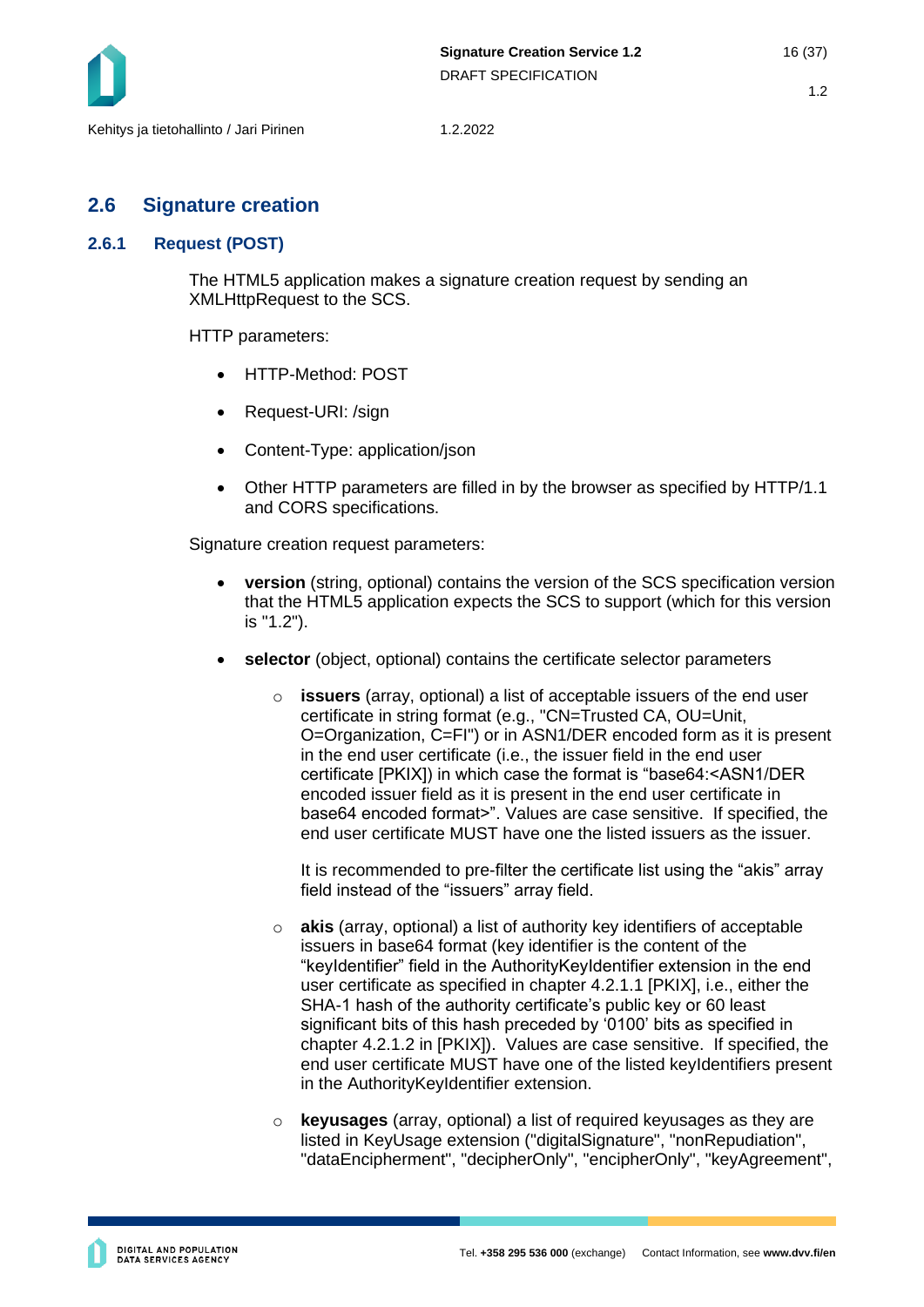## <span id="page-15-0"></span>**2.6 Signature creation**

#### <span id="page-15-1"></span>**2.6.1 Request (POST)**

The HTML5 application makes a signature creation request by sending an XMLHttpRequest to the SCS.

HTTP parameters:

- HTTP-Method: POST
- Request-URI: /sign
- Content-Type: application/json
- Other HTTP parameters are filled in by the browser as specified by HTTP/1.1 and CORS specifications.

Signature creation request parameters:

- **version** (string, optional) contains the version of the SCS specification version that the HTML5 application expects the SCS to support (which for this version is "1.2").
- **selector** (object, optional) contains the certificate selector parameters
	- o **issuers** (array, optional) a list of acceptable issuers of the end user certificate in string format (e.g., "CN=Trusted CA, OU=Unit, O=Organization, C=FI") or in ASN1/DER encoded form as it is present in the end user certificate (i.e., the issuer field in the end user certificate [PKIX]) in which case the format is "base64:<ASN1/DER encoded issuer field as it is present in the end user certificate in base64 encoded format>". Values are case sensitive. If specified, the end user certificate MUST have one the listed issuers as the issuer.

It is recommended to pre-filter the certificate list using the "akis" array field instead of the "issuers" array field.

- o **akis** (array, optional) a list of authority key identifiers of acceptable issuers in base64 format (key identifier is the content of the "keyIdentifier" field in the AuthorityKeyIdentifier extension in the end user certificate as specified in chapter 4.2.1.1 [PKIX], i.e., either the SHA-1 hash of the authority certificate's public key or 60 least significant bits of this hash preceded by '0100' bits as specified in chapter 4.2.1.2 in [PKIX]). Values are case sensitive. If specified, the end user certificate MUST have one of the listed keyIdentifiers present in the AuthorityKeyIdentifier extension.
- o **keyusages** (array, optional) a list of required keyusages as they are listed in KeyUsage extension ("digitalSignature", "nonRepudiation", "dataEncipherment", "decipherOnly", "encipherOnly", "keyAgreement",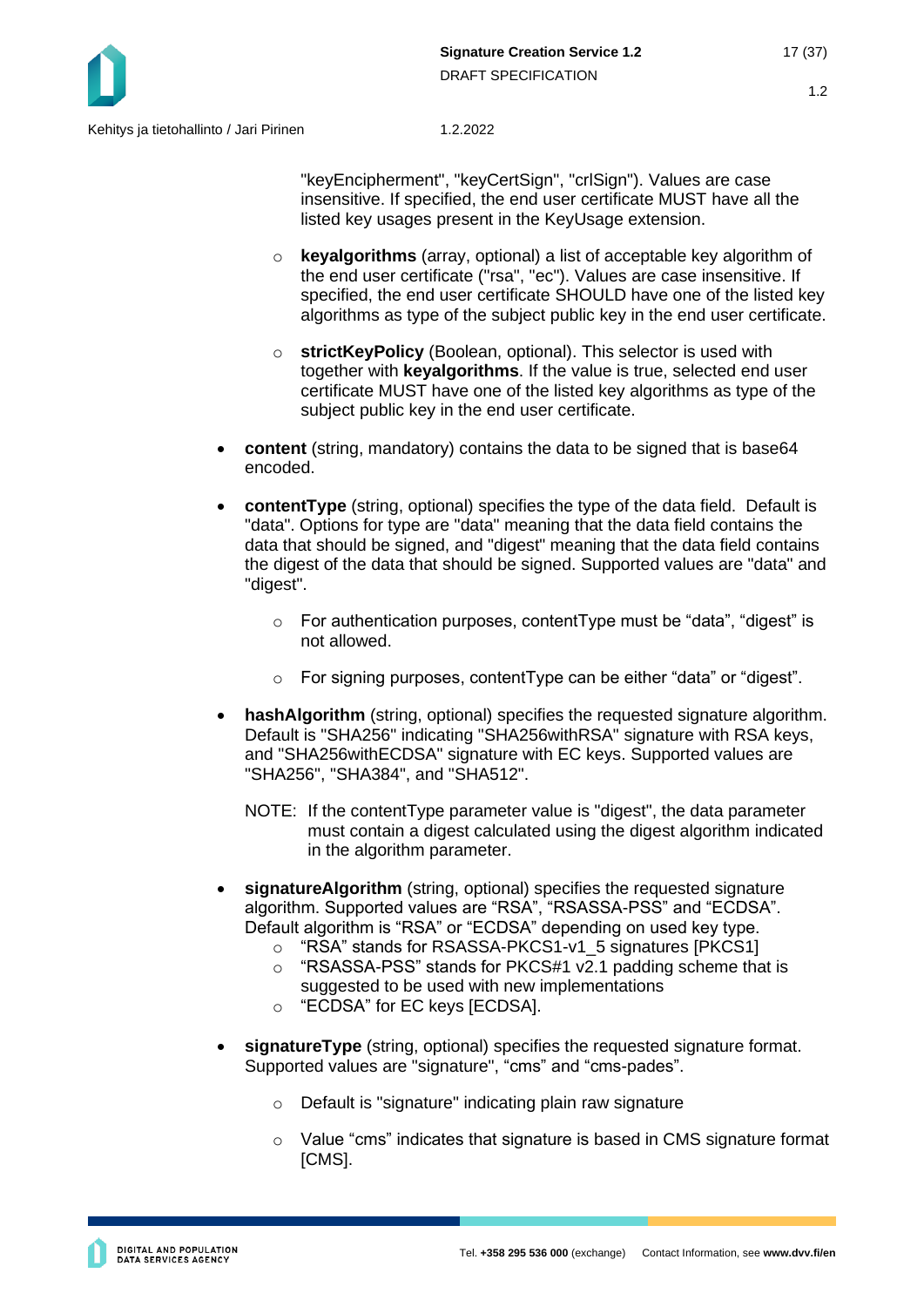

"keyEncipherment", "keyCertSign", "crlSign"). Values are case insensitive. If specified, the end user certificate MUST have all the listed key usages present in the KeyUsage extension.

- o **keyalgorithms** (array, optional) a list of acceptable key algorithm of the end user certificate ("rsa", "ec"). Values are case insensitive. If specified, the end user certificate SHOULD have one of the listed key algorithms as type of the subject public key in the end user certificate.
- o **strictKeyPolicy** (Boolean, optional). This selector is used with together with **keyalgorithms**. If the value is true, selected end user certificate MUST have one of the listed key algorithms as type of the subject public key in the end user certificate.
- **content** (string, mandatory) contains the data to be signed that is base64 encoded.
- **contentType** (string, optional) specifies the type of the data field. Default is "data". Options for type are "data" meaning that the data field contains the data that should be signed, and "digest" meaning that the data field contains the digest of the data that should be signed. Supported values are "data" and "digest".
	- o For authentication purposes, contentType must be "data", "digest" is not allowed.
	- o For signing purposes, contentType can be either "data" or "digest".
- **hashAlgorithm** (string, optional) specifies the requested signature algorithm. Default is "SHA256" indicating "SHA256withRSA" signature with RSA keys, and "SHA256withECDSA" signature with EC keys. Supported values are "SHA256", "SHA384", and "SHA512".
	- NOTE: If the contentType parameter value is "digest", the data parameter must contain a digest calculated using the digest algorithm indicated in the algorithm parameter.
- **signatureAlgorithm** (string, optional) specifies the requested signature algorithm. Supported values are "RSA", "RSASSA-PSS" and "ECDSA". Default algorithm is "RSA" or "ECDSA" depending on used key type.
	- o "RSA" stands for RSASSA-PKCS1-v1\_5 signatures [PKCS1]
	- o "RSASSA-PSS" stands for PKCS#1 v2.1 padding scheme that is suggested to be used with new implementations
	- o "ECDSA" for EC keys [ECDSA].
- **signatureType** (string, optional) specifies the requested signature format. Supported values are "signature", "cms" and "cms-pades".
	- o Default is "signature" indicating plain raw signature
	- $\circ$  Value "cms" indicates that signature is based in CMS signature format [CMS].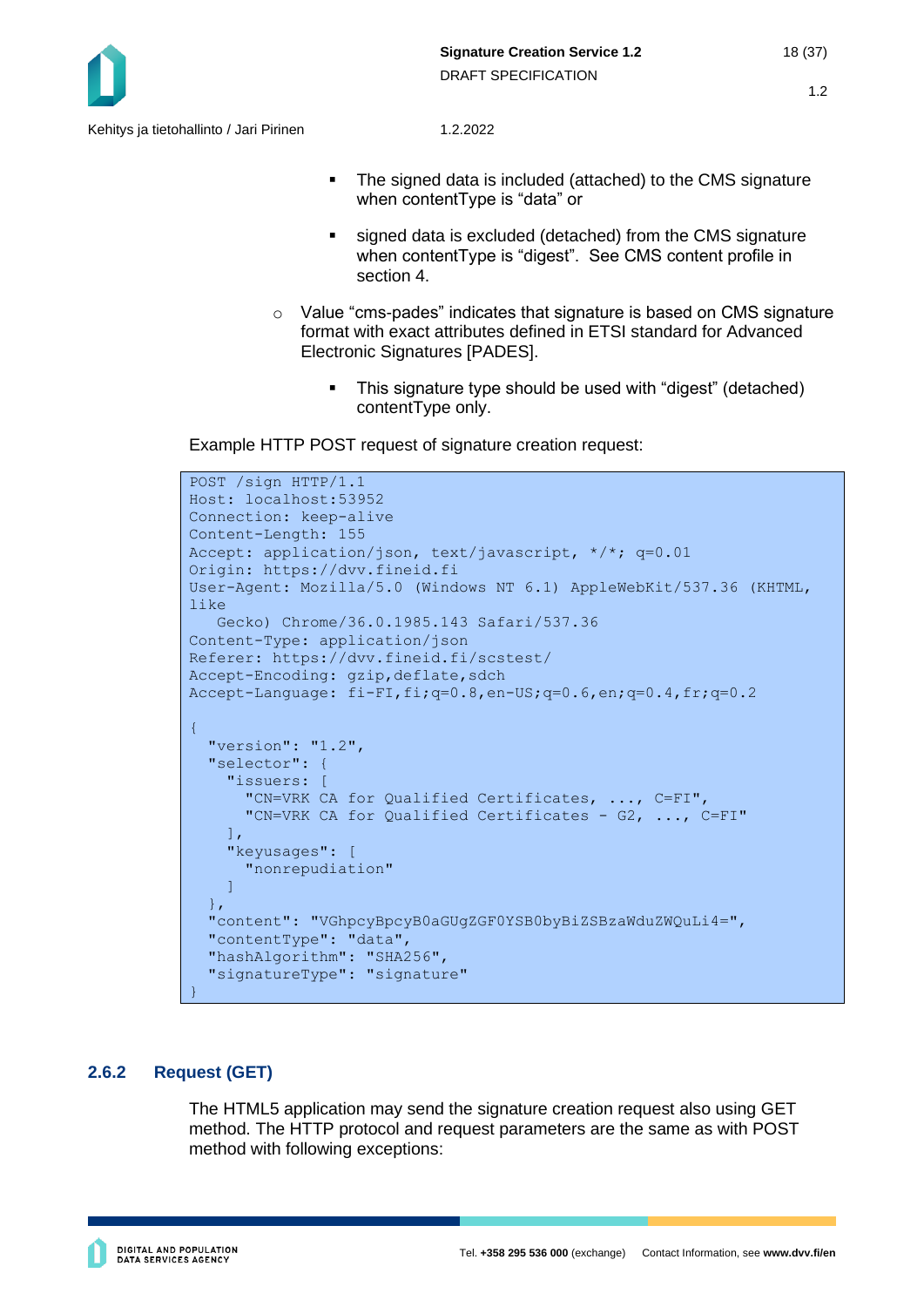

- The signed data is included (attached) to the CMS signature when contentType is "data" or
- signed data is excluded (detached) from the CMS signature when contentType is "digest". See CMS content profile in section 4.
- $\circ$  Value "cms-pades" indicates that signature is based on CMS signature format with exact attributes defined in ETSI standard for Advanced Electronic Signatures [PADES].
	- This signature type should be used with "digest" (detached) contentType only.

Example HTTP POST request of signature creation request:

```
POST /sign HTTP/1.1
Host: localhost:53952
Connection: keep-alive
Content-Length: 155
Accept: application/json, text/javascript, */*; q=0.01
Origin: https://dvv.fineid.fi
User-Agent: Mozilla/5.0 (Windows NT 6.1) AppleWebKit/537.36 (KHTML, 
like 
    Gecko) Chrome/36.0.1985.143 Safari/537.36
Content-Type: application/json
Referer: https://dvv.fineid.fi/scstest/
Accept-Encoding: gzip, deflate, sdch
Accept-Lanquaae: fi-FI, fi;q=0.8,en-US;q=0.6,en;q=0.4,fr;q=0.2{
   "version": "1.2",
   "selector": {
    "issuers: [
       "CN=VRK CA for Qualified Certificates, ..., C=FI",
       "CN=VRK CA for Qualified Certificates - G2, ..., C=FI" 
    \vert,
     "keyusages": [
       "nonrepudiation" 
     ]
  \},
   "content": "VGhpcyBpcyB0aGUgZGF0YSB0byBiZSBzaWduZWQuLi4=",
   "contentType": "data",
   "hashAlgorithm": "SHA256",
   "signatureType": "signature"
}
```
#### <span id="page-17-0"></span>**2.6.2 Request (GET)**

The HTML5 application may send the signature creation request also using GET method. The HTTP protocol and request parameters are the same as with POST method with following exceptions: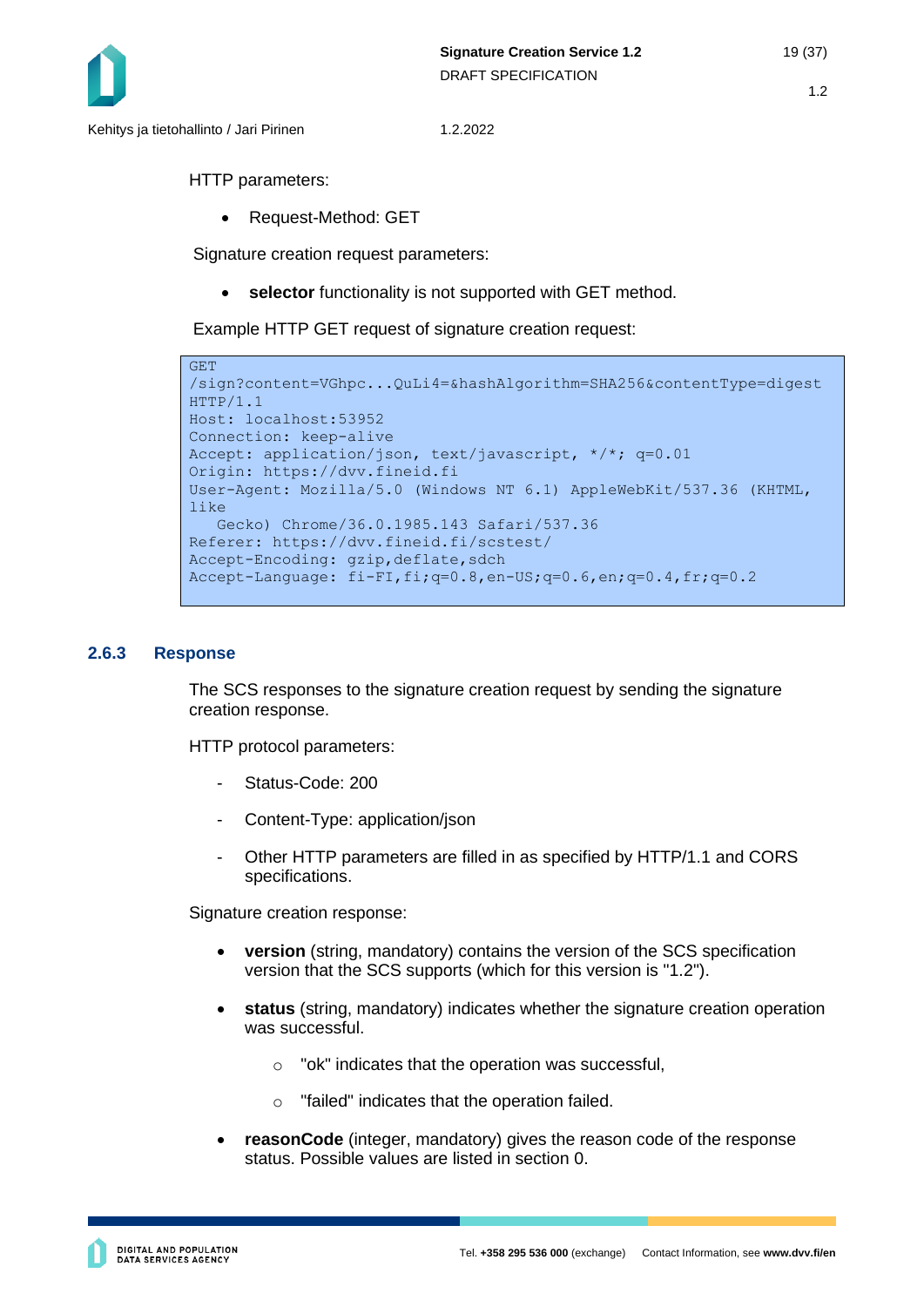

Kehitys ja tietohallinto / Jari Pirinen 1.2.2022

HTTP parameters:

• Request-Method: GET

Signature creation request parameters:

• **selector** functionality is not supported with GET method.

Example HTTP GET request of signature creation request:

```
GET 
/sign?content=VGhpc...QuLi4=&hashAlgorithm=SHA256&contentType=digest
HTTP/1.1
Host: localhost:53952
Connection: keep-alive
Accept: application/json, text/javascript, */*; q=0.01
Origin: https://dvv.fineid.fi
User-Agent: Mozilla/5.0 (Windows NT 6.1) AppleWebKit/537.36 (KHTML, 
like 
    Gecko) Chrome/36.0.1985.143 Safari/537.36
Referer: https://dvv.fineid.fi/scstest/
Accept-Encoding: gzip, deflate, sdch
Accept-Language: fi-FI,fi;q=0.8,en-US;q=0.6,en;q=0.4,fr;q=0.2
```
#### <span id="page-18-0"></span>**2.6.3 Response**

The SCS responses to the signature creation request by sending the signature creation response.

HTTP protocol parameters:

- Status-Code: 200
- Content-Type: application/json
- Other HTTP parameters are filled in as specified by HTTP/1.1 and CORS specifications.

Signature creation response:

- **version** (string, mandatory) contains the version of the SCS specification version that the SCS supports (which for this version is "1.2").
- **status** (string, mandatory) indicates whether the signature creation operation was successful.
	- o "ok" indicates that the operation was successful,
	- o "failed" indicates that the operation failed.
- **reasonCode** (integer, mandatory) gives the reason code of the response status. Possible values are listed in section [0.](#page-20-0)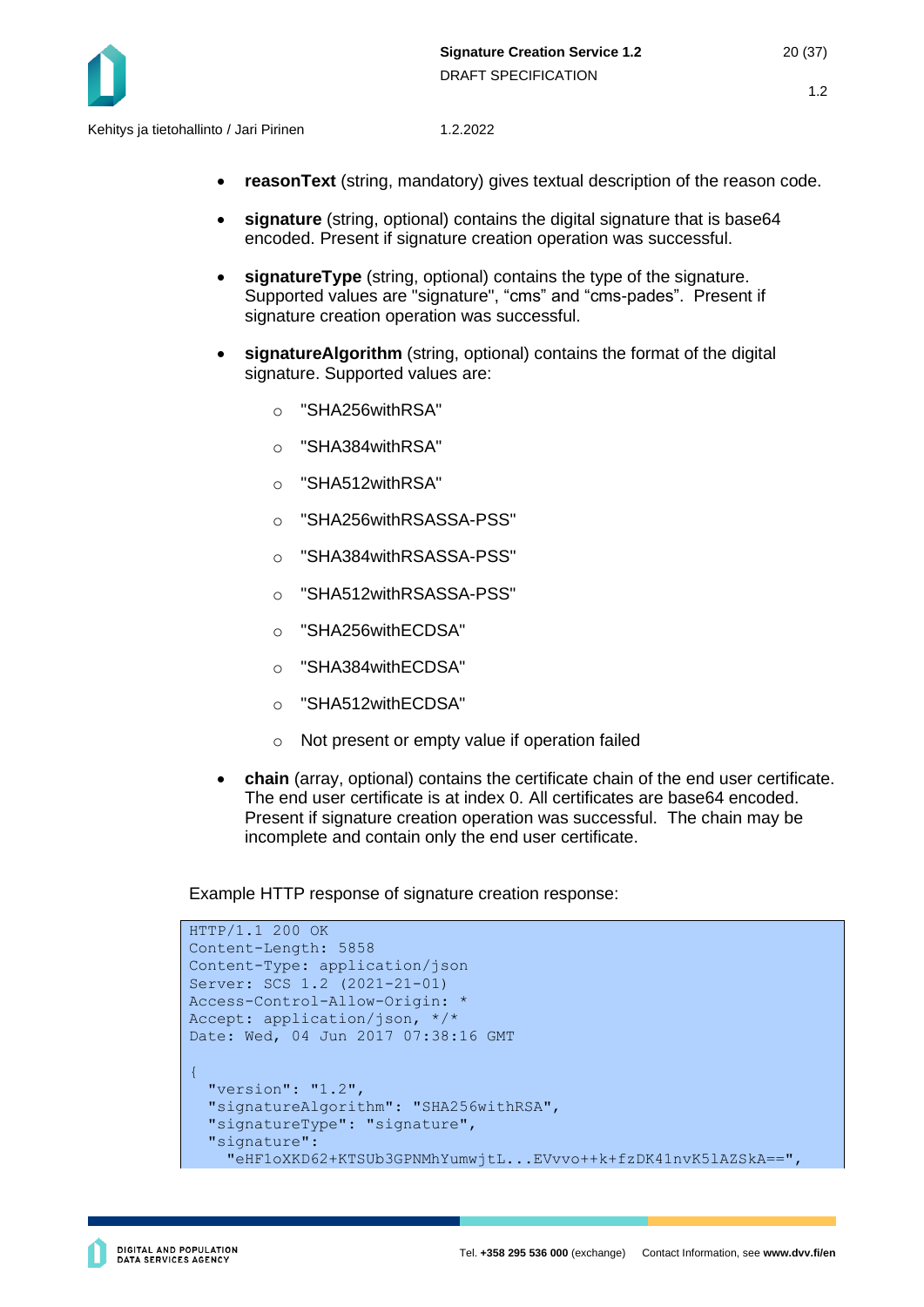

- **reasonText** (string, mandatory) gives textual description of the reason code.
- **signature** (string, optional) contains the digital signature that is base64 encoded. Present if signature creation operation was successful.
- **signatureType** (string, optional) contains the type of the signature. Supported values are "signature", "cms" and "cms-pades". Present if signature creation operation was successful.
- **signatureAlgorithm** (string, optional) contains the format of the digital signature. Supported values are:
	- o "SHA256withRSA"
	- o "SHA384withRSA"
	- o "SHA512withRSA"
	- o "SHA256withRSASSA-PSS"
	- o "SHA384withRSASSA-PSS"
	- o "SHA512withRSASSA-PSS"
	- o "SHA256withECDSA"
	- o "SHA384withECDSA"
	- o "SHA512withECDSA"
	- o Not present or empty value if operation failed
- **chain** (array, optional) contains the certificate chain of the end user certificate. The end user certificate is at index 0. All certificates are base64 encoded. Present if signature creation operation was successful. The chain may be incomplete and contain only the end user certificate.

Example HTTP response of signature creation response:

```
HTTP/1.1 200 OK
Content-Length: 5858
Content-Type: application/json
Server: SCS 1.2 (2021-21-01)
Access-Control-Allow-Origin: *
Accept: application/json, */*
Date: Wed, 04 Jun 2017 07:38:16 GMT 
{ 
   "version": "1.2",
   "signatureAlgorithm": "SHA256withRSA",
   "signatureType": "signature",
   "signature":
     "eHF1oXKD62+KTSUb3GPNMhYumwjtL...EVvvo++k+fzDK41nvK5lAZSkA==",
```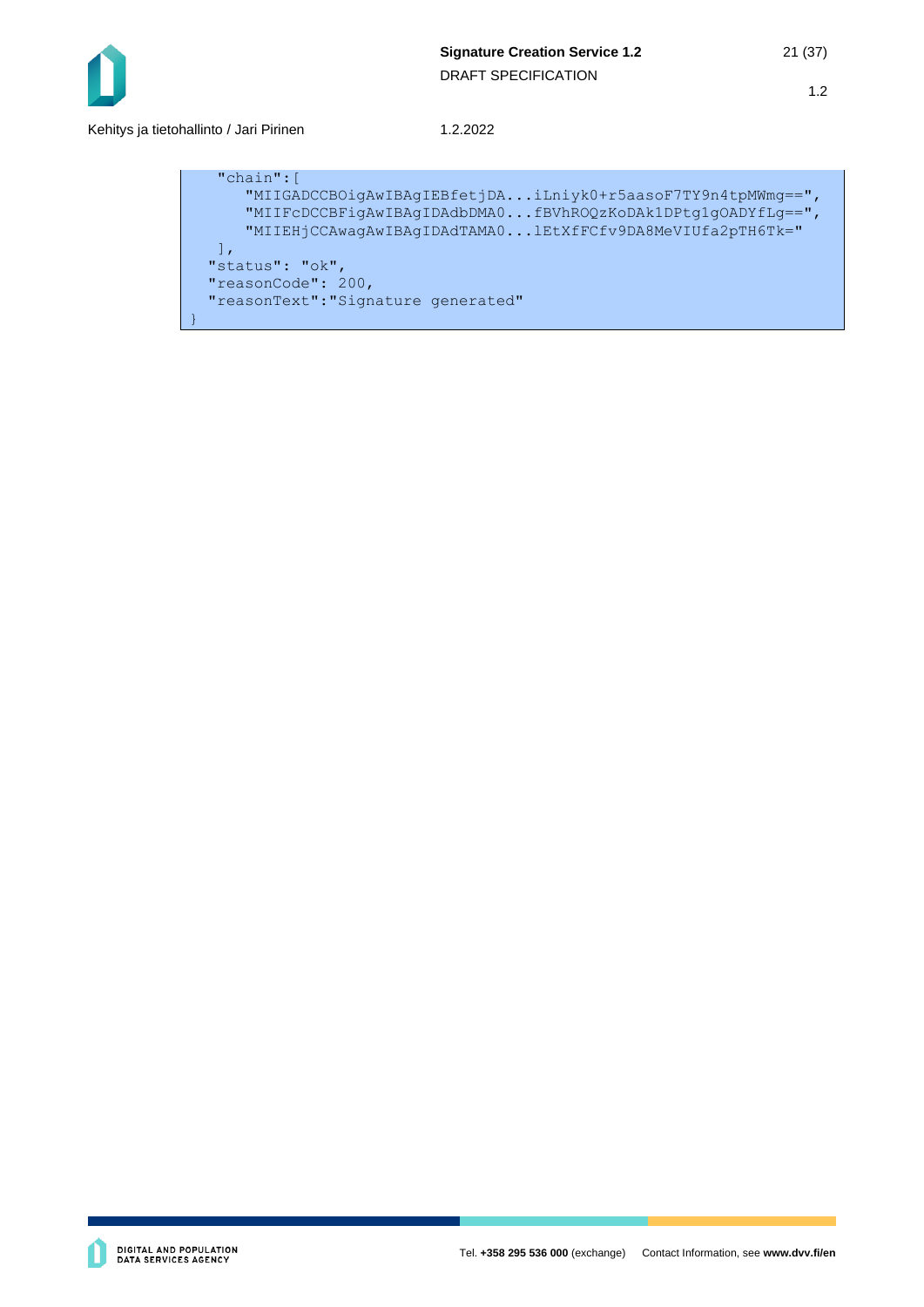

Kehitys ja tietohallinto / Jari Pirinen 1.2.2022

```
 "chain":[
       "MIIGADCCBOigAwIBAgIEBfetjDA...iLniyk0+r5aasoF7TY9n4tpMWmg==",
       "MIIFcDCCBFigAwIBAgIDAdbDMA0...fBVhROQzKoDAk1DPtg1gOADYfLg==",
       "MIIEHjCCAwagAwIBAgIDAdTAMA0...lEtXfFCfv9DA8MeVIUfa2pTH6Tk=" 
   ],
  "status": "ok",
  "reasonCode": 200,
  "reasonText":"Signature generated"
}
```
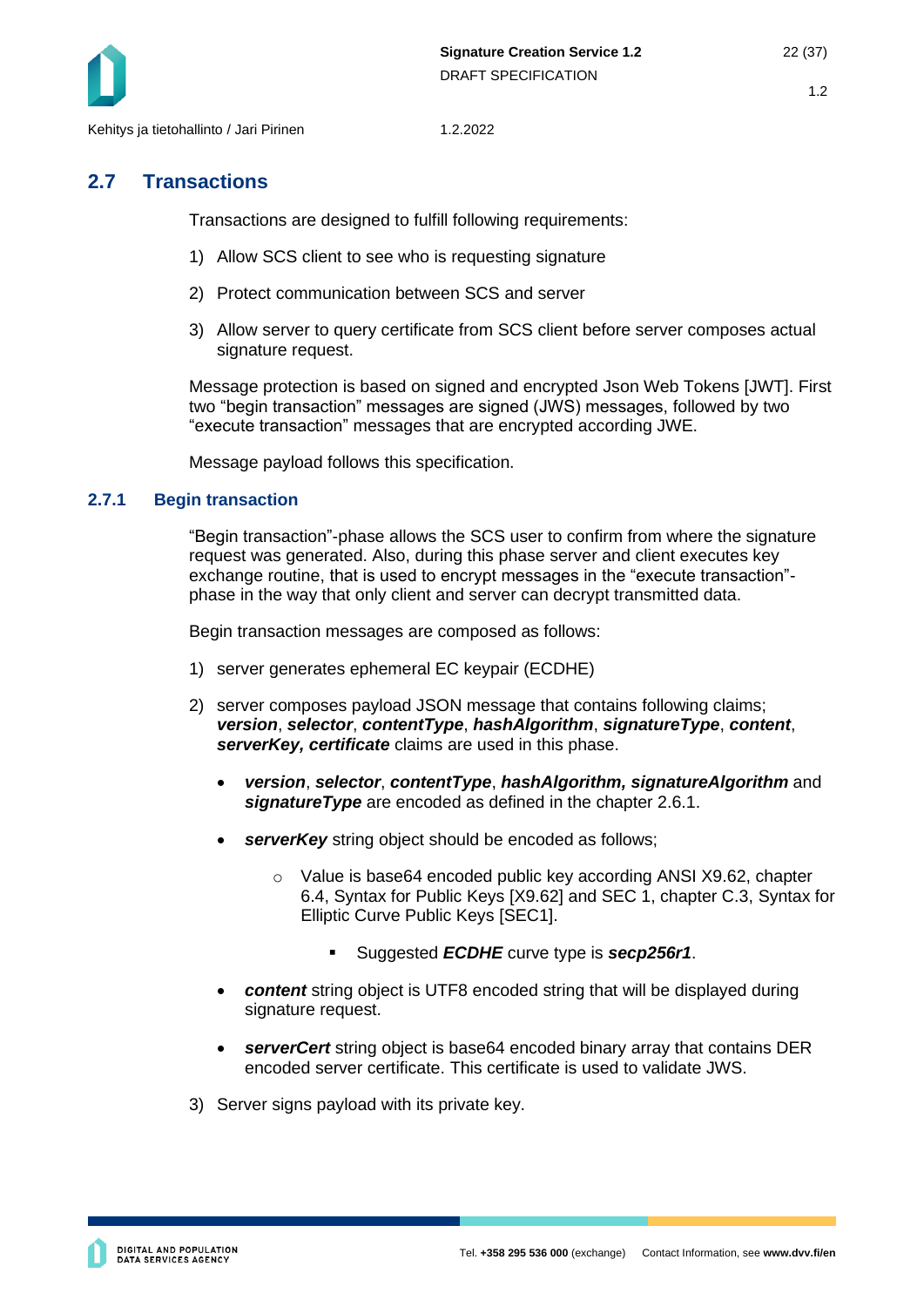

## <span id="page-21-0"></span>**2.7 Transactions**

Transactions are designed to fulfill following requirements:

- 1) Allow SCS client to see who is requesting signature
- 2) Protect communication between SCS and server
- 3) Allow server to query certificate from SCS client before server composes actual signature request.

Message protection is based on signed and encrypted Json Web Tokens [JWT]. First two "begin transaction" messages are signed (JWS) messages, followed by two "execute transaction" messages that are encrypted according JWE.

Message payload follows this specification.

#### <span id="page-21-1"></span>**2.7.1 Begin transaction**

"Begin transaction"-phase allows the SCS user to confirm from where the signature request was generated. Also, during this phase server and client executes key exchange routine, that is used to encrypt messages in the "execute transaction" phase in the way that only client and server can decrypt transmitted data.

Begin transaction messages are composed as follows:

- 1) server generates ephemeral EC keypair (ECDHE)
- 2) server composes payload JSON message that contains following claims; *version*, *selector*, *contentType*, *hashAlgorithm*, *signatureType*, *content*, *serverKey, certificate* claims are used in this phase.
	- *version*, *selector*, *contentType*, *hashAlgorithm, signatureAlgorithm* and *signatureType* are encoded as defined in the chapter 2.6.1.
	- serverKey string object should be encoded as follows;
		- o Value is base64 encoded public key according ANSI X9.62, chapter 6.4, Syntax for Public Keys [X9.62] and SEC 1, chapter C.3, Syntax for Elliptic Curve Public Keys [SEC1].
			- Suggested *ECDHE* curve type is *secp256r1*.
	- *content* string object is UTF8 encoded string that will be displayed during signature request.
	- *serverCert* string object is base64 encoded binary array that contains DER encoded server certificate. This certificate is used to validate JWS.
- 3) Server signs payload with its private key.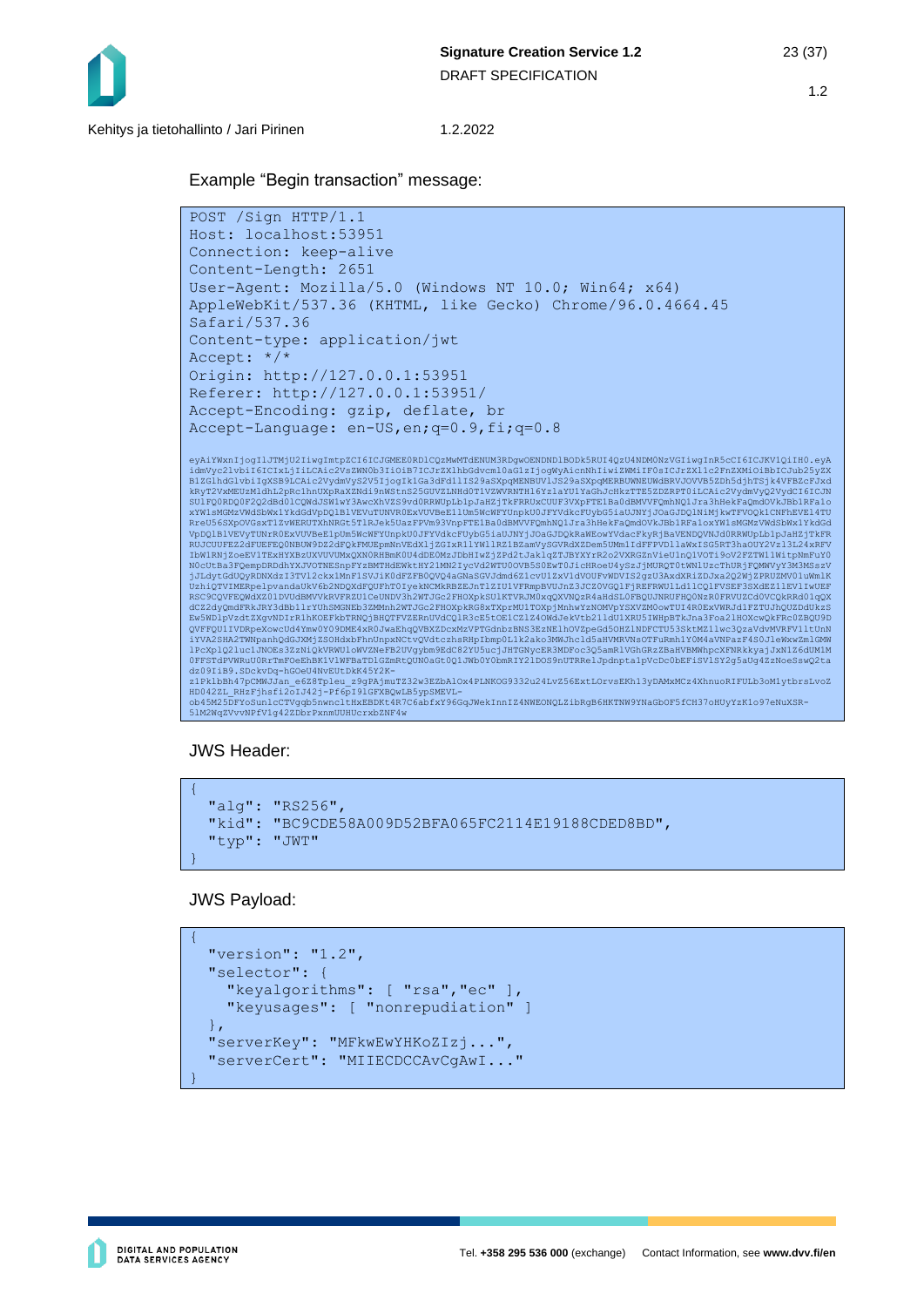

# Example "Begin transaction" message:

```
POST /Sign HTTP/1.1
Host: localhost:53951
Connection: keep-alive
Content-Length: 2651
User-Agent: Mozilla/5.0 (Windows NT 10.0; Win64; x64) 
AppleWebKit/537.36 (KHTML, like Gecko) Chrome/96.0.4664.45 
Safari/537.36
Content-type: application/jwt
Accept: */*
Origin: http://127.0.0.1:53951
Referer: http://127.0.0.1:53951/
Accept-Encoding: gzip, deflate, br
Accept-Language: en-US,en;q=0.9,fi;q=0.8
eyAiYWxnIjogIlJTMjU2IiwgImtpZCI6ICJGMEEORDlCQzMwMTdENUM3RDgwOENDNDlBODk5RUI4QzU4NDMONzVGIiwgInR5cCI6ICJKV1QiIHO.eyA<br>idmVyc2lvbiI6ICTCKLjIiLCAicZVsZWNOb3IIOiB7ICJrZX1hbGdvcm10&GlzIjogWyAicnNhIiwiZWMiIFOsICJrZX1lc2FnZXMiOiBb
VpDQlBlVEVyTUNrROExVUVBeElpUm5WcWFYUnpkU0JFYVdkcFUybG5iaUJNYjJOaGJDQkRaWEowYVdacFkyRjBaVENDQVNJdORRWUpLblpJaHZjTkFR<br>RUJCUUFEZ2dFUEFEQONBUW9DZ2dFQkFWUEpmNnVEdXljZGIxR1lYWllRZlBZamVySGVRdXZDemSUMm1IdFFFVDllaWxISGSRT3haOUY2Vz
N0cUtBa3FQempDRDdhYXJVOTNESnpFYzBMTHdEWktHY21MN2IycVd2WTU0OVB5S0EwT0JicHRoeU4ySzJjMURQT0tWNlUzcThURjFQMWVyY3M3MSszV
jJLdytGdUQyRDNXdzI3TVl2ckx1MnF1SVJiKOdFZFBOQVQ4aGNaSGVJdmd6Z1cvU1ZxV1dVOUFvWDVIS2gzU3AxdXRiZDJxa2Q2WjZPRUZMV01uWmlK<br>UzhiQTVIMERpelpvandaUkV6b2NDQXdFQUFhT0IyekNCMkRBZEJnTlZIUlVFRmpBVUJnZ3JCZ0VGQlFjREFRWUlLd11CQlFVSEF3SXdEZ1
dCZ2dyQmdFRkJRY3dBb1lrYUhSMGNEb3ZMMnh2WTJGc2FHOXpkRG8xTXprMU1TOXpjMnhwYzNOMVpYSXVZM0owTUI4R0ExVWRJd1FZTUJhQUZDdUkzS<br>Ew5WDlpVzdtZXgvNDIrR1hKOEFkbTRNQjBHQTFVZERnUVdCQlR3cE5tOE1CZlZ4OWdJekVtb211dU1XRU5IWHpBTkJna3Foa2lHOXcwQkF
QVFFQU1IVDRpeXowcUd4Ymw0Y09DME4xR0JwaEhqQVBXZDcxMzVPTGdnbzBNS3EzNElhOVZpeGd5OHZlNDFCTU53SktMZ1lwc3QzaVdvMVRFV1ltUnN<br>iYVA2SHA2TWNpanhQdGJXMj2SOHdxbFhnUnpxNCtvQVdtczhsRHpIbmp0L1k2ako3MWJhcld5aHVMRVNsOTFuRmhlY0M4aVNPazF4S0Jle
```
dz09IiB9.SDckvDq-hGOeU4NvEUtDkK45Y2K-<br>z1PklbBh47pCMWJJan\_e6Z8Tpleu\_z9gPAjmuTZ32w3EZbAlOx4PLNKOG9332u24LvZ56ExtLOrvsEKh13yDAMxMCz4XhnuoRIFULb3oM1ytbrsLvoZ<br>HD042ZL\_RHzFjhsfi2oIJ42j-Pf6pI91GFXBQwLB5ypSMEVL-<br>ob45MZ5DFYoSunlcCT

JWS Header:

```
{ 
   "alg": "RS256", 
   "kid": "BC9CDE58A009D52BFA065FC2114E19188CDED8BD", 
   "typ": "JWT" 
}
```
JWS Payload:

```
{
   "version": "1.2",
  "selector": { 
     "keyalgorithms": [ "rsa","ec" ], 
     "keyusages": [ "nonrepudiation" ] 
   }, 
   "serverKey": "MFkwEwYHKoZIzj...", 
   "serverCert": "MIIECDCCAvCgAwI..."
}
```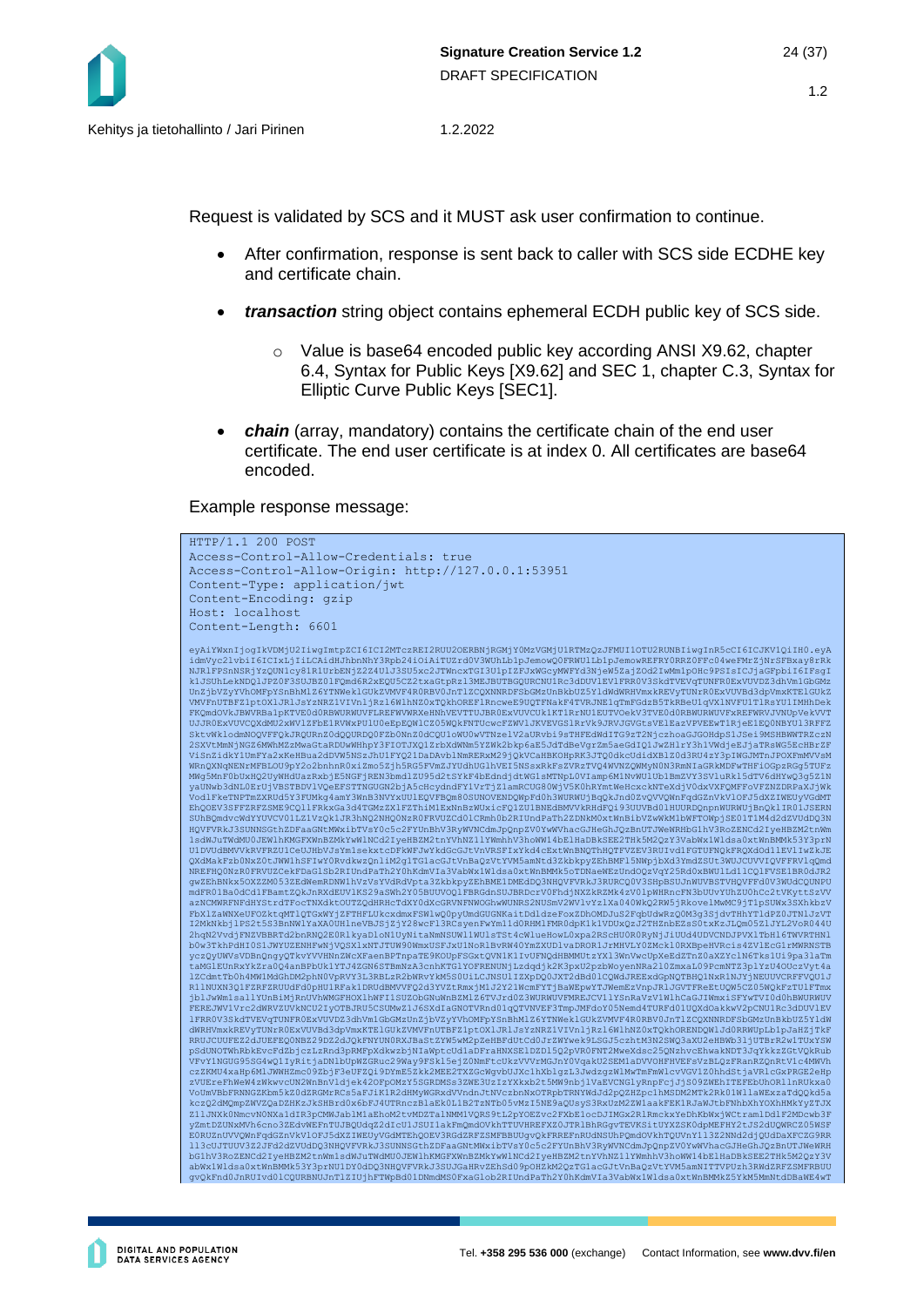Request is validated by SCS and it MUST ask user confirmation to continue.

- After confirmation, response is sent back to caller with SCS side ECDHE key and certificate chain.
- *transaction* string object contains ephemeral ECDH public key of SCS side.
	- o Value is base64 encoded public key according ANSI X9.62, chapter 6.4, Syntax for Public Keys [X9.62] and SEC 1, chapter C.3, Syntax for Elliptic Curve Public Keys [SEC1].
- *chain* (array, mandatory) contains the certificate chain of the end user certificate. The end user certificate is at index 0. All certificates are base64 encoded.

Example response message:

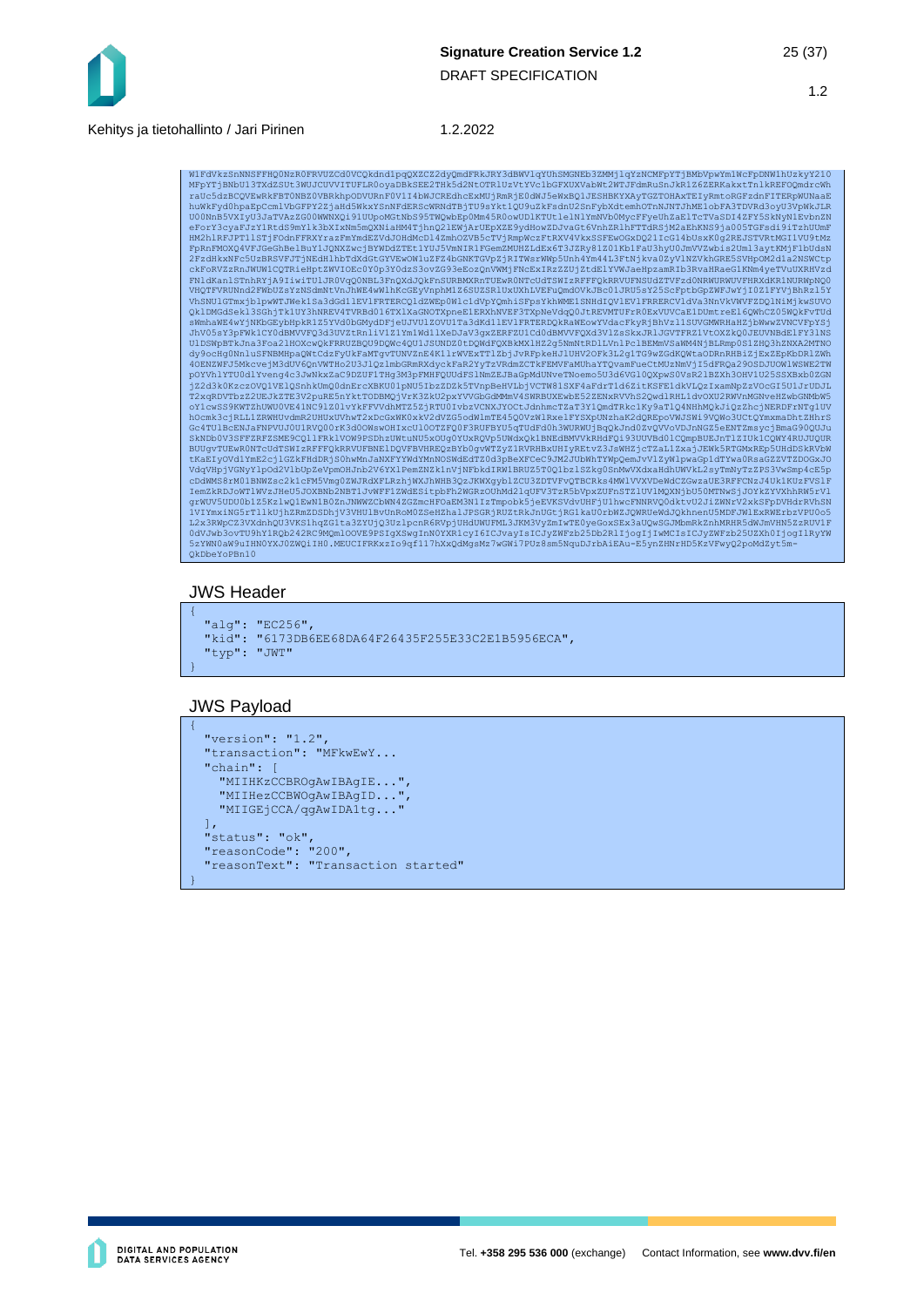

WlFdVkzSnNNSFFHQONzROFRVUZCdOVCQkdnd1pqQXZCZ2dyQmdFRkJRY3dBWVlqYUhSMGNEb3ZMMjlqYzNCMFpYTjBMbVpwYm1WcFpDNW1hUzkyY210<br>hFpYTjBNbU13TXdZSUt3WUJCUVVITUFLROoyaDBkSEE2THk5d2NtOTRlUzVtYVc1bGFXUXVabWt2WTJFdmRuSnJkR1Z6ZERKakxtTnlkRE UOONnB5VXIyU3JaTVAzZGOOWWNXQi91UUpoMGtNbS95TWQwbEpOMm45ROowUDlKTUtlelNlYmNVbOMycFFyeUhZaElTcTVaSDI4ZFY5SkNyNlEvbnZN<br>eForY3cyaFJzYlRtdS9mYlk3bXIxMm5mQXNiaHM4TjhnQ2lEWjArUEpXZE9YdHowZDJvaGtGVnhZRlhFTTdRSjM2aEhKN89ja005TGF8di QklDMGdSekl3SGhjTk1UY3hNREV4TVRBd016TX1XaGNOTXpneE1ERXhNVEF3TXpNeVdqQ0JtREVMTUFrR0ExVUVCaE1DUmtreE16QWhCZ05WQkFvTUd<br>sWmhaWE4wYjNKbGEybHpkR1Z5YVd0bGMydDFjeUJVUlZOVU1Ta3dKd1lEVlFRTERDQkRaWEowYVdacFkyRjBhVzl1SUVGMWRHaHZjbWwwZ JhV05sY3pFWk1CY0dBMVVFQ3d3UVZtRnliV1Z1Ym1Wd11XeDJaV3gxZERFZU1Cd0dBMVVFQXd3V1ZsSkxJRlJGVTFRZ1VtOXZkQ0JEUVNBdElFY31NS<br>U1DSWpBTkJna3Foa21HOXcwQkFRRUZBQU9DQWc4QU1J5UNDZ01DQWdFQXBkWX1HZ2G5NmMtRD1LVnlPc1BEMmVSaWM4NjBLRmp0S1ZHQ3h SkNDb0V3SFFZRFZSME9CQ11FRk1VOW9PSDhzUWtuNU5xOUg0YUxRQVp5UWdxQk1BNEdBMVVkRHdFQi93UUVBd01CQmpBUEJnT1ZIUk1CQWY4RUJUQUR<br>BUUqvTUEwR0NTcUdTSWIzRFFFQkRRVUFBNE1DQVFBVHREQzBYb0qvWTZyZ1RVRHBxUHIyREtvZ3JsWHZjcTZaL1ZxajJEWk5RTGMxREp5U tKaEIyOVd1YmE2cj1GZkFHdDRjS0hwMnJaNXFYYWdYMnNOSWdEdTZ0d3pBeXFCeC9JM2JUbWhTYWpQemJvVlZyWlpwaGp1dTYwa0RsaGZZVTZDOGxJC<br>VdqVHpjVGNyYlpOd2VlbUpZeVpmOHJnb2V6YXlPemZNZk1nVjNFbkdIRW1BRUZ5T0Q1bz1SZkg0SnMwVXdxaHdhUWVkL2syTmNyTzZPS3V cDdWMS8rM01BNWZsc2k1cFM5Vmg0ZWJRdXFLRzhjWXJhWHB3QzJKWXgyblZCU3ZDTVFvQTBCRks4MWlVVXVDeWdCZGwzaUE3RFFCNzJ4UklKUzFVSlF<br>IemZkRDJoWTlWVzJHeU5JOXBNb2NBTlJJvWFFlZWdESitpbFh2WGRzOUhMd2lqUFV3TzR5bVpxZUFnSTZlUV1MQXNjbU50WTNw3jJOYk2Y QkDbeYoPBn10

#### JWS Header

```
{ 
   "alg": "EC256", 
  "kid": "6173DB6EE68DA64F26435F255E33C2E1B5956ECA", 
   "typ": "JWT" 
}
```
#### JWS Payload

```
{ 
   "version": "1.2", 
   "transaction": "MFkwEwY...
  "chain":
     "MIIHKzCCBROgAwIBAgIE...",
     "MIIHezCCBWOgAwIBAgID...",
     "MIIGEjCCA/qgAwIDA1tg..." 
\Box,
   "status": "ok", 
   "reasonCode": "200", 
   "reasonText": "Transaction started" 
}
```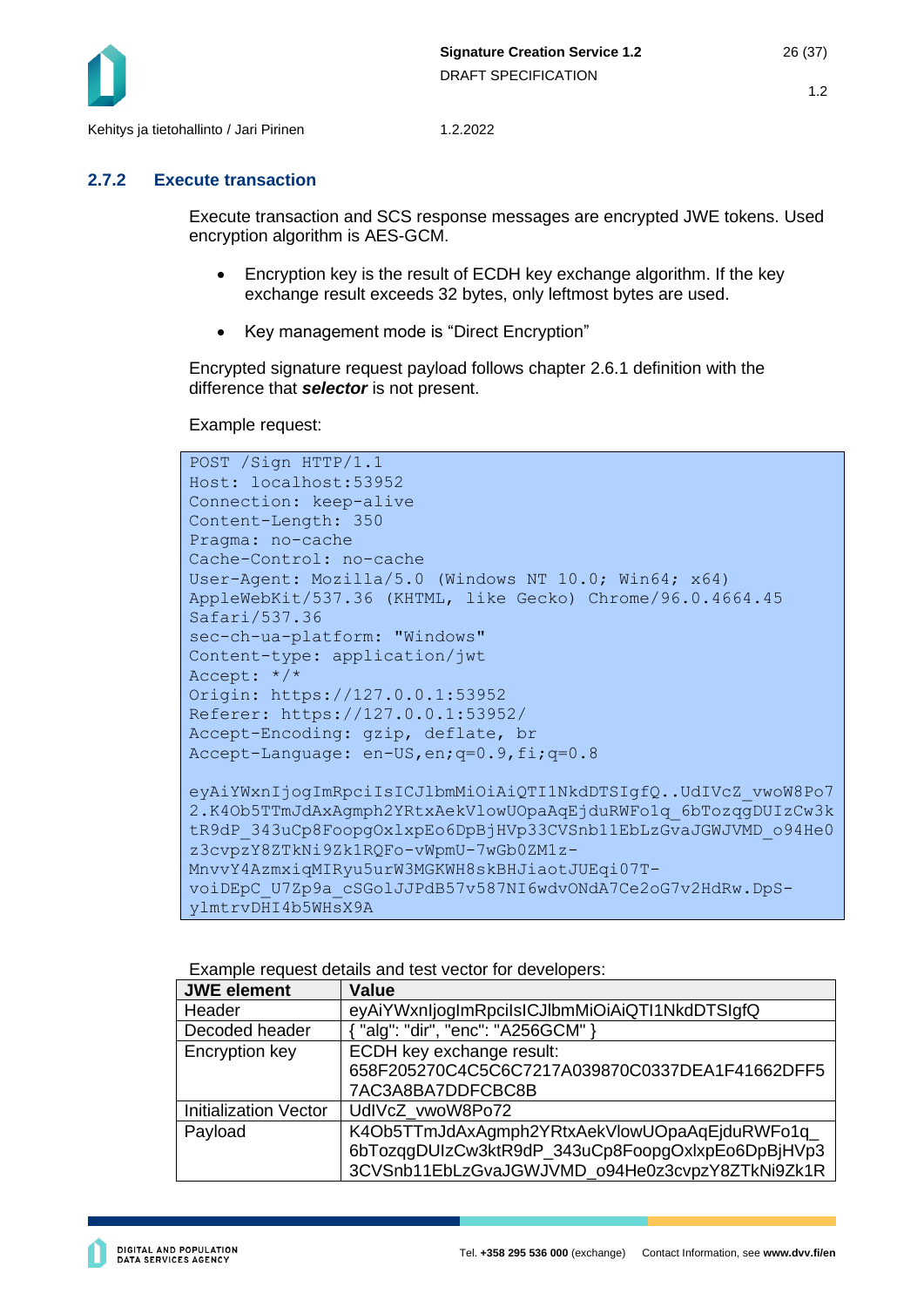

#### <span id="page-25-0"></span>**2.7.2 Execute transaction**

Execute transaction and SCS response messages are encrypted JWE tokens. Used encryption algorithm is AES-GCM.

- Encryption key is the result of ECDH key exchange algorithm. If the key exchange result exceeds 32 bytes, only leftmost bytes are used.
- Key management mode is "Direct Encryption"

Encrypted signature request payload follows chapter [2.6.1](#page-15-1) definition with the difference that *selector* is not present.

Example request:

```
POST /Sign HTTP/1.1
Host: localhost:53952
Connection: keep-alive
Content-Length: 350
Pragma: no-cache
Cache-Control: no-cache
User-Agent: Mozilla/5.0 (Windows NT 10.0; Win64; x64) 
AppleWebKit/537.36 (KHTML, like Gecko) Chrome/96.0.4664.45 
Safari/537.36
sec-ch-ua-platform: "Windows"
Content-type: application/jwt
Accept: */*
Origin: https://127.0.0.1:53952
Referer: https://127.0.0.1:53952/
Accept-Encoding: gzip, deflate, br
Accept-Language: en-US,en;q=0.9,fi;q=0.8
eyAiYWxnIjogImRpciIsICJlbmMiOiAiQTI1NkdDTSIgfQ..UdIVcZ_vwoW8Po7
2.K4Ob5TTmJdAxAgmph2YRtxAekVlowUOpaAqEjduRWFo1q_6bTozqgDUIzCw3k
tR9dP_343uCp8FoopgOxlxpEo6DpBjHVp33CVSnb11EbLzGvaJGWJVMD_094He0
z3cvpzY8ZTkNi9Zk1RQFo-vWpmU-7wGb0ZM1z-
MnvvY4AzmxiqMIRyu5urW3MGKWH8skBHJiaotJUEqi07T-
voiDEpC_U7Zp9a_cSGolJJPdB57v587NI6wdvONdA7Ce2oG7v2HdRw.DpS-
ylmtrvDHI4b5WHsX9A
```
Example request details and test vector for developers:

| <b>JWE element</b>           | <b>Value</b>                                      |
|------------------------------|---------------------------------------------------|
| Header                       | eyAiYWxnIjogImRpciIsICJIbmMiOiAiQTI1NkdDTSIgfQ    |
| Decoded header               | "alg": "dir", "enc": "A256GCM" }                  |
| Encryption key               | ECDH key exchange result:                         |
|                              | 658F205270C4C5C6C7217A039870C0337DEA1F41662DFF5   |
|                              | 7AC3A8BA7DDFCBC8B                                 |
| <b>Initialization Vector</b> | UdIVcZ vwoW8Po72                                  |
| Payload                      | K4Ob5TTmJdAxAgmph2YRtxAekVlowUOpaAqEjduRWFo1q_    |
|                              | 6bTozqqDUIzCw3ktR9dP_343uCp8FoopgOxIxpEo6DpBjHVp3 |
|                              | 3CVSnb11EbLzGvaJGWJVMD_o94He0z3cvpzY8ZTkNi9Zk1R   |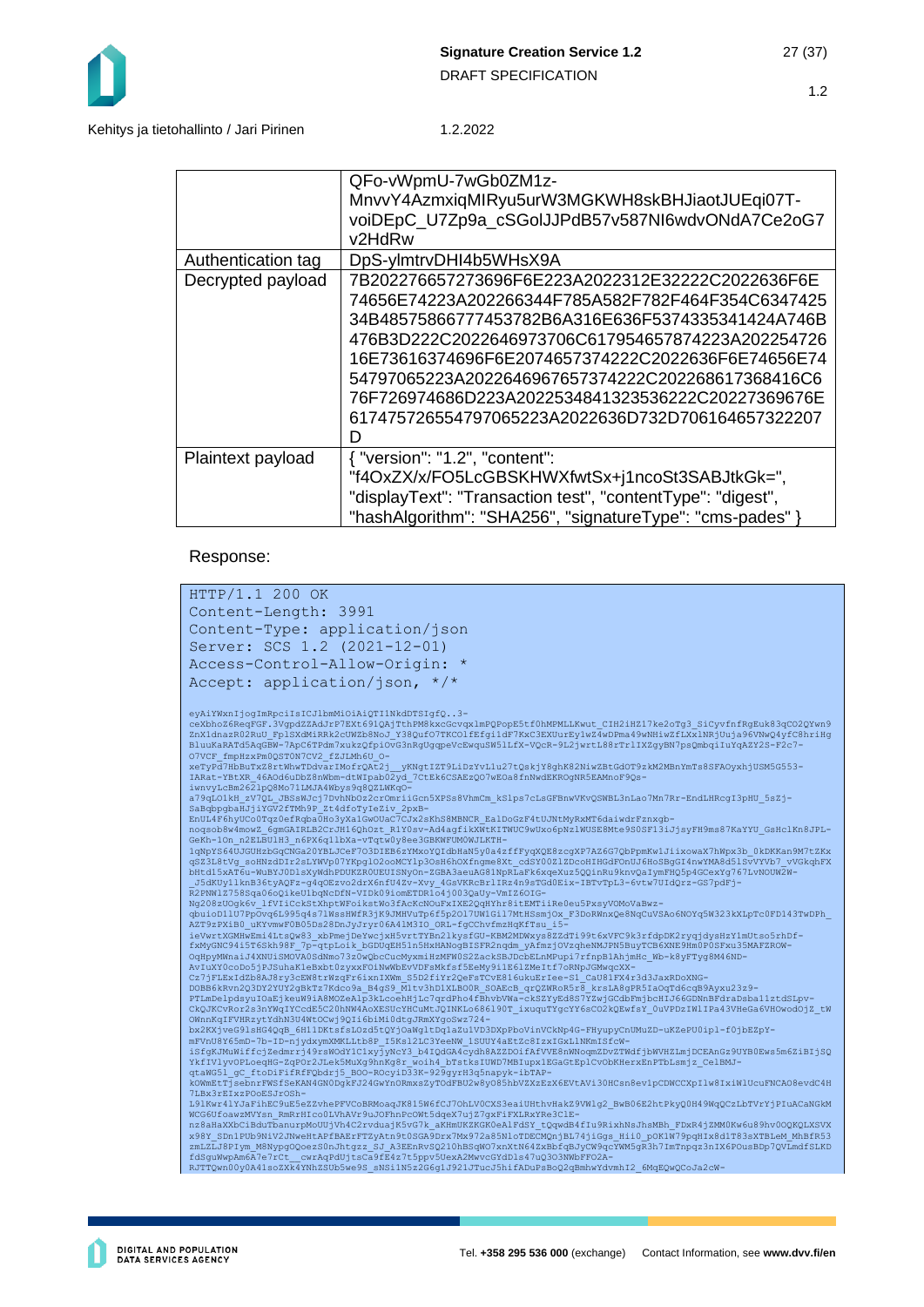

#### Kehitys ja tietohallinto / Jari Pirinen 1.2.2022

|                    | QFo-vWpmU-7wGb0ZM1z-                                        |
|--------------------|-------------------------------------------------------------|
|                    | MnvvY4AzmxiqMIRyu5urW3MGKWH8skBHJiaotJUEqi07T-              |
|                    | voiDEpC_U7Zp9a_cSGolJJPdB57v587Nl6wdvONdA7Ce2oG7            |
|                    | v2HdRw                                                      |
| Authentication tag | DpS-ylmtrvDHI4b5WHsX9A                                      |
| Decrypted payload  | 7B202276657273696F6E223A2022312E32222C2022636F6E            |
|                    | 74656E74223A202266344F785A582F782F464F354C6347425           |
|                    | 34B48575866777453782B6A316E636F5374335341424A746B           |
|                    | 476B3D222C2022646973706C617954657874223A202254726           |
|                    | 16E73616374696F6E2074657374222C2022636F6E74656E74           |
|                    | 54797065223A2022646967657374222C202268617368416C6           |
|                    | 76F726974686D223A2022534841323536222C20227369676E           |
|                    | 617475726554797065223A2022636D732D706164657322207           |
|                    | D                                                           |
| Plaintext payload  | { "version": "1.2", "content":                              |
|                    | "f4OxZX/x/FO5LcGBSKHWXfwtSx+j1ncoSt3SABJtkGk=",             |
|                    | "displayText": "Transaction test", "contentType": "digest", |
|                    | "hashAlgorithm": "SHA256", "signatureType": "cms-pades" }   |

#### Response:

```
HTTP/1.1 200 OK
Content-Length: 3991
Content-Type: application/json
Server: SCS 1.2 (2021-12-01)
Access-Control-Allow-Origin: *
Accept: application/json, */*
eyAiYWxnIjogImRpciIsICJlbmMiOiAiQTI1NkdDTSIgfQ..3-
ceXbhoZ6ReqFGF.3VgpdZZAdJrP7EXt691QAjTthPM8kxcGcvqx1mPQPopE5tf0hMPMLLKwut_CIH2iHZ17ke2oTg3_SiCyvfnfRgEuk83qCO2QYwn9<br>ZnX1dnazR02RuU_Fp1SXdMiRRk2cUWZb8NoJ_Y38QufO7TKCO1FEfgi1dF7KxC3EXUurEylwZ4wDFma49wNHiwZfLXx1NRjUuja96VWwQ4
iwnvyLcBm2621pQ8Mo71LMJA4Wbys9q8QZLWKqO-<br>a79qLO1kH_zV7QL_JBSsWJcj7DvhNbOz2crOmriiGcn5XPSs8VhmCm_kS1ps7cLsGFBnwVKvQSWBL3nLao7Mn7Rr-EndLHRcgI3pHU_5sZj-<br>SaBqbpgbaHJjiYGV2fTMh9P_Zt4dfoTy1eZiv_2pxB-<br>EnUL4F6hyUCoOTqz0efRqbaOHo3y
noqsob8w4mowZ_6qmGAIRLB2CrJH16QhOzt_R1Y0sv-Ad4agfikXWtKTTWUC9wUxo6pNzlWUSE8Mte9S0SF13iJjsyFH9ms87KaYYU_GSHclKn8JPL-<br>GEKh-10n_n2ELBUlH3_n6FX6q11bXa-vTqtwVgeeSGBKWFUM0WJLKTH-<br>1qNpYS64UJGULH3_n6FX6q11bXa-vTqtwVgeeSGBKWFUM0WJL
DOBB6kRvn2Q3DY2YUY2gBkTz7Kdco9a_B4gS9_M1tv3hD1XLBOOR_SOAEcB_qrQZWRoR5r8_krsLA8gPR51aOqTd6cqB9Ayxu23z9-<br>PTLmDelpdsyuIOaEjkeuW91A8MOZeAlp3kLcoehHj1c7qrdPho4fEhvbVWa-ckSZYyEdS7YZwjGCdbFmjbCHJ66GDMnBFdraDbba11ztdSLpv-<br>CkQJKCvR
WCG6UfoawzMVYsn_RmRrHIco0LVhAVr9uJOFhnPcOWt5dqeX7ujZ7gxFiFXLRxYRe3ClE-<br>nz8aHaXXbCiBduTbanurpMoUUjVh4C2rvduajK5vG7k_aKHmUKZKGK0eAlFdSY_tQqwdB4fIu9RixhNsJhsMBh_FDxR4jZMM0Kw6u89hv0OQKQLXSVX
x98Y_SDn1PUb9NiV2JNweHtAPfBAErFTZyAtn9t0SGA9Drx7Mx972a85NloTDECMQnjBL74jiGgs_Hii0_pOK1W79pqHIx8d1T83sXTBLeM_MhBfR53<br>ZmLZLJ8PIym_M8NypgOQoezS0nJhtgzz_SJ_A3EEnRvSQ210hBSqWO7xnXtN64ZxBbfqBJyCW9qcYWM5gR3h7ImTnpqz3nIX6POusBDp7Q
```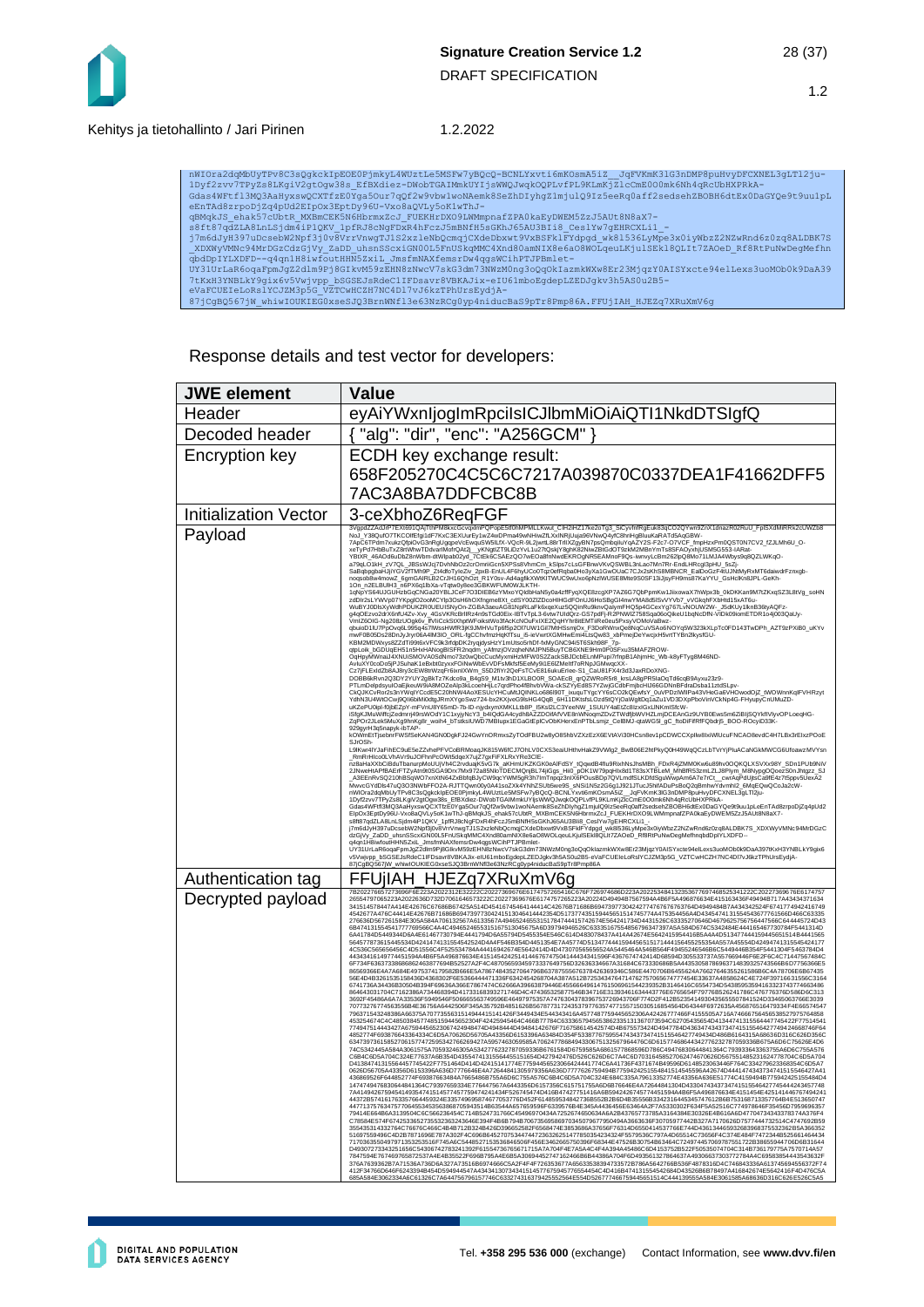#### Kehitys ja tietohallinto / Jari Pirinen 1.2.2022

nWIOra2dqMbUyTFv8C3sQgkckIpEOE0FjmkyL4WUztLeMSFw7yBQcQ-BCNLYxvti6mKOsmA5iZ\_JqFVKmK3lG3nDMP8puHvyDFCXNEL3gLTl2ju-<br>1Dyf2zvv7TFyZs8LKgiV2qtOgw38s\_EfENdiez-DWoDTGAIMmkUY1jsWVQJvqkQQPLvfFLPKLmKj2lcCmE00Omk6Nh4qRcUbHXFRkA-<br>Gdas4

Response details and test vector for developers:

| <b>JWE</b> element           | <b>Value</b>                                                                                                                                                                                                                                                                                                                                                                                                                                                                                                                                                                                                                                                                                                                                                                                                                                                                                                                                                                                                                                                                                                                                                                                                                                                                                                                                                                                                                                                                                                                                                                                                                                                                                                                                                                                                                                                                                                                                                                                                                                                                                                                                                                                                                                                                                                                                                                                                                                                                                                                                                                                                                                                                                                                                                                                                                                                                                                                                                                                                                                                                                                                                                                                                                                                                                                                                                                                                                                                                                                                                                                                                                                                                                                                                                                                                                                                                                                                                                                                                                                                                                                                                                                                                                                                                                                                                                                                                                                                                                                                                                                                                                                                                                                                                                                                                                                                                                                                                                                                                                                                                                                                                                                                                                                                                                                                                                                                                                                                                                                                                                                                                                                      |  |
|------------------------------|---------------------------------------------------------------------------------------------------------------------------------------------------------------------------------------------------------------------------------------------------------------------------------------------------------------------------------------------------------------------------------------------------------------------------------------------------------------------------------------------------------------------------------------------------------------------------------------------------------------------------------------------------------------------------------------------------------------------------------------------------------------------------------------------------------------------------------------------------------------------------------------------------------------------------------------------------------------------------------------------------------------------------------------------------------------------------------------------------------------------------------------------------------------------------------------------------------------------------------------------------------------------------------------------------------------------------------------------------------------------------------------------------------------------------------------------------------------------------------------------------------------------------------------------------------------------------------------------------------------------------------------------------------------------------------------------------------------------------------------------------------------------------------------------------------------------------------------------------------------------------------------------------------------------------------------------------------------------------------------------------------------------------------------------------------------------------------------------------------------------------------------------------------------------------------------------------------------------------------------------------------------------------------------------------------------------------------------------------------------------------------------------------------------------------------------------------------------------------------------------------------------------------------------------------------------------------------------------------------------------------------------------------------------------------------------------------------------------------------------------------------------------------------------------------------------------------------------------------------------------------------------------------------------------------------------------------------------------------------------------------------------------------------------------------------------------------------------------------------------------------------------------------------------------------------------------------------------------------------------------------------------------------------------------------------------------------------------------------------------------------------------------------------------------------------------------------------------------------------------------------------------------------------------------------------------------------------------------------------------------------------------------------------------------------------------------------------------------------------------------------------------------------------------------------------------------------------------------------------------------------------------------------------------------------------------------------------------------------------------------------------------------------------------------------------------------------------------------------------------------------------------------------------------------------------------------------------------------------------------------------------------------------------------------------------------------------------------------------------------------------------------------------------------------------------------------------------------------------------------------------------------------------------------------------------------------------------------------------------------------------------------------------------------------------------------------------------------------------------------------------------------------------------------------------------------------------------------------------------------------------------------------------------------------------------------------------------------------------------------------------------------------------------------------------------------------------------------------------------------------------------------------------------------------------------------------------------------------------------------------------------------------------------------------------------------------------------------------------------------------------------------------------------------------------------------------------------------------------------------------------------------------------------------------------------------------------------------------------------------------------------------------------|--|
| Header                       | eyAiYWxnIjogImRpciIsICJIbmMiOiAiQTI1NkdDTSIgfQ                                                                                                                                                                                                                                                                                                                                                                                                                                                                                                                                                                                                                                                                                                                                                                                                                                                                                                                                                                                                                                                                                                                                                                                                                                                                                                                                                                                                                                                                                                                                                                                                                                                                                                                                                                                                                                                                                                                                                                                                                                                                                                                                                                                                                                                                                                                                                                                                                                                                                                                                                                                                                                                                                                                                                                                                                                                                                                                                                                                                                                                                                                                                                                                                                                                                                                                                                                                                                                                                                                                                                                                                                                                                                                                                                                                                                                                                                                                                                                                                                                                                                                                                                                                                                                                                                                                                                                                                                                                                                                                                                                                                                                                                                                                                                                                                                                                                                                                                                                                                                                                                                                                                                                                                                                                                                                                                                                                                                                                                                                                                                                                                    |  |
| Decoded header               | "alg": "dir", "enc": "A256GCM"                                                                                                                                                                                                                                                                                                                                                                                                                                                                                                                                                                                                                                                                                                                                                                                                                                                                                                                                                                                                                                                                                                                                                                                                                                                                                                                                                                                                                                                                                                                                                                                                                                                                                                                                                                                                                                                                                                                                                                                                                                                                                                                                                                                                                                                                                                                                                                                                                                                                                                                                                                                                                                                                                                                                                                                                                                                                                                                                                                                                                                                                                                                                                                                                                                                                                                                                                                                                                                                                                                                                                                                                                                                                                                                                                                                                                                                                                                                                                                                                                                                                                                                                                                                                                                                                                                                                                                                                                                                                                                                                                                                                                                                                                                                                                                                                                                                                                                                                                                                                                                                                                                                                                                                                                                                                                                                                                                                                                                                                                                                                                                                                                    |  |
| Encryption key               | ECDH key exchange result:                                                                                                                                                                                                                                                                                                                                                                                                                                                                                                                                                                                                                                                                                                                                                                                                                                                                                                                                                                                                                                                                                                                                                                                                                                                                                                                                                                                                                                                                                                                                                                                                                                                                                                                                                                                                                                                                                                                                                                                                                                                                                                                                                                                                                                                                                                                                                                                                                                                                                                                                                                                                                                                                                                                                                                                                                                                                                                                                                                                                                                                                                                                                                                                                                                                                                                                                                                                                                                                                                                                                                                                                                                                                                                                                                                                                                                                                                                                                                                                                                                                                                                                                                                                                                                                                                                                                                                                                                                                                                                                                                                                                                                                                                                                                                                                                                                                                                                                                                                                                                                                                                                                                                                                                                                                                                                                                                                                                                                                                                                                                                                                                                         |  |
|                              | 658F205270C4C5C6C7217A039870C0337DEA1F41662DFF5                                                                                                                                                                                                                                                                                                                                                                                                                                                                                                                                                                                                                                                                                                                                                                                                                                                                                                                                                                                                                                                                                                                                                                                                                                                                                                                                                                                                                                                                                                                                                                                                                                                                                                                                                                                                                                                                                                                                                                                                                                                                                                                                                                                                                                                                                                                                                                                                                                                                                                                                                                                                                                                                                                                                                                                                                                                                                                                                                                                                                                                                                                                                                                                                                                                                                                                                                                                                                                                                                                                                                                                                                                                                                                                                                                                                                                                                                                                                                                                                                                                                                                                                                                                                                                                                                                                                                                                                                                                                                                                                                                                                                                                                                                                                                                                                                                                                                                                                                                                                                                                                                                                                                                                                                                                                                                                                                                                                                                                                                                                                                                                                   |  |
|                              | 7AC3A8BA7DDFCBC8B                                                                                                                                                                                                                                                                                                                                                                                                                                                                                                                                                                                                                                                                                                                                                                                                                                                                                                                                                                                                                                                                                                                                                                                                                                                                                                                                                                                                                                                                                                                                                                                                                                                                                                                                                                                                                                                                                                                                                                                                                                                                                                                                                                                                                                                                                                                                                                                                                                                                                                                                                                                                                                                                                                                                                                                                                                                                                                                                                                                                                                                                                                                                                                                                                                                                                                                                                                                                                                                                                                                                                                                                                                                                                                                                                                                                                                                                                                                                                                                                                                                                                                                                                                                                                                                                                                                                                                                                                                                                                                                                                                                                                                                                                                                                                                                                                                                                                                                                                                                                                                                                                                                                                                                                                                                                                                                                                                                                                                                                                                                                                                                                                                 |  |
| <b>Initialization Vector</b> | 3-ceXbhoZ6ReqFGF                                                                                                                                                                                                                                                                                                                                                                                                                                                                                                                                                                                                                                                                                                                                                                                                                                                                                                                                                                                                                                                                                                                                                                                                                                                                                                                                                                                                                                                                                                                                                                                                                                                                                                                                                                                                                                                                                                                                                                                                                                                                                                                                                                                                                                                                                                                                                                                                                                                                                                                                                                                                                                                                                                                                                                                                                                                                                                                                                                                                                                                                                                                                                                                                                                                                                                                                                                                                                                                                                                                                                                                                                                                                                                                                                                                                                                                                                                                                                                                                                                                                                                                                                                                                                                                                                                                                                                                                                                                                                                                                                                                                                                                                                                                                                                                                                                                                                                                                                                                                                                                                                                                                                                                                                                                                                                                                                                                                                                                                                                                                                                                                                                  |  |
| Payload                      | 3VgpdZZAdJrP7EXt691QAjTthPM8kxcGcvqxImPQPopE5tf0hMPMLLKwut_CIH2iHZ17ke2oTg3_SiCyvfnfRgEuk83qCO2QYwn9ZnX1dnazR02RuU_FplSXdMiRRk2cUWZb8<br>NoJ_Y38QufO7TKCOlfEfgI1dF7KxC3EXUurEy1wZ4wDPma49wNHiwZfLXxINRjUuja96VNwQ4yfC8hriHgBluuKaRATd5AqGBW<br>7ApC6TPdm7xukzQfpiOvG3nRgUggpeVcEwquSW5lLIX-VQcR-9L2jwrL88rTrllXZgyBN7psQmbqjluYqAZY2S-F2c7-O7VCF_ImpHzxPm0QST0N7CV2_IZJLMh6U_O-<br>xefyPd7HbBuTxZ8nt/hwTDdvanMoftOAI2j___wNgtlZT9LIDzYvL1.uZrlQskjY8ghK82NwZBIGdOT9zkM2MBnYmTs8S<br>a79qLO1kH_zV7QL_JBSsWJcj7DvnNbOz2crOmrilGcn5XPSs8VhmCm_kSlps7cLsGFBnwVkvQSWBL3nLao7Mn7Rr-EndLHRcgl3pHU_5sZj<br>SaBdppgbaHJJKGV2TMhBP_ZAddri YjeZw_2pxB-EnUL4F6tyUCotTqz0lefkqba0Ho3yXa1GwOJac7CJx2sKhS8MBNcR_EaIDoGzF4tUJNMyRxMT6<br>10m_n2ELBUIH3_n6PX6q1bXa+VTqtw0y8ea3GBKWFUM0WJLKTH-<br>10m_n2ELBUIH3_n6PX6q1bXa+VTqtw0y8ea3GBKWFUM0WJLKTH-<br>1qNpYS64UJGUHzbGqCNGa20YBLJCeF7O3DIEB6zYMxoYQIdbHaN5y0a4zffFyqXQE8zcgXP7AZ6G7QbPpmKw1JlixowaX7hWpx3b_0kDKKan9M7tZKxqSZ<br>zdDIr2sLYWVp07YKpglO2ooMCYlp3OsH6hOXfngme8Xt_cdSY00ZIZDcoHIHGdFOnUJ6HoSBgGI4nwYMA8d5lSvVYVb7_vVGkghFXbHtd15xAT6u-<br>www.com/product/interference/interference/interference/interference/interference/interference/interference/interference/interference/interference/interference/interference/interference/interference/interference/interferenc<br>VmlZ6OIG-Ng208zUOgk6v_IfVliCckStXhptWFoikstWo3fAcKcNOuFxIXE2QqHYhr8itEMTiiRe0eu5PxsyVOMoVaBwz-<br>qbuioD1IU7PpOvq6L995q4s7IWssHWIR3jK9JMHVuTp6f5p2Ol7UW1Gil7MtHSsmjOx_F3DoRWnxQe6NqCuVSAo6NOYq5W323kXLpTc0FD143TwDPh_AZT9zPXiB0_uKYv<br>mwF0B05Ds28DnJyJryr06A4IM3IO_ORL-fgCChvfmzHqKfTsu_i5-ieVwrtXGMHwEmi4LtsQw83_xbPmejDeYwcjxH5vrtTYBn2lkysfGU-<br>KBM2MDWxys8ZZdTi99t6xVFC9k3rfdpDK2ryqjdysHzY1mUtso5rhDf-fxMyGNC94i5T6Skh98F_7p-<br>qtpLoik_bGDUqEH51n5HxHANogBISFR2nqdm_yAfmzjOVzqheNMJPN5BuyTCB6XNE9Hm0P0SFxu35MAFZROW-<br>OqHpyMWnaiJ4XNUiSMOVA0SdNmo73z0wQbcCucMyxmiHzMFW0S2ZackSBJDcbELnMPupi7rfnpB1AhjmHc_Wb-k8yFTyg8M46ND-<br>AvluXY0coDo5jPJSuhaK1eBxbt0zyxxFOlNwWbEvVDFsMkfsf5EeMy9i1E6lZMeltf7oRNpJGMwqcXX-<br>Cz7jFLExIdZb8AJ8ry3cEW8trWzqFr6ixnlXWm_S5D2fiYr2QeFsTCvE816ukuErlee-S1_CaU81FX4r3d3JaxRDoXNG-<br>DOBB6kRvn2Q3DY2YUY2gBkTz7Kdco9a_B4gS9_M1tv3hD1XLBO0R_SOAEcB_qrQZWRoR5r8_krsLA8gPR5laOqTd6cqB9Ayxu23z9-<br>PTLmDelpdsyulOaEjkeuW9iA8MOZeAlp3kLcoehHjLc7qrdPho4fBhvbVWa-ckSZYyEd8S7YZwjGCdbFmjbcHIJ66GDNnBFdraDsba11ztdSLpv<br>- COMMONSYNG/SERIES AND MANUSCRIP CONTROL INTERNATIONAL CONTROL TO A CONTROL INTERNATIONAL CONTROL INTERNATIONAL CONTROL INTERNATIONAL CONTROL INTERNATIONAL CONTROL INTERNATIONAL CONTROL INTERNATIONAL CONTROL INTERNATIONAL<br>ZqPOr2JLek5MuXg9hnKg8r_woih4_bTstksIUWD7MBlupx1EGaGtEplCvObKHerxEnPTbLsmjz_CelBMJ-qtaWG5I_gC_ftoDiFifRfFQbdrj5_BOO-ROcyiD33K-<br>929gyrH3q5napyk-ibTAP<br>kOWmEtTjsebnrFWSfSeKAN4GN0DgkFJ24GwYnORmxsZyTOdFBU2w8yO85hbVZXzEzX6EVtAVi30HCsn8ev1pCDWCCXpllw8lxiWlUcuFNCAO8evdC4H7LBx3rElxzPOoE<br>SJrOSh-<br>L9lKwr4lYJaFihEC9uE5eZZvhePFVCoBRMoaqJK815W6fCJ7OhLV0CXS3eaiUHthvHakZ9VWlg2_BwB06E2htPkyQ0H49WqQCzLbTVrYjPluACaNGkMWCG6UfoawzMVYsn<br>_RmRrHIco0LVhAVr9uJOFhnPcOWt5dqeX7ujZ7gxFiFXLRxYRe3ClE-<br>nz8aHaXXbCiBduTbanurpMoUUjVh4C2rvduajK5vG7k_aKHmUKZKGK0eAlFdSY_tQqwdB4flu9RixhNsJhsMBh_FDxR4jZMM0Kw6u89hv0OQKQLXSVXx98Y_SDn1PUb9NiV<br>2JNweHtAPfBAErFTZyAtn9t0SGA9Drx7Mx972a85NloTDECMQnjBL74jiGgs_Hii0_pOK1W79pqHlx8d1T83sXTBLeM_MhBfR53zmLZLJ8Plym_M8NypgOQoezS0nJhtgzz_SJ<br>A3EEnRvSQ210hBSqWO7xnXtN64ZxBbfqBJyCW9qcYWM5gR3h7ImTnpqz3nIX6POusBDp7QVLmdfSLKDfdSguWwpAm6A7e7rCt_cwrAqPdUjtsCa9fE4z7t5ppv5UexA2<br>MwwcGYdDis47u03O3NWbFFO2A-RJTTOwn00y0A41soZXk4YNhZSUbswe9S_sNSi1N5z2G6g1J921JTucJ5hiADuPsBoQ2qBmhwYdvmhlZ_6MqEOwQCoJa2cW-<br>nWlOra2dgMbUyTPv8C3sQgkckpEOE0PlmkJL4WDzLtdSMSFw7j9GcG-BCNLYxvti6mKOsmA5IZ__JqPVKmK3IG3mDMP6puHvyDFC<br>Gdas4WFtfl3MQ3AaHyxswQCXTfzE0Yga5Our7qQf2w9vbw1woNAemk8SeZhDlyhgZ1mjulQ9lz5eeRq0aff2sedsehZBOBH6dtEx0DaGYQe9t9uu1pLeEnTAd8zrpoDjZq4pUd2<br>ElpOx3EptDy96U-Vxo8aQVLy5oK1wThJ-qBMqkJS_ehak57cUbtR_MXBmCEK5N6HbrmxZcJ_FUEKHrDXO9LWMmpnafZPA0kaEyDWEM5ZzJ5AUt8N8aX7-<br>s8ft87qdZLA8LnLSjdm4iP1QKV_1pfRJ8cNgFDxR4hFczJ5mBNfH5sGKhJ65AU3Bil8_CeslYw7gEHRCXLi1_-<br>j7m6dJyH397uDcsebW2Npf3j0v8VrrVnwgTJ1S2xzleNbQcmqjCXdeDbxwf9VxBSFklFYdpgd_wk8l538LyMpe3x0jyWbzZ2NZwRnd6z0zq8ALDBK7S_XDXWyVMNc94MrDGzC<br>dzGyVy_ZaDD_ursnSScxiGN00L5FnUSkqMMC4Xnd80amNIX8e6aO8WOLqeuLKjuISEki8QLIrZZAOeD_RI8RtPuN<br>UY31UrLaR6oqaFpmJgZ2dlm9Pj8GlkvM59zEHN8zNwcV7skG3dm73NWzM0ng3oQqOklazmkWXw8Er23MjqzY0AISYxcte94elLexs3uoMOb0k9DaA397tKxH3YNBLkY9gix6<br>v5Vwjvpp_bSGSEJsRdeC1IFDsavr8VBKAJix-eIU61mboEgdepLZEDJgkv3h5AS0u2B5-eVaFCUEIeLoRsIYCJZM3p5G_VZTCwHCZH7NC4DI7vJ6kzTPhUrsEydjA-<br>87jCgBQ567jW_whiwIOUKIEG0xseSJQ3BrnWNfl3e63NzRCg0yp4niducBaS9pTr8Pmp86A                                                                                                                                                                                                                                                                                                                                                                                                                                                                                                                                                                                                                                                                                                                                                                                                                                                                                                  |  |
| Authentication tag           | FFUIIAH<br>HJEZq7XRuXmV6g                                                                                                                                                                                                                                                                                                                                                                                                                                                                                                                                                                                                                                                                                                                                                                                                                                                                                                                                                                                                                                                                                                                                                                                                                                                                                                                                                                                                                                                                                                                                                                                                                                                                                                                                                                                                                                                                                                                                                                                                                                                                                                                                                                                                                                                                                                                                                                                                                                                                                                                                                                                                                                                                                                                                                                                                                                                                                                                                                                                                                                                                                                                                                                                                                                                                                                                                                                                                                                                                                                                                                                                                                                                                                                                                                                                                                                                                                                                                                                                                                                                                                                                                                                                                                                                                                                                                                                                                                                                                                                                                                                                                                                                                                                                                                                                                                                                                                                                                                                                                                                                                                                                                                                                                                                                                                                                                                                                                                                                                                                                                                                                                                         |  |
| Decrypted payload            | 7B202276657273696F6E223A2022312E32222C20227369676E6174757265416C676F726974686D223A202253484132353677697468525341222C20227369676E617475<br>26554797065223A2022636D732D7061646573222C20227369676E6174757265223A20224D49494B7567594A4B6E5A496876634E415163436E49494B717A43434371634<br>341514578447A414E42676C67686B67425A514D45416745464144414C42676B71686B69473977304242774767676763764D4949484B7A434342524F6741774942416749<br>4542677A476C44414E42676B71686B69473977304241513046414442354D517377435159445651514745774A475354456A4D4345474131554543677761566D466C63335<br>276636D567261584E305A584A706132567A6133567A49465246553151784744415742674E564241734D4431526C63335270646D4679625756756447566C644445724D43<br>6B474131554541777769566C4A4C4946524655315167513045675A6D39794946526C63335167554856796347397A5A584D674C5342484E444165467730784F5441314D<br>6A41784D5449344D6A4E61467730794E4441794D6A55794D5455354E546C614D483078437A414A42674E5642415954416B5A4A4D513477444159445651514B4441565<br>564577873615445534D4241474131554542524D4A4F546B354D4451354F7A45774D5134774441594456515171444156455255354A557A45554D42494741315545424177<br>4C536C565656456C4D51556C4F525534784A44416942674E5642414D4D473070565656524A5445464A546B564F49455246546B6C5449446B354F5441304F5463784D4<br>44343416149774451594A4B6F5A496876634E4151454242514144676747504144434341596F4367674742414D68594D305533737A557669446F6E2F6C4C71447567484C<br>6F734F63637338686862463877694B52527A2F4C48705659345973337649756D32636334667A31684C673330686B5A44353058786963714839325743566B6D7756366E5<br>86569366E4A7A684E4975374179582B666E5A78674843527064796B63787555676378426369346C586E4470706B6455624A76627646355261586B6C4A78706E6B67435<br>56E4D4B3261535158436D4368302F6E5366444471336F6342454268704A387A512B7253434764714762757065674777454E33637A4858624C4E724F39716631556C3164<br>6741736A34436B30504B394F69636A366E7867474C62666A39663879446E45566649614761506961544239352B3146416C6554734D54385953594163323743774663486<br>864643031704C7162386A734468394D41733168393271746D4C474365325877546B34716E31393461634443776E6765654F79776B526241786C476776376D586D6C313<br>3692F45486A6A7A33536F5949546F506665563749596E46497975357A7476304378396753726943706F774D2F412B5235414930435655507841524D33465063766E3039<br>70773276774563556B4E36756A6442506F345A35792B4851626B5678773172435379776357477155715030516854564D64344F6972635A456876516479334F4E66574547<br>796371543248386A66375A7077355631514944415141426F3449434E544343416A4577487759445652306<br>453254674C4C4850384577485159445652304F42425945464C466B77784C6333657945653862335131367073594C62705435654D41344741315564447745422F77514541<br>774947514443427A67594456523067424948474D4948444D49484142676F716758614542574D4B675573424D4947784D4363474343734741515546427749424668746F64<br>4852774F693876643364334C6D5A70626D56705A43356D6153396A63484D354F533877675955474343734<br>634739736158527061577472595342766269427A5957463059585A7062477868494330675132567964476C6D61577468644342776232787059336B675A6D6C75626E4D6<br>74C5342445A584A3061575A70593246305A5342776232787059336B6761584D6759585A6861577868596D786C49476830644841364C793933643363755A6D6C755A576<br>C6B4C6D5A704C324E77637A6B354D43554741315564455151654D427942476D526C626D6C7A4C6D70316458527062474670626D567551485231624778704C6D5A704<br>D41384741315564457745422F7751464D414D42415141774E77594456523066424441774C6A41736F4371674B49596D6148523063446F764C334279623368354C6D5A7<br>0626D56705A43356D6153396A636D7776646E4A72644841305979356A636D7777626759494B7759424251554841514545596A42674D4441474343734741515546427A41<br>436869526F644852774F69387663484A7665486B755A6D6C755A576C6B4C6D5A704C324F684C335A79613352774F43356A636F51774C4159494B775942425155484D4<br>1474749476830644841364C79397659334E776447567A6443356D6157356C615751755A6D6B76646E4A72644841304D4330474343734741515546427745444243457748<br>7A4149426759454149354741514577457759474241434F526745474D416B47427751416A6B5942426745774451594A4B6F5A496876634E4151454E425141446767494241<br>44372B574161763357664459324E335749695874677053776D452F614859534842736B552B2B6D4B35556<br>4477137576347577064553453563868705943514B63544A657659596F6339576B4E345A4436456E63464A2F7A5330302F634F5A52516C774978646F35456D7959696357<br>79414E664B6A3139504C6C566236454C714B524731766C45496970434A7252674650634A6A2B43765773785A3164384E30326E4B616A6D47704734343378374A376F4<br>C78584E574F6742533652735532363243646E394F4B6B794B70673569586970345079677950494A3663636F3<br>355435314332764C76676C466C4B4B712B324B426D396652582F6568474E3853686A37656F76314D6550414537766E744D436134465932683968375532362B5A366352<br>51697559496C4D2B7871696E787A302F4C696B645270753447447236326251477850354234324F5579536C797A4D65514C73656F4C374E484F7472344B525661464434<br>7170363550497971353253516F745A6C5448527153536846506F456E3462665750396F68344E47526B30754<br>D49307273343251656C54306742783241392F61554736765671715A7A704F4E7A5A4C4F4A394A45486C6D4153752B522F50535074704C314B736179775A7570714A57<br>7847594E767469765872537A4E4B35522F696B795A4E6B5A30694452747162466B6B44386A704F6D493561327864637A49306637303772784A4C69583854443543632F<br>376A7639362B7A71536A736D6A327A73516B6974666C5A2E4E726353677A65633538394733572B786A5642766B536E4878316D4C746843336A613745694556372E74<br>412F34766D646F6243394B454D594944547A43434130734341514577675945776554454C4D416B474131554542684D43526B6B78497A416842674E5642416F4D476C5A<br>685A584E3062334A6C61326C7A644756796157746C633274316379425552564E554D526777466759445651514C444139555A584E3061585A68636D316C626E526C5A5 |  |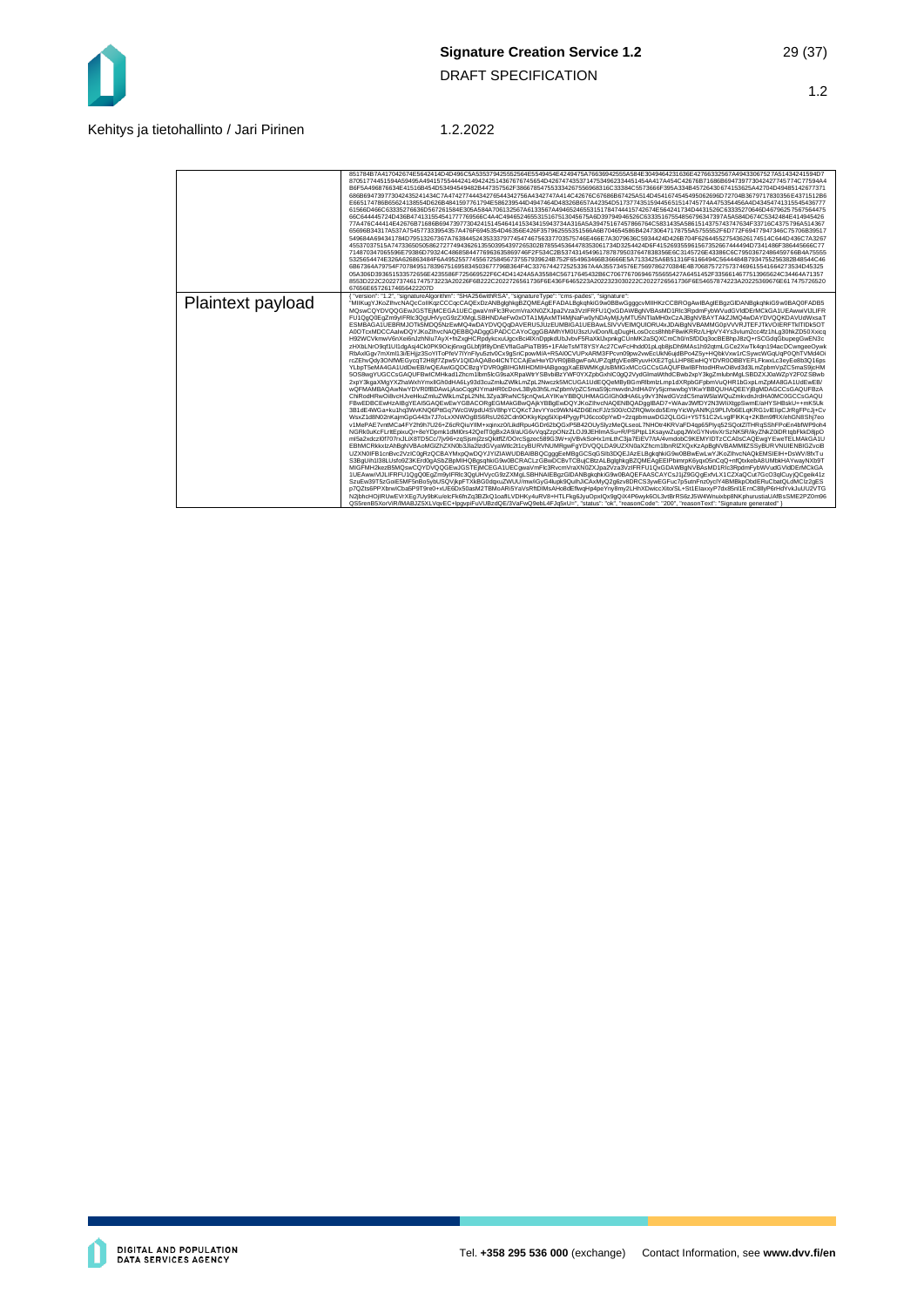

#### Kehitys ja tietohallinto / Jari Pirinen 1.2.2022

|                   | 851784B7A417042674E5642414D4D496C5A535379425552564E5549454E4249475A76636942555A584E3049464231636E42766332567A49433067527A51434241594D7<br>87051774451594A59495A49415755444241494242514367676745654D42674743537147534962334451454A417A454C42676B71686B694739773042427745774C77594A4<br>B6F5A496876634E41516B454D53494549482B447357562F386678547553334267556968316C33384C5573666F395A334B45726430674153625A42704D49485142677371<br>686B694739773042435241434C7A47427744434276544342756A4342747A414C42676C67686B67425A514D4541674545495062696D72704B3679717830356E4371512B6<br>E665174786B65624138554D626B4841597761794E586239544D4947464D48326B657A42354D517377435159445651514745774A475354456A4D434547413155454777<br>61566D466C63335276636D567261584E305A584A706132567A6133567A49465246553151784744415742674E564241734D4431526C63335270646D46796257567564475<br>66C644445724D436B474131554541777769566C4A4C4946524655315167513045675A6D39794946526C63335167554856796347397A5A584D674C5342484E414945426<br>77A476C44414E42676B71686B6947397730424151454641415343415943734A316A5A39475167457866764C5831435A5861514375743747634F33716C4375796A514367<br>65696B34317A537A754577333954357A476F6945354D46356E426F357962555351566A6B704654586B424730647178755A5755552F6D772F69477947346C75706B39517<br>549684A694341784D79513267367A763844524353337977454746756337703575746E466E7A3079636C5934424D426B704F626445527543626174514C644D436C7A3267<br>45537037515A7473365050586272774943626135503954397265302B785545364478353061734D3254424D6E415269355961567352667444494D7341486E386445666C77<br>714870347065596E79386D79324C48685844776963635869746F2F534C2B5374314549617878795037647838356E6C3145726E43386C6C79503672486459766B4A75555<br>5325654474E326A626863484F6A4952557745567258456737557939624B752F654963466B36666E5A7133425A6B51316F6166494C5644484B7934755256382B48544C46<br>6B67364A79754F7078495178396751695834503677796B364F4C33767442725253367A4A355734576E7569786270384E4B7068757275737469615541664273534D45325<br>05A306D393651533572656E4235586F725669522F6C4D41424A5A35584C56717645432B6C706776706946755655427A6451452F3356614677513965624C34464A71357<br>8553D222C2022737461747573223A20226F6B222C2022726561736F6E436F6465223A2022323030222C2022726561736F6E54657874223A20225369676E617475726520<br>67656E65726174656422207D                                                                                                                                                                                                                                                                                                                                                                                                                                                                                                                                                                                                                                                                                                                                                                                                                                                                                                                                                                                                                                                                                                                                                                                                                                                                                                                                                                                                                                                                                                                                                                                                                                                                                                                                                                                      |
|-------------------|----------------------------------------------------------------------------------------------------------------------------------------------------------------------------------------------------------------------------------------------------------------------------------------------------------------------------------------------------------------------------------------------------------------------------------------------------------------------------------------------------------------------------------------------------------------------------------------------------------------------------------------------------------------------------------------------------------------------------------------------------------------------------------------------------------------------------------------------------------------------------------------------------------------------------------------------------------------------------------------------------------------------------------------------------------------------------------------------------------------------------------------------------------------------------------------------------------------------------------------------------------------------------------------------------------------------------------------------------------------------------------------------------------------------------------------------------------------------------------------------------------------------------------------------------------------------------------------------------------------------------------------------------------------------------------------------------------------------------------------------------------------------------------------------------------------------------------------------------------------------------------------------------------------------------------------------------------------------------------------------------------------------------------------------------------------------------------------------------------------------------------------------------------------------------------------------------------------------------------------------------------------------------------------------------------------------------------------------------------------------------------------------------------------------------------------------------------------------------------------------------------------------------------------------------------------------------------------------------------------------------------------------------------------------------------------------------------------------------------------------------------------------------------------------------------------------------------------------------------------------------------------------------------------------------------------------------------------------------------------------------------------------------------------------------------------------------------------------------------------------------------------------------------------------------------------------------------------------------------------------------------------------------------------------------------------------------------------------------------------------------------------------------------------------------------------------------------------------------------------------------------------------------------------------------------------------------------------------------------------------------------------------------------------------------------------------------------------------------------------------------------------------------------------------------------------------------------------------------------------------------------------------------------------------------------------------------------------------------------------------------------------------------------------------------------------------------------------------------------------------------|
| Plaintext payload | { "version": "1.2", "signatureAlgorithm": "SHA256withRSA", "signatureType": "cms-pades", "signature":<br>"MIIKuqYJKoZIhvcNAQcCoIIKqzCCCqcCAQExDzANBqlqhkqBZQMEAqEFADALBqkqhkiG9w0BBwGqqqcvMIIHKzCCBROqAwIBAqIEBqzGIDANBqkqhkiG9w0BAQ0FADB5<br>MQswCQYDVQQGEwJGSTEiMCEGA1UECqwaVmFlc3RvcmVraXN0ZXJpa2Vza3VzIFRFU1QxGDAWBqNVBAsMD1Rlc3RpdmFvbWVudGVldDErMCkGA1UEAwwiVJLIFR<br>FU1QqQ0EqZm9yIFRlc3QqUHVycG9zZXMqLSBHNDAeFw0xOTA1MjAxMTI4MjNaFw0yNDAyMjUyMTU5NTlaMH0xCzAJBqNVBAYTAkZJMQ4wDAYDVQQKDAVUdWxsaT<br>ESMBAGA1UEBRMJOTk5MDQ5NzEwMQ4wDAYDVQQqDAVERU5JUzEUMBIGA1UEBAwLSIVVVEIMQUIORU4xJDAiBaNVBAMMG0pVVVRJTEFJTkVOIERFTkITIDk5OT<br>A0OTcxMDCCAalwDQYJKoZlhvcNAQEBBQADggGPADCCAYoCggGBAMhYM0U3szUviDon/ILqDugHLosOccs8hhbF8wiKRRz/LHpVY4Ys3vlum2cc4fz1hLg30hkZD50Xxicq<br>H92WCVkmwV6nXei6nJzhNlu7AvX+fnZxaHCRpdvkcxuUqcxBci4lXnDppkdUbJvbvF5RaXkIJxpnkqCUnMK2aSQXCmCh0/nSfDDq3ocBEBhpJ8zQ+rSCGdqGbupeqGwEN3c<br>zHXbLNrO9qf1Ul1dgAsj4Ck0PK9Oicj6nxqGLbfj9f8yDnEVfIaGaPiaTB95+1FAleTsMT8YSYAc27CwFcHhdd01pLqb8jsDh9MAs1h92qtmLGCe2XwTk4qn194acDCwnqeeOywk<br>RbAxlGgv7mXml13i/EHjjz3SoYlToPfeV7IYnFlyu5ztv0Cx9qSriCpowM/A+R5Al0CVUPxARM3FPcvn09pw2vwEcUkN6ujdBPo4Z5y+HQbkVxw1rCSywcWGqUqP0QhTVMd4Oi<br>rcZEhvQdv3ONfWEGvcaT2H8if7Zpw5V1QIDAQABo4ICNTCCAiEwHwYDVR0iBBawFoAUPZaitfaVEe8RvuvHXE2TaLLHP8EwHQYDVR0OBBYEFLFkwxLc3evEe8b3Q16ps<br>YLbpT5eMA4GA1UdDwEB/wQEAwIGQDCBzqYDVR0gBIHGMIHDMIHABgoqqXaEBWMKgUsBMIGxMCcGCCsGAQUFBwIBFhtodHRwOi8vd3d3LmZpbmVpZC5maS9jcHM<br>5OS8wqYUGCCsGAQUFBwICMHkad1Zhcm1lbm5lcG9saXRpaWtrYSBvbiBzYWF0YXZpbGxhIC0qQ2VydGlmaWthdCBwb2xpY3kqZmlubnMgLSBDZXJ0aWZpY2F0ZSBwb<br>2xpY3kgaXMgYXZhaWxhYmxlIGh0dHA6Ly93d3cuZmluZWlkLmZpL2Nwczk5MCUGA1UdEQQeMByBGmRlbmlzLmp1dXRpbGFpbmVuQHR1bGxpLmZpMA8GA1UdEwEB/<br>wQFMAMBAQAwNwYDVR0fBDAwLiAsoCqqKIYmaHR0cDovL3Bvb3h5LmZpbmVpZC5maS9icmwvdnJrdHA0Yv5icmwwbqYIKwYBBQUHAQEEYiBqMDAGCCsGAQUFBzA<br>ChiRodHRwOi8vcHJveHkuZmluZWlkLmZpL2NhL3Zya3RwNC5jcnQwLAYIKwYBBQUHMAGGIGh0dHA6Ly9vY3NwdGVzdC5maW5laWQuZmkvdnJrdHA0MC0GCCsGAQU<br>FBwEDBCEwHzAIBgYEAI5GAQEwEwYGBACORgEGMAkGBwQAjkYBBgEwDQYJKoZIhvcNAQENBQADggIBAD7+WAav3WfDY2N3WIiXtgpSwmE/aHYSHBskU++mK5Uk<br>3B1dE4WGa+ku1hq3WvKNQ6PttGq7WcGWpdU4SV8hpYCQKcTJevYYoc9WkN4ZD6EncFJ/zS00/cOZRQlwlxdo5EmyYicWyANfKj19PLIVb6ELqKRG1vlElipCJrRqFPcJj+Cv<br>WsxZ1d8N02nKajmGpG443x7J7oLxXNWOgBS6RsU262Cdn9OKkyKpg5iXip4PyqyPIJ6cco0pYwD+2zqpbmuwDG2QLGGi+Y5T51C2vLvglFlKKq+2KBm9fRX/ehGN8Shj7eo<br>v1MePAE7vntMCa4FY2h9h7U26+Z6cRQiuYIIM+xqinxz0/LikdRpu4GDr62bQGxP5B42OUySlyzMeQLseoL7NHOtr4KRVaFD4qp65Plyq52SQotZITHRqSShFPoEn4bfWP9oh4<br>NGRk0uKcFLrltEpixuQr+8eYDpmk1dMl0rs42QelT0gBx2A9/aUG6vVqqZzpONzZLOJ9JEHlmASu+R/PSPtpL1KsaywZupqJWxGYNvtivXrSzNK5R/ikyZNkZ0iDRtqbFkkD8jpO<br>ml5a2xdczl0f707rxJLiX8TD5Cc/7iv96+zqSismi2zsQkitflZ/OOrcSqzec589G3W+xiVBvkSoHx1mLthC3ia7EiEV7/tA/4vmdobC9KEMYIDTzCCA0sCAQEwqYEweTELMAkGA1U<br>EBhMCRkkxIzAhBaNVBAoMGIZhZXN0b3Jla2IzdGVvaWtlc2t1cvBURVNUMRawFaYDVQQLDA9UZXN0aXZhcm1lbnRIZXQxKzApBaNVBAMMIIZSSvBURVNUIENBIGZvciB<br>UZXN0IFB1cnBvc2VzIC0gRzQCBAYMxpQwDQYJYIZIAWUDBAIBBQCggqEeMBqGCSqGSIb3DQEJAzELBgkqhkiG9w0BBwEwLwYJKoZIhvcNAQkEMSIEIH+DsWV/8fxTu<br>S3BgUih1l38LUsfo9Z3KErd0gASbZBpMIHQBgsqhkiG9w0BCRACLzGBwDCBvTCBujCBtzALBglghkgBZQMEAgEEIPbimrpK6yqx05nCqQ+nfQtxkebA8UMbkHAYwayNXb9T<br>MIGFMH2kezB5MQswCQYDVQQGEwJGSTEjMCEGA1UECgwaVmFlc3RvcmVraXN0ZXJpa2Vza3VzIFRFU1QxGDAWBgNVBAsMD1Rlc3RpdmFybWVudGVldDErMCkGA<br>1UEAwwiVIJLIFRFU1QgQ0EgZm9yIFRlc3QgUHVycG9zZXMgLSBHNAIEBgzGIDANBgkqhkiG9w0BAQEFAASCAYCsJ1jZ9GQgExfvLX1CZXaQCut7GcO3qlCuyjQCgeik41z<br>SzuEw39T5zGoiE5MF5nBo5ybUSQVjkpFTXkBG0dqxuZWUU/mw/iGyG4lupk9QulhJiCAxMyQ2q6zv8DRCS3ywEGFuc7p5utnFnz0yclY4BMBkpObdERuCbatQLdMClz2qES<br>p7QZts6PPXbrwICba5P9T9re0+xUE6Dx50asM2TBMoARi5YaVsRftDIMsAHo8dEflwqHp4peYny8my2LHhXDwiccXito/SL+St1ElaxxyP7dx85nl1ErnC8llyP6rHdYvkJuUU2VTG<br>N2jbhcHOjIRUwEVrXEg7Uy9bKu/elcFk6fnZq3BZkQ1oafILVDHKy4uRV8+HTLFkg6JyuOpxIQx9qQiX4P6wyk6OL3vtBrRS6zJ5W4Wnuixbp8NKphurustiaUAfBsSME2PZ0m96<br>QS5renB5XorViR/IMABJZ5XLVqvEC+lpqvpiFuVUBzdQE/3VaFwQ9ebL4FJq5xU=", "status": "ok", "reasonCode": "200", "reasonText": "Signature generated" } |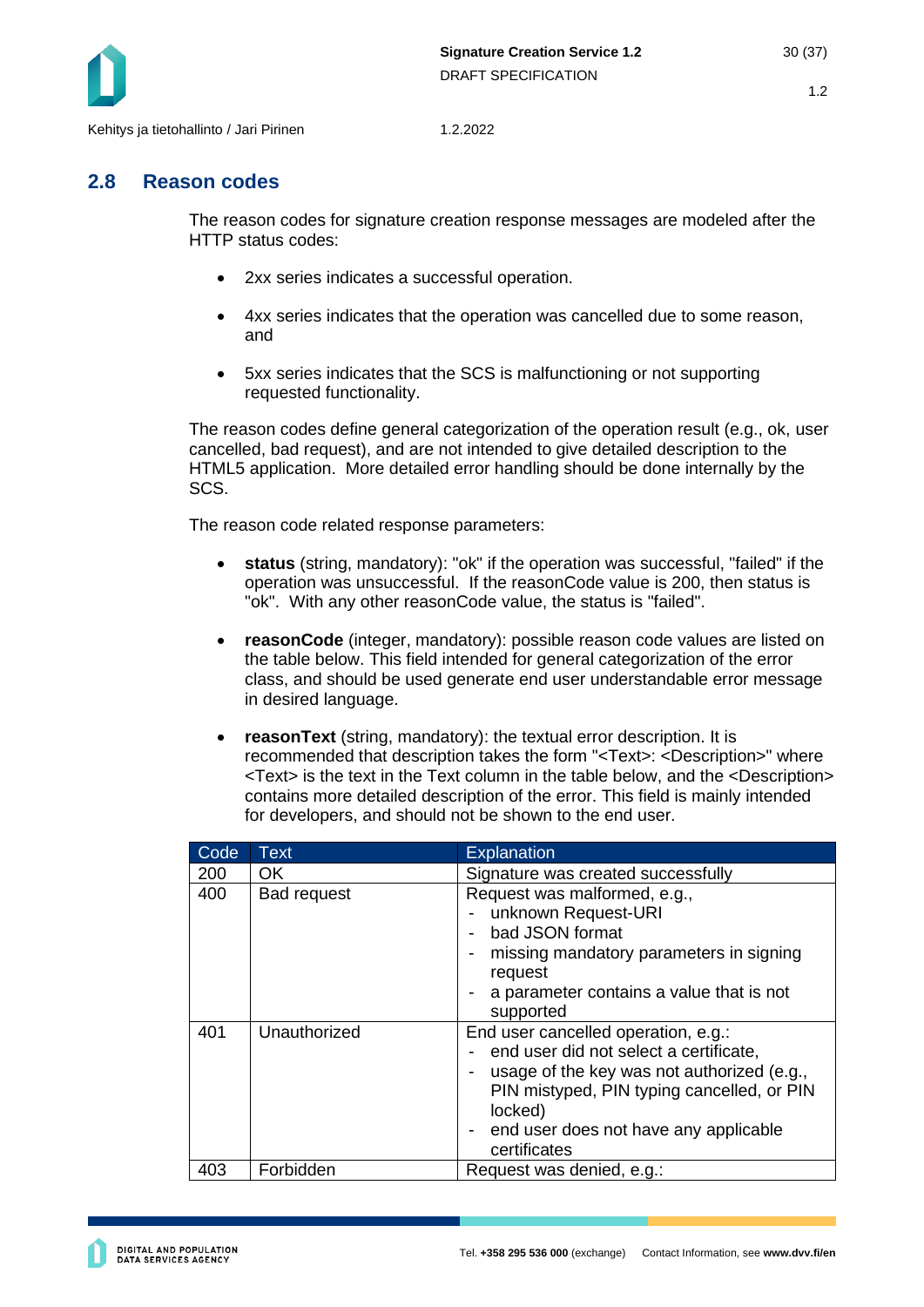

## <span id="page-29-0"></span>**2.8 Reason codes**

The reason codes for signature creation response messages are modeled after the HTTP status codes:

- 2xx series indicates a successful operation.
- 4xx series indicates that the operation was cancelled due to some reason, and
- 5xx series indicates that the SCS is malfunctioning or not supporting requested functionality.

The reason codes define general categorization of the operation result (e.g., ok, user cancelled, bad request), and are not intended to give detailed description to the HTML5 application. More detailed error handling should be done internally by the SCS.

The reason code related response parameters:

- **status** (string, mandatory): "ok" if the operation was successful, "failed" if the operation was unsuccessful. If the reasonCode value is 200, then status is "ok". With any other reasonCode value, the status is "failed".
- **reasonCode** (integer, mandatory): possible reason code values are listed on the table below. This field intended for general categorization of the error class, and should be used generate end user understandable error message in desired language.
- **reasonText** (string, mandatory): the textual error description. It is recommended that description takes the form "<Text>: <Description>" where <Text> is the text in the Text column in the table below, and the <Description> contains more detailed description of the error. This field is mainly intended for developers, and should not be shown to the end user.

| Code | Text               | <b>Explanation</b>                                                                                                                                                                                                                            |
|------|--------------------|-----------------------------------------------------------------------------------------------------------------------------------------------------------------------------------------------------------------------------------------------|
| 200  | OK.                | Signature was created successfully                                                                                                                                                                                                            |
| 400  | <b>Bad request</b> | Request was malformed, e.g.,<br>unknown Request-URI<br>bad JSON format<br>missing mandatory parameters in signing<br>request<br>a parameter contains a value that is not<br>supported                                                         |
| 401  | Unauthorized       | End user cancelled operation, e.g.:<br>end user did not select a certificate,<br>usage of the key was not authorized (e.g.,<br>PIN mistyped, PIN typing cancelled, or PIN<br>locked)<br>end user does not have any applicable<br>certificates |
| 403  | Forbidden          | Request was denied, e.g.:                                                                                                                                                                                                                     |

**DIGITAL AND POPULATION<br>DATA SERVICES AGENCY**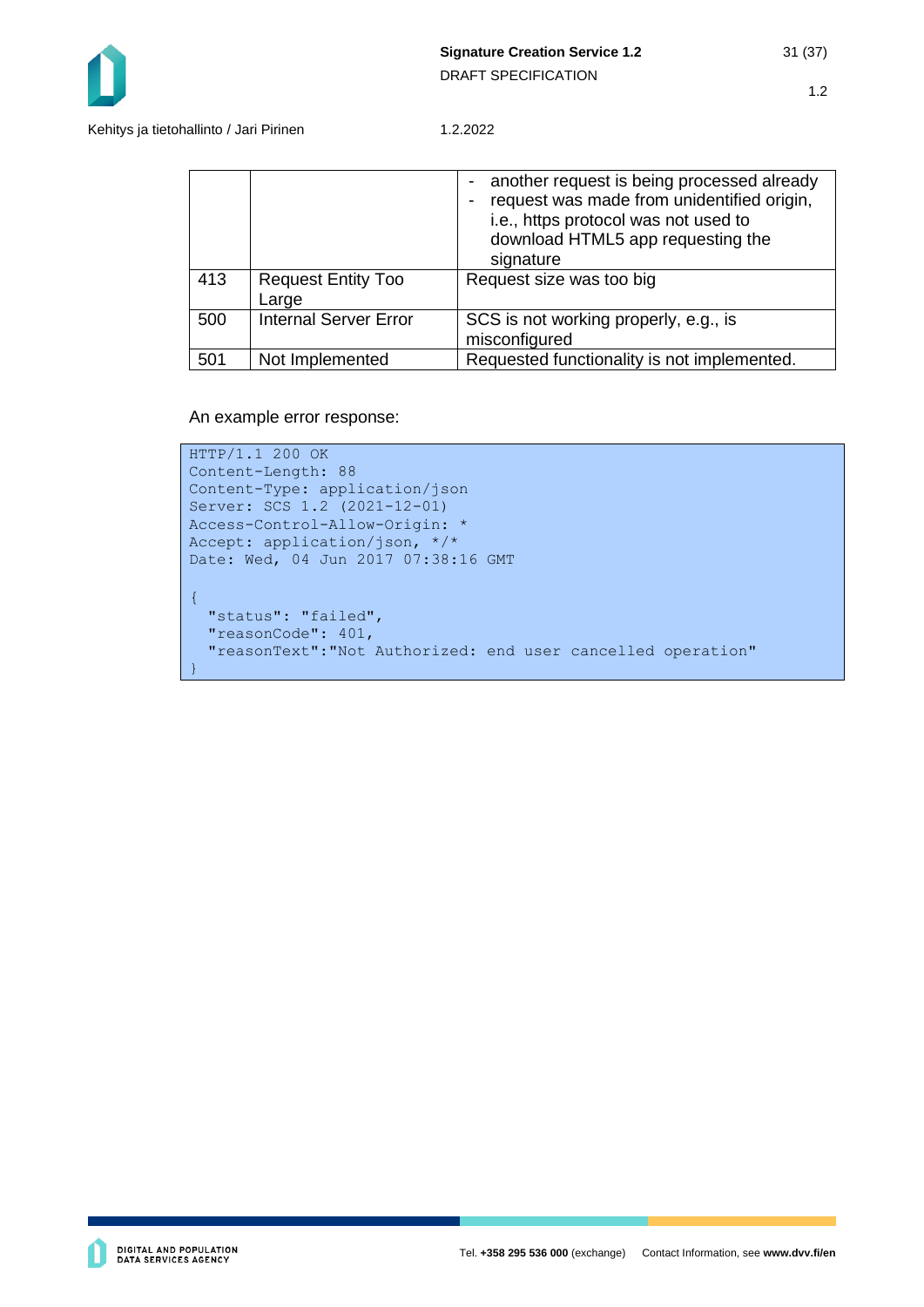

Kehitys ja tietohallinto / Jari Pirinen 1.2.2022

|     |                                    | another request is being processed already<br>request was made from unidentified origin,<br>i.e., https protocol was not used to<br>download HTML5 app requesting the<br>signature |
|-----|------------------------------------|------------------------------------------------------------------------------------------------------------------------------------------------------------------------------------|
| 413 | <b>Request Entity Too</b><br>Large | Request size was too big                                                                                                                                                           |
| 500 | <b>Internal Server Error</b>       | SCS is not working properly, e.g., is<br>misconfigured                                                                                                                             |
| 501 | Not Implemented                    | Requested functionality is not implemented.                                                                                                                                        |

An example error response:

```
HTTP/1.1 200 OK
Content-Length: 88
Content-Type: application/json
Server: SCS 1.2 (2021-12-01)
Access-Control-Allow-Origin: *
Accept: application/json, */*
Date: Wed, 04 Jun 2017 07:38:16 GMT 
{
   "status": "failed",
   "reasonCode": 401,
   "reasonText":"Not Authorized: end user cancelled operation"
}
```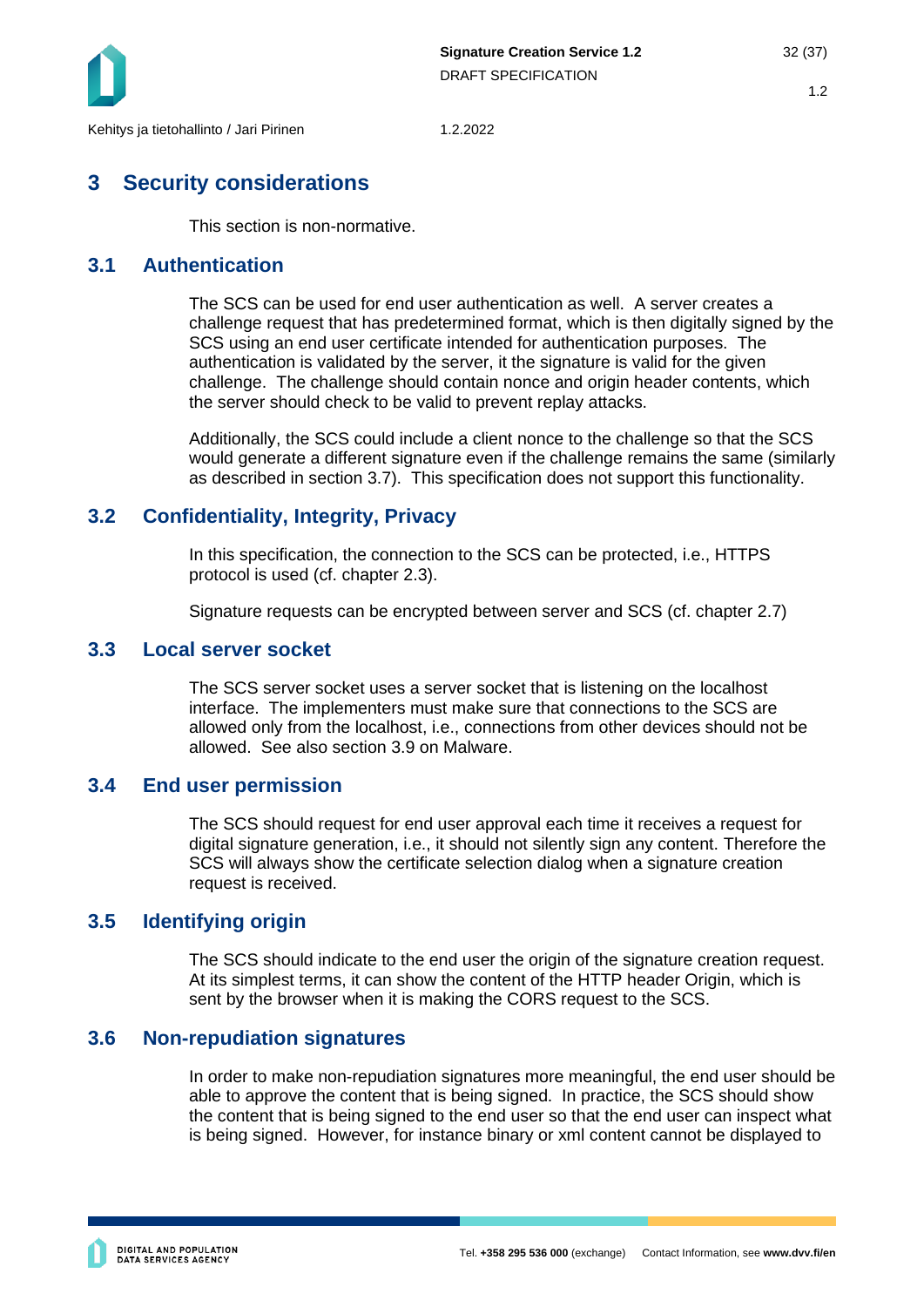

## <span id="page-31-0"></span>**3 Security considerations**

This section is non-normative.

## <span id="page-31-1"></span>**3.1 Authentication**

The SCS can be used for end user authentication as well. A server creates a challenge request that has predetermined format, which is then digitally signed by the SCS using an end user certificate intended for authentication purposes. The authentication is validated by the server, it the signature is valid for the given challenge. The challenge should contain nonce and origin header contents, which the server should check to be valid to prevent replay attacks.

Additionally, the SCS could include a client nonce to the challenge so that the SCS would generate a different signature even if the challenge remains the same (similarly as described in section [3.7\)](#page-32-0). This specification does not support this functionality.

## <span id="page-31-2"></span>**3.2 Confidentiality, Integrity, Privacy**

In this specification, the connection to the SCS can be protected, i.e., HTTPS protocol is used (cf. chapter [2.3\)](#page-10-0).

Signature requests can be encrypted between server and SCS (cf. chapter [2.7\)](#page-21-0)

## <span id="page-31-3"></span>**3.3 Local server socket**

The SCS server socket uses a server socket that is listening on the localhost interface. The implementers must make sure that connections to the SCS are allowed only from the localhost, i.e., connections from other devices should not be allowed. See also section [3.9](#page-32-2) on Malware.

## <span id="page-31-4"></span>**3.4 End user permission**

The SCS should request for end user approval each time it receives a request for digital signature generation, i.e., it should not silently sign any content. Therefore the SCS will always show the certificate selection dialog when a signature creation request is received.

## <span id="page-31-5"></span>**3.5 Identifying origin**

The SCS should indicate to the end user the origin of the signature creation request. At its simplest terms, it can show the content of the HTTP header Origin, which is sent by the browser when it is making the CORS request to the SCS.

## <span id="page-31-6"></span>**3.6 Non-repudiation signatures**

In order to make non-repudiation signatures more meaningful, the end user should be able to approve the content that is being signed. In practice, the SCS should show the content that is being signed to the end user so that the end user can inspect what is being signed. However, for instance binary or xml content cannot be displayed to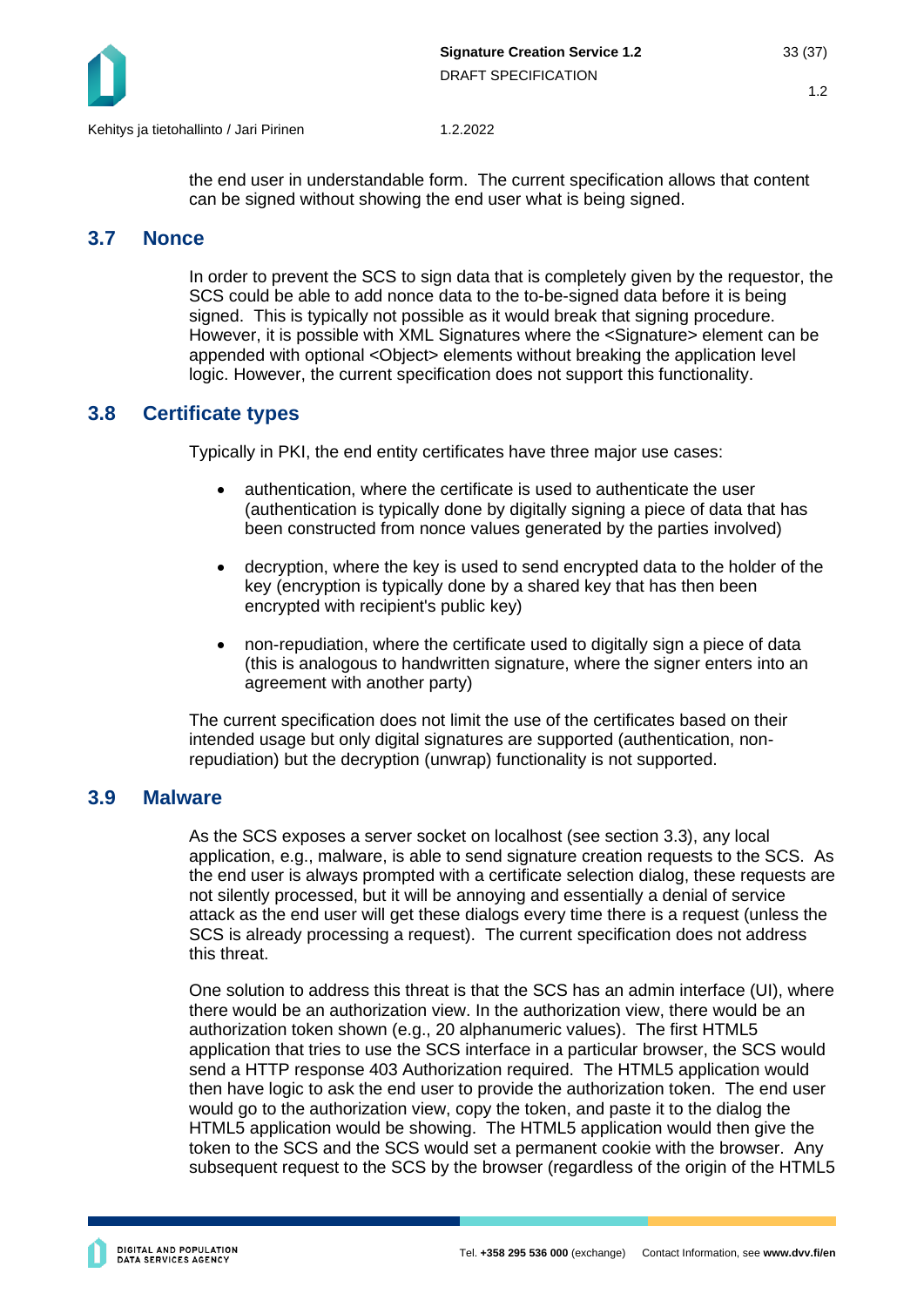

the end user in understandable form. The current specification allows that content can be signed without showing the end user what is being signed.

## <span id="page-32-0"></span>**3.7 Nonce**

In order to prevent the SCS to sign data that is completely given by the requestor, the SCS could be able to add nonce data to the to-be-signed data before it is being signed. This is typically not possible as it would break that signing procedure. However, it is possible with XML Signatures where the <Signature> element can be appended with optional <Object> elements without breaking the application level logic. However, the current specification does not support this functionality.

## <span id="page-32-1"></span>**3.8 Certificate types**

Typically in PKI, the end entity certificates have three major use cases:

- authentication, where the certificate is used to authenticate the user (authentication is typically done by digitally signing a piece of data that has been constructed from nonce values generated by the parties involved)
- decryption, where the key is used to send encrypted data to the holder of the key (encryption is typically done by a shared key that has then been encrypted with recipient's public key)
- non-repudiation, where the certificate used to digitally sign a piece of data (this is analogous to handwritten signature, where the signer enters into an agreement with another party)

The current specification does not limit the use of the certificates based on their intended usage but only digital signatures are supported (authentication, nonrepudiation) but the decryption (unwrap) functionality is not supported.

#### <span id="page-32-2"></span>**3.9 Malware**

As the SCS exposes a server socket on localhost (see section [3.3\)](#page-31-3), any local application, e.g., malware, is able to send signature creation requests to the SCS. As the end user is always prompted with a certificate selection dialog, these requests are not silently processed, but it will be annoying and essentially a denial of service attack as the end user will get these dialogs every time there is a request (unless the SCS is already processing a request). The current specification does not address this threat.

One solution to address this threat is that the SCS has an admin interface (UI), where there would be an authorization view. In the authorization view, there would be an authorization token shown (e.g., 20 alphanumeric values). The first HTML5 application that tries to use the SCS interface in a particular browser, the SCS would send a HTTP response 403 Authorization required. The HTML5 application would then have logic to ask the end user to provide the authorization token. The end user would go to the authorization view, copy the token, and paste it to the dialog the HTML5 application would be showing. The HTML5 application would then give the token to the SCS and the SCS would set a permanent cookie with the browser. Any subsequent request to the SCS by the browser (regardless of the origin of the HTML5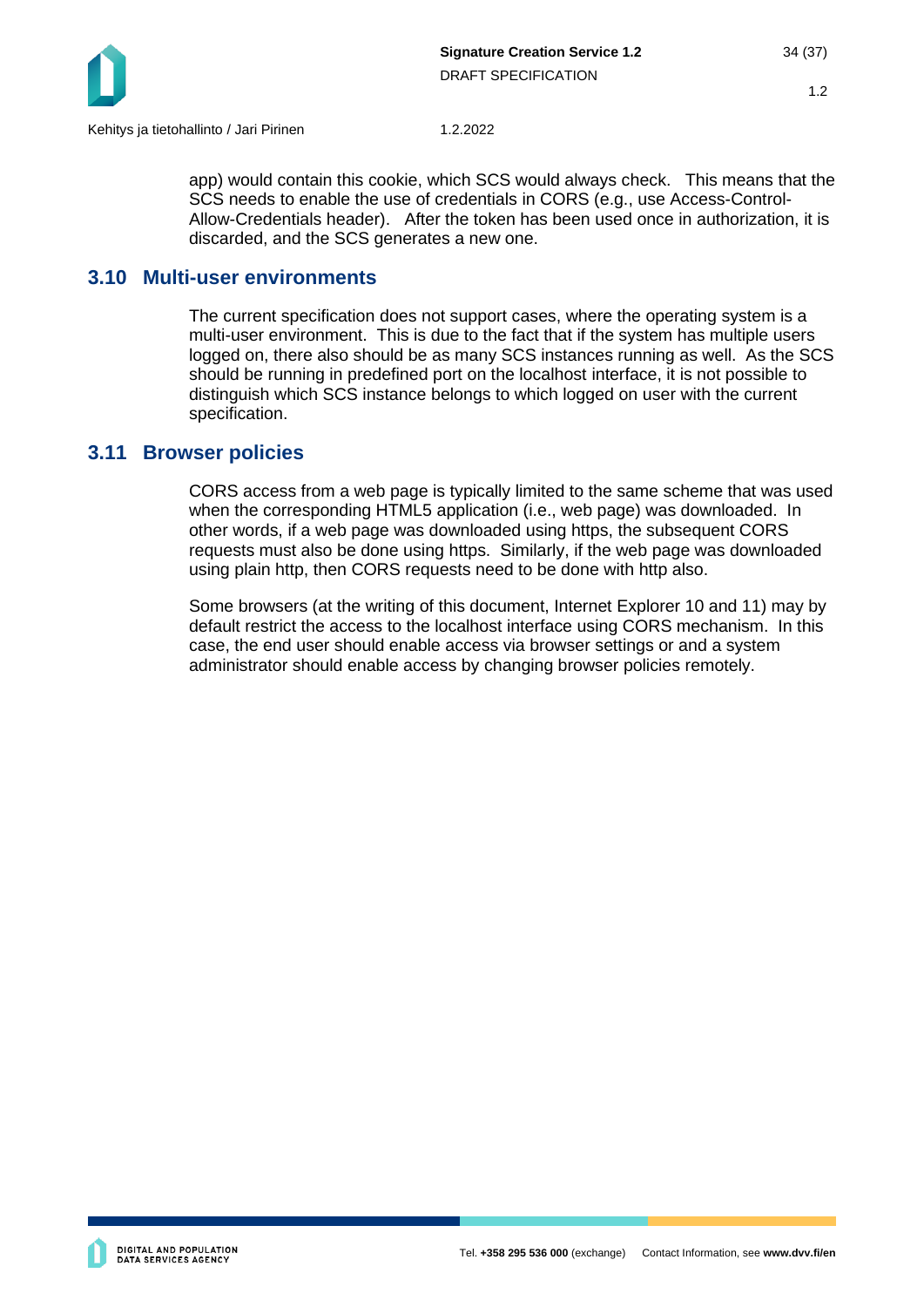

app) would contain this cookie, which SCS would always check. This means that the SCS needs to enable the use of credentials in CORS (e.g., use Access-Control-Allow-Credentials header). After the token has been used once in authorization, it is discarded, and the SCS generates a new one.

### <span id="page-33-0"></span>**3.10 Multi-user environments**

The current specification does not support cases, where the operating system is a multi-user environment. This is due to the fact that if the system has multiple users logged on, there also should be as many SCS instances running as well. As the SCS should be running in predefined port on the localhost interface, it is not possible to distinguish which SCS instance belongs to which logged on user with the current specification.

#### <span id="page-33-1"></span>**3.11 Browser policies**

CORS access from a web page is typically limited to the same scheme that was used when the corresponding HTML5 application (i.e., web page) was downloaded. In other words, if a web page was downloaded using https, the subsequent CORS requests must also be done using https. Similarly, if the web page was downloaded using plain http, then CORS requests need to be done with http also.

Some browsers (at the writing of this document, Internet Explorer 10 and 11) may by default restrict the access to the localhost interface using CORS mechanism. In this case, the end user should enable access via browser settings or and a system administrator should enable access by changing browser policies remotely.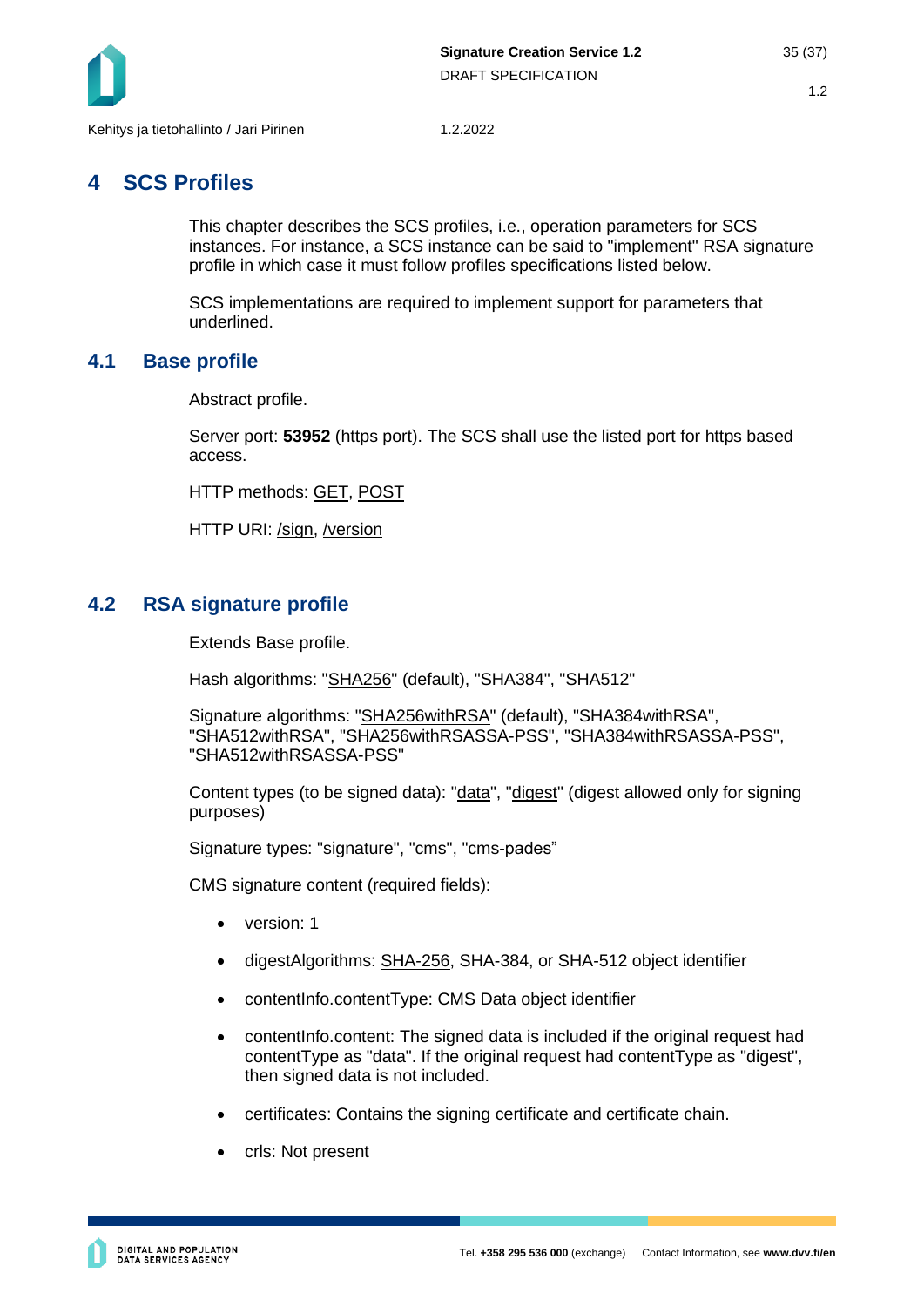

## <span id="page-34-0"></span>**4 SCS Profiles**

This chapter describes the SCS profiles, i.e., operation parameters for SCS instances. For instance, a SCS instance can be said to "implement" RSA signature profile in which case it must follow profiles specifications listed below.

SCS implementations are required to implement support for parameters that underlined.

## <span id="page-34-1"></span>**4.1 Base profile**

Abstract profile.

Server port: **53952** (https port). The SCS shall use the listed port for https based access.

HTTP methods: GET, POST

HTTP URI: /sign, /version

## <span id="page-34-2"></span>**4.2 RSA signature profile**

Extends Base profile.

Hash algorithms: "SHA256" (default), "SHA384", "SHA512"

```
Signature algorithms: "SHA256withRSA" (default), "SHA384withRSA", 
"SHA512withRSA", "SHA256withRSASSA-PSS", "SHA384withRSASSA-PSS", 
"SHA512withRSASSA-PSS"
```
Content types (to be signed data): "data", "digest" (digest allowed only for signing purposes)

Signature types: "signature", "cms", "cms-pades"

CMS signature content (required fields):

- version: 1
- digestAlgorithms: SHA-256, SHA-384, or SHA-512 object identifier
- contentInfo.contentType: CMS Data object identifier
- content info.content: The signed data is included if the original request had contentType as "data". If the original request had contentType as "digest", then signed data is not included.
- certificates: Contains the signing certificate and certificate chain.
- crls: Not present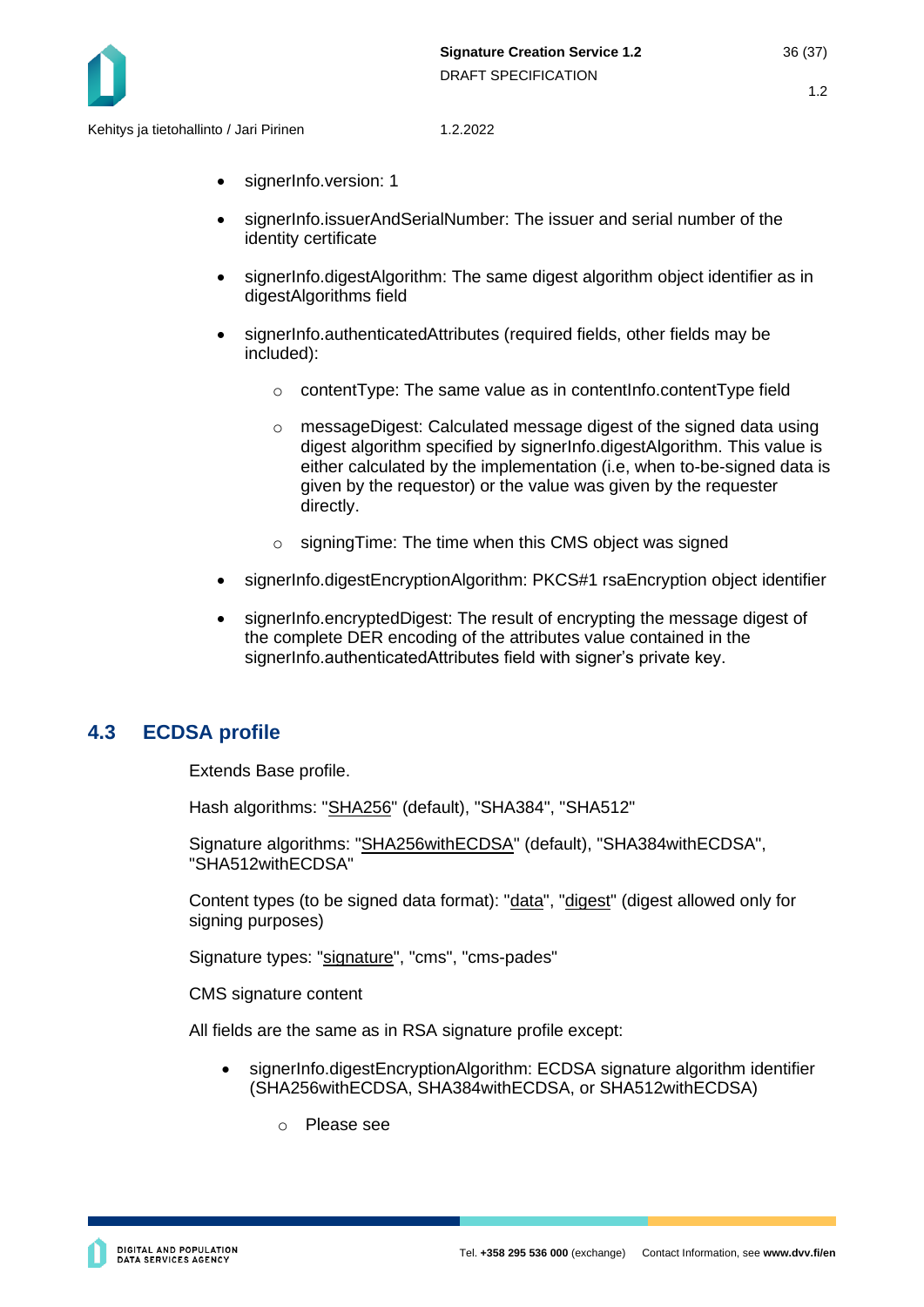

- signerInfo.version: 1
- signerInfo.issuerAndSerialNumber: The issuer and serial number of the identity certificate
- signerInfo.digestAlgorithm: The same digest algorithm object identifier as in digestAlgorithms field
- signerInfo.authenticatedAttributes (required fields, other fields may be included):
	- o contentType: The same value as in contentInfo.contentType field
	- $\circ$  messageDigest: Calculated message digest of the signed data using digest algorithm specified by signerInfo.digestAlgorithm. This value is either calculated by the implementation (i.e, when to-be-signed data is given by the requestor) or the value was given by the requester directly.
	- o signingTime: The time when this CMS object was signed
- signerInfo.digestEncryptionAlgorithm: PKCS#1 rsaEncryption object identifier
- signerInfo.encryptedDigest: The result of encrypting the message digest of the complete DER encoding of the attributes value contained in the signerInfo.authenticatedAttributes field with signer's private key.

## <span id="page-35-0"></span>**4.3 ECDSA profile**

Extends Base profile.

Hash algorithms: "SHA256" (default), "SHA384", "SHA512"

Signature algorithms: "SHA256withECDSA" (default), "SHA384withECDSA", "SHA512withECDSA"

Content types (to be signed data format): "data", "digest" (digest allowed only for signing purposes)

Signature types: "signature", "cms", "cms-pades"

CMS signature content

All fields are the same as in RSA signature profile except:

- signerInfo.digestEncryptionAlgorithm: ECDSA signature algorithm identifier (SHA256withECDSA, SHA384withECDSA, or SHA512withECDSA)
	- o Please see